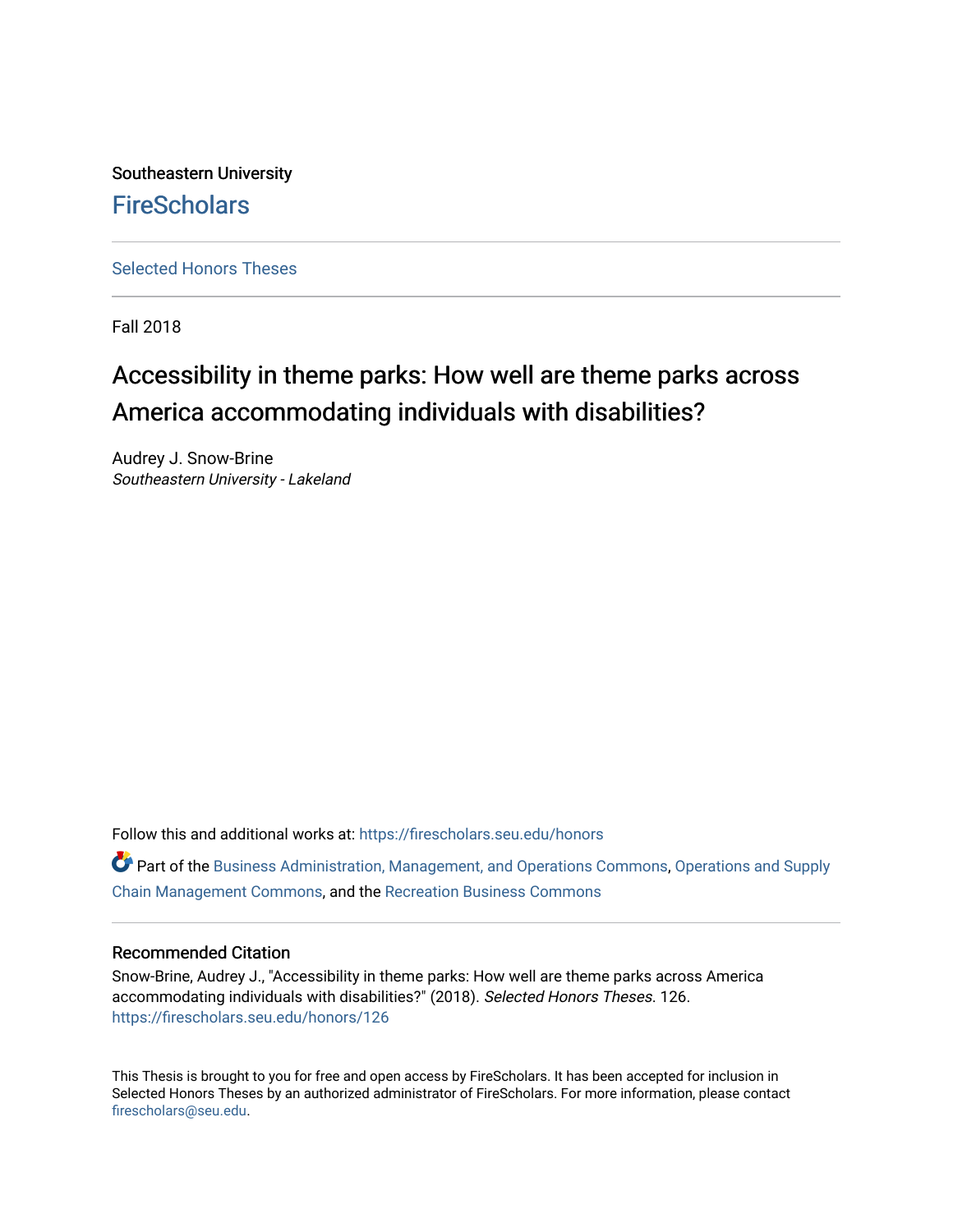Southeastern University **FireScholars** 

[Selected Honors Theses](https://firescholars.seu.edu/honors)

Fall 2018

# Accessibility in theme parks: How well are theme parks across America accommodating individuals with disabilities?

Audrey J. Snow-Brine Southeastern University - Lakeland

Follow this and additional works at: [https://firescholars.seu.edu/honors](https://firescholars.seu.edu/honors?utm_source=firescholars.seu.edu%2Fhonors%2F126&utm_medium=PDF&utm_campaign=PDFCoverPages)

**C** Part of the [Business Administration, Management, and Operations Commons](http://network.bepress.com/hgg/discipline/623?utm_source=firescholars.seu.edu%2Fhonors%2F126&utm_medium=PDF&utm_campaign=PDFCoverPages), Operations and Supply [Chain Management Commons](http://network.bepress.com/hgg/discipline/1229?utm_source=firescholars.seu.edu%2Fhonors%2F126&utm_medium=PDF&utm_campaign=PDFCoverPages), and the [Recreation Business Commons](http://network.bepress.com/hgg/discipline/1083?utm_source=firescholars.seu.edu%2Fhonors%2F126&utm_medium=PDF&utm_campaign=PDFCoverPages) 

# Recommended Citation

Snow-Brine, Audrey J., "Accessibility in theme parks: How well are theme parks across America accommodating individuals with disabilities?" (2018). Selected Honors Theses. 126. [https://firescholars.seu.edu/honors/126](https://firescholars.seu.edu/honors/126?utm_source=firescholars.seu.edu%2Fhonors%2F126&utm_medium=PDF&utm_campaign=PDFCoverPages)

This Thesis is brought to you for free and open access by FireScholars. It has been accepted for inclusion in Selected Honors Theses by an authorized administrator of FireScholars. For more information, please contact [firescholars@seu.edu.](mailto:firescholars@seu.edu)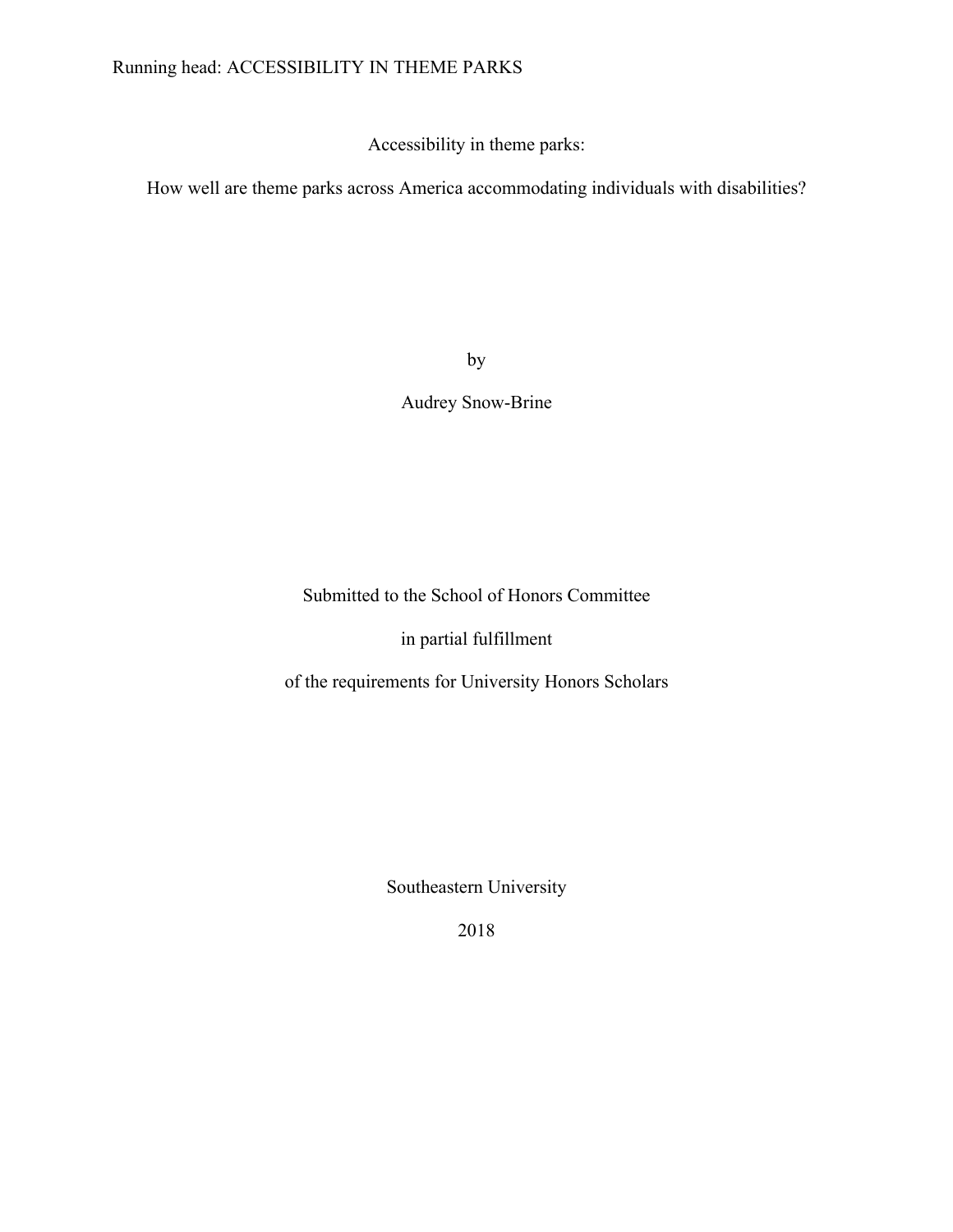# Running head: ACCESSIBILITY IN THEME PARKS

Accessibility in theme parks:

How well are theme parks across America accommodating individuals with disabilities?

by

Audrey Snow-Brine

Submitted to the School of Honors Committee

in partial fulfillment

of the requirements for University Honors Scholars

Southeastern University

2018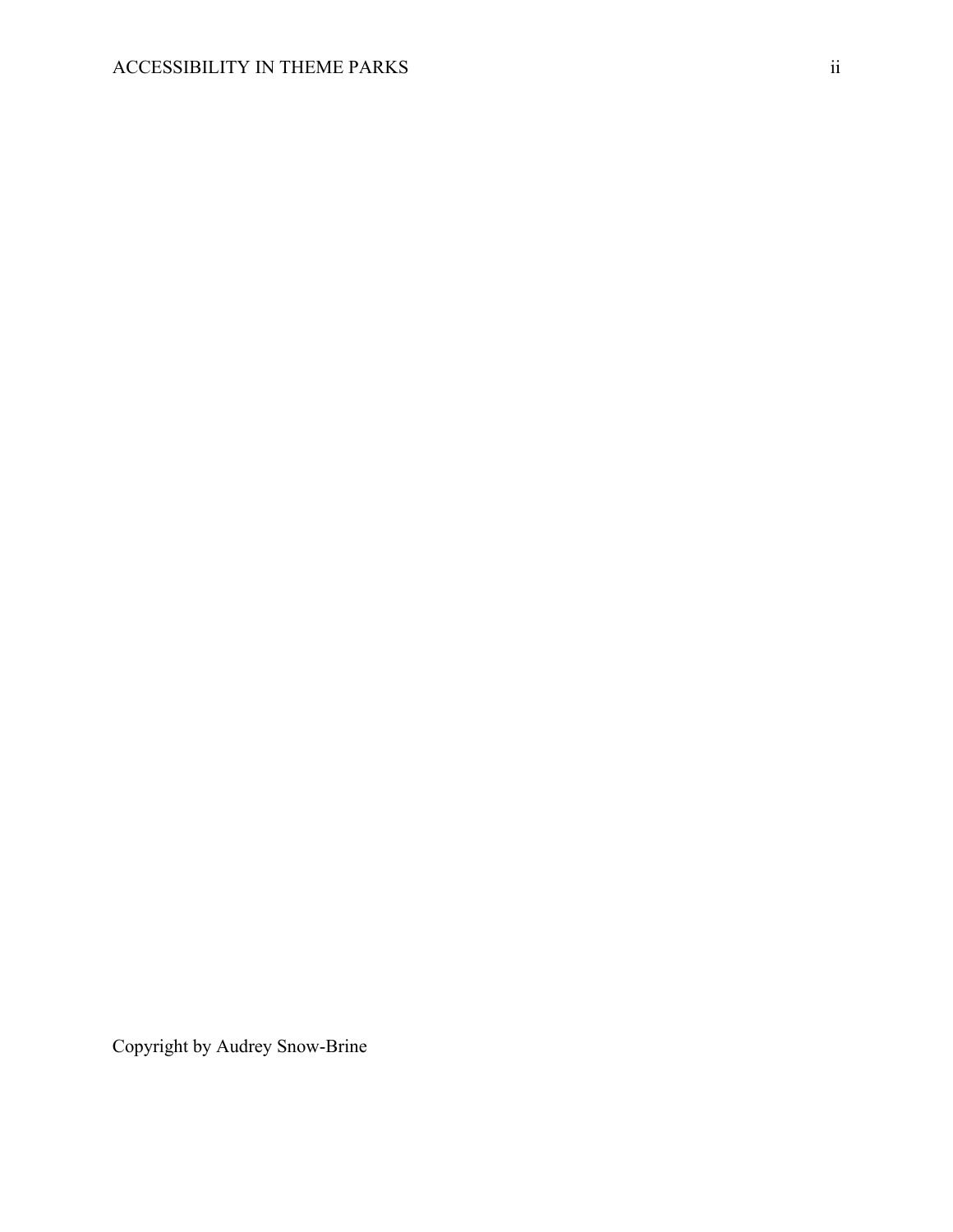Copyright by Audrey Snow-Brine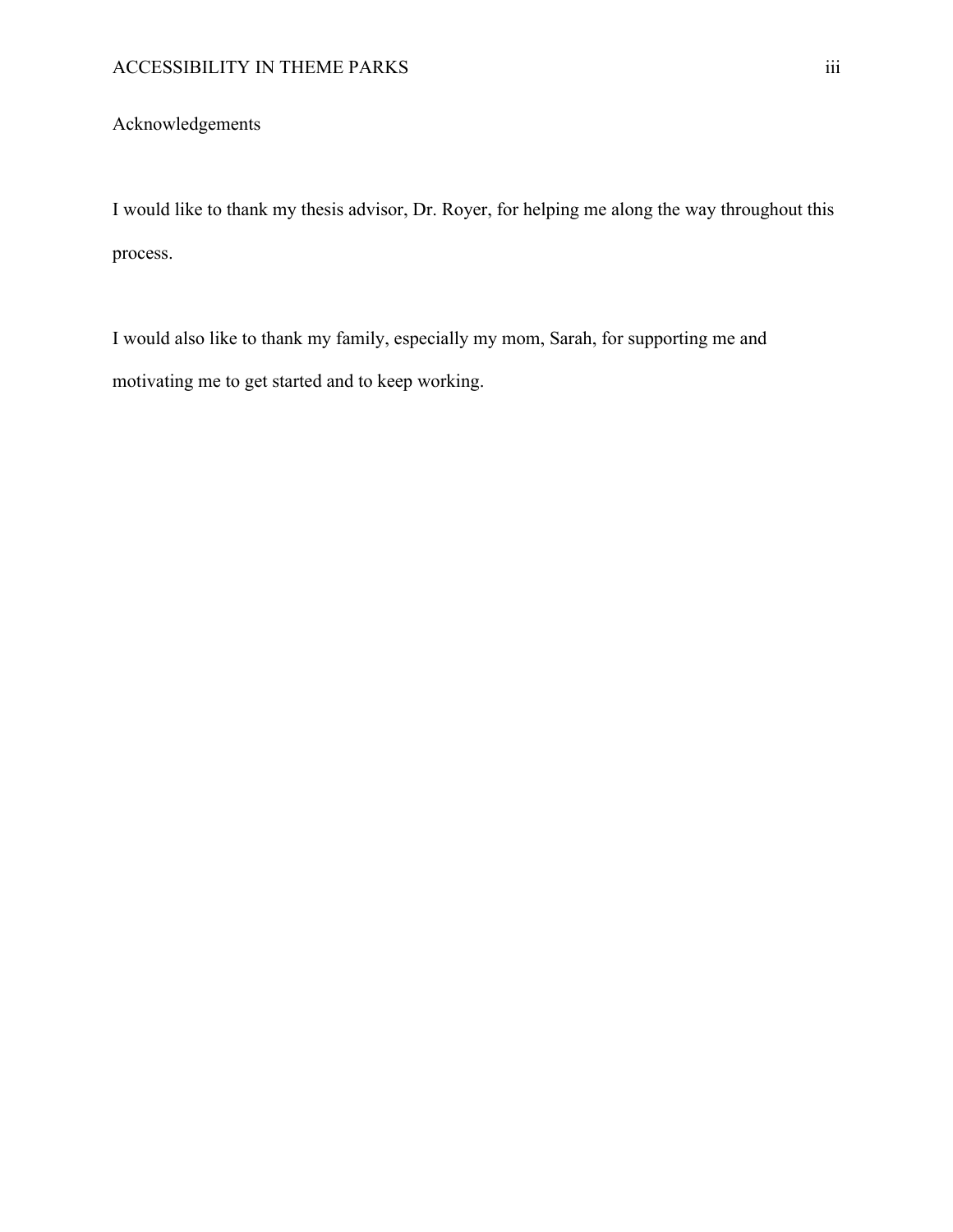# Acknowledgements

I would like to thank my thesis advisor, Dr. Royer, for helping me along the way throughout this process.

I would also like to thank my family, especially my mom, Sarah, for supporting me and motivating me to get started and to keep working.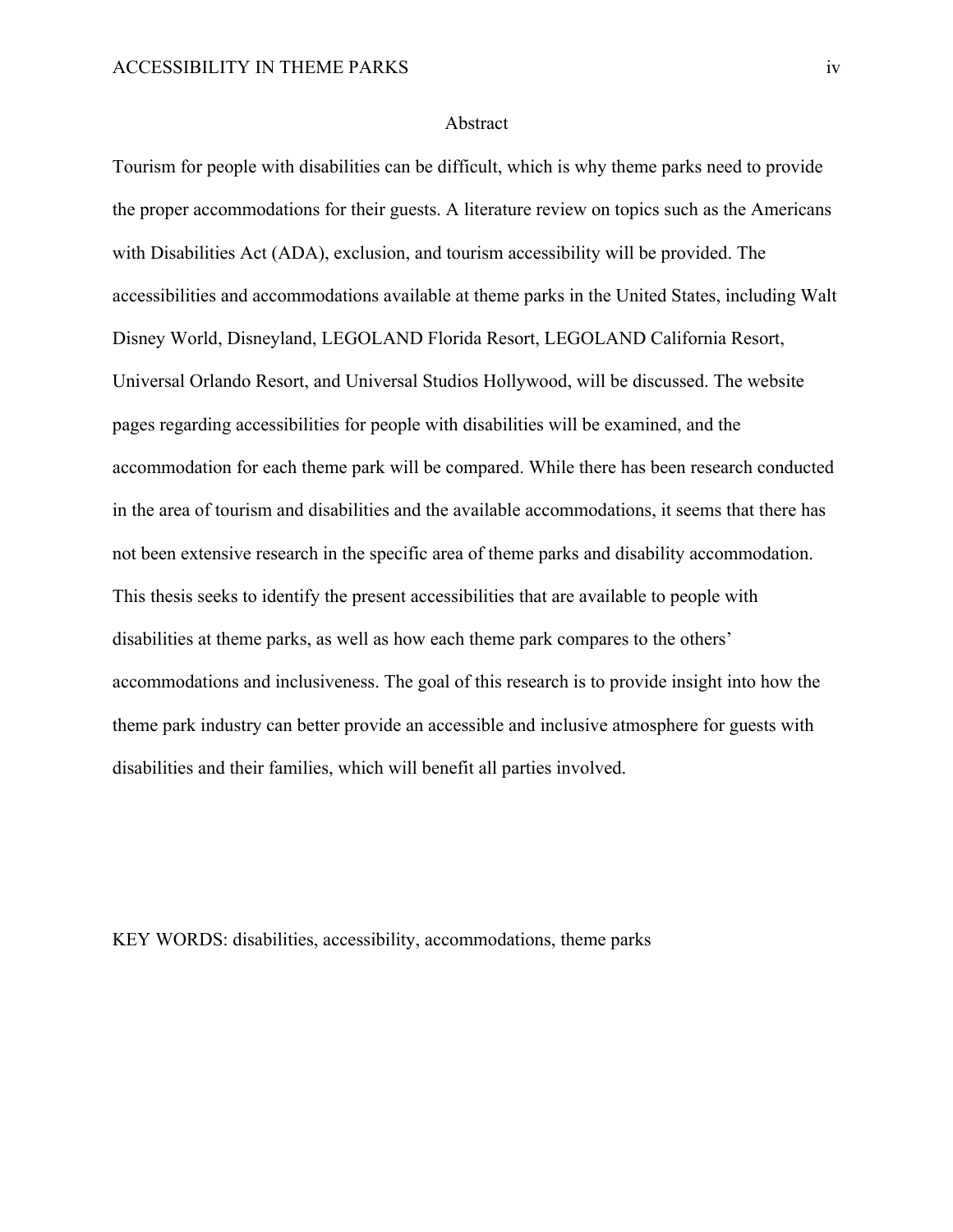#### Abstract

Tourism for people with disabilities can be difficult, which is why theme parks need to provide the proper accommodations for their guests. A literature review on topics such as the Americans with Disabilities Act (ADA), exclusion, and tourism accessibility will be provided. The accessibilities and accommodations available at theme parks in the United States, including Walt Disney World, Disneyland, LEGOLAND Florida Resort, LEGOLAND California Resort, Universal Orlando Resort, and Universal Studios Hollywood, will be discussed. The website pages regarding accessibilities for people with disabilities will be examined, and the accommodation for each theme park will be compared. While there has been research conducted in the area of tourism and disabilities and the available accommodations, it seems that there has not been extensive research in the specific area of theme parks and disability accommodation. This thesis seeks to identify the present accessibilities that are available to people with disabilities at theme parks, as well as how each theme park compares to the others' accommodations and inclusiveness. The goal of this research is to provide insight into how the theme park industry can better provide an accessible and inclusive atmosphere for guests with disabilities and their families, which will benefit all parties involved.

KEY WORDS: disabilities, accessibility, accommodations, theme parks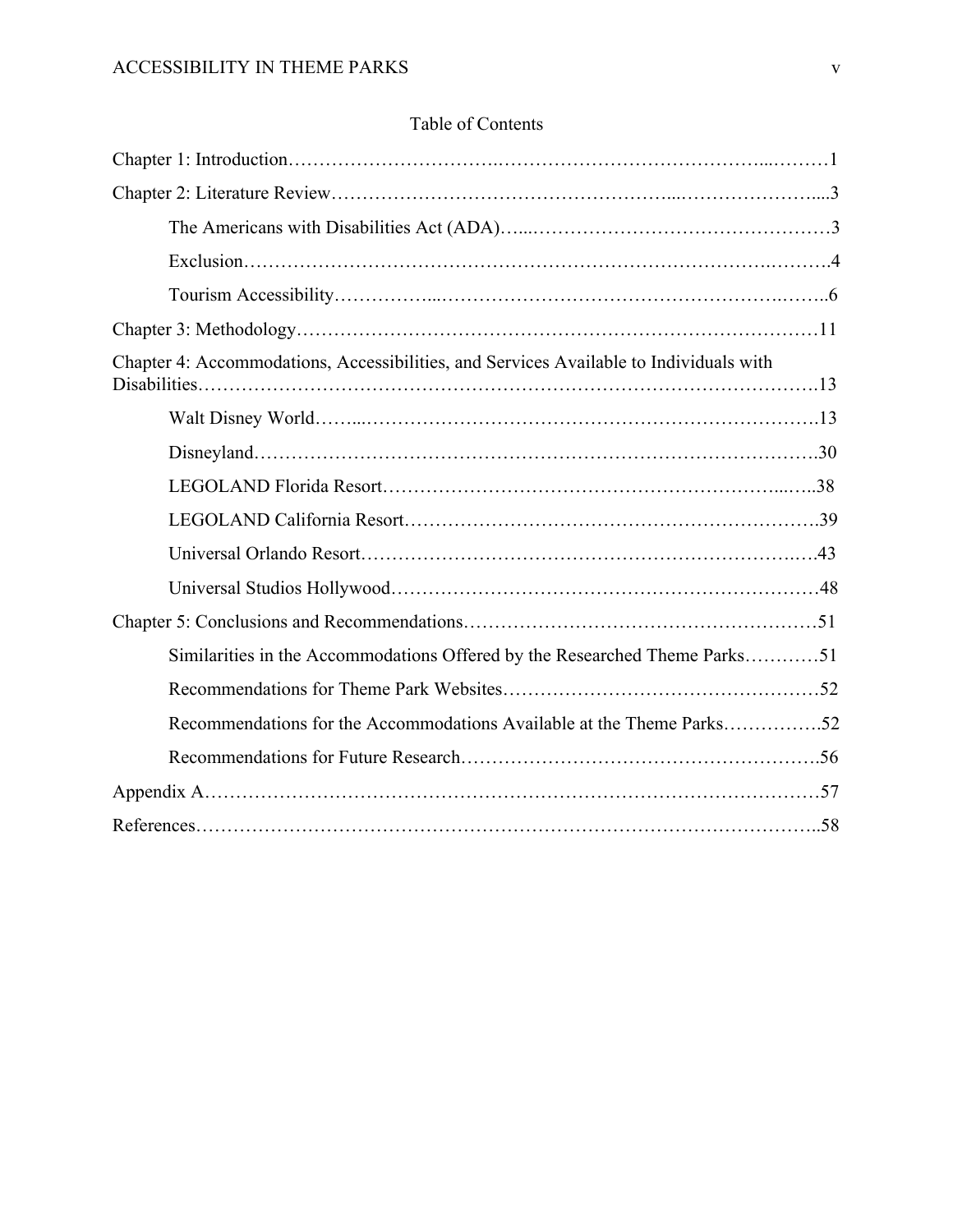| Chapter 4: Accommodations, Accessibilities, and Services Available to Individuals with |  |
|----------------------------------------------------------------------------------------|--|
|                                                                                        |  |
|                                                                                        |  |
|                                                                                        |  |
|                                                                                        |  |
|                                                                                        |  |
|                                                                                        |  |
|                                                                                        |  |
| Similarities in the Accommodations Offered by the Researched Theme Parks51             |  |
|                                                                                        |  |
| Recommendations for the Accommodations Available at the Theme Parks52                  |  |
|                                                                                        |  |
|                                                                                        |  |
|                                                                                        |  |

# Table of Contents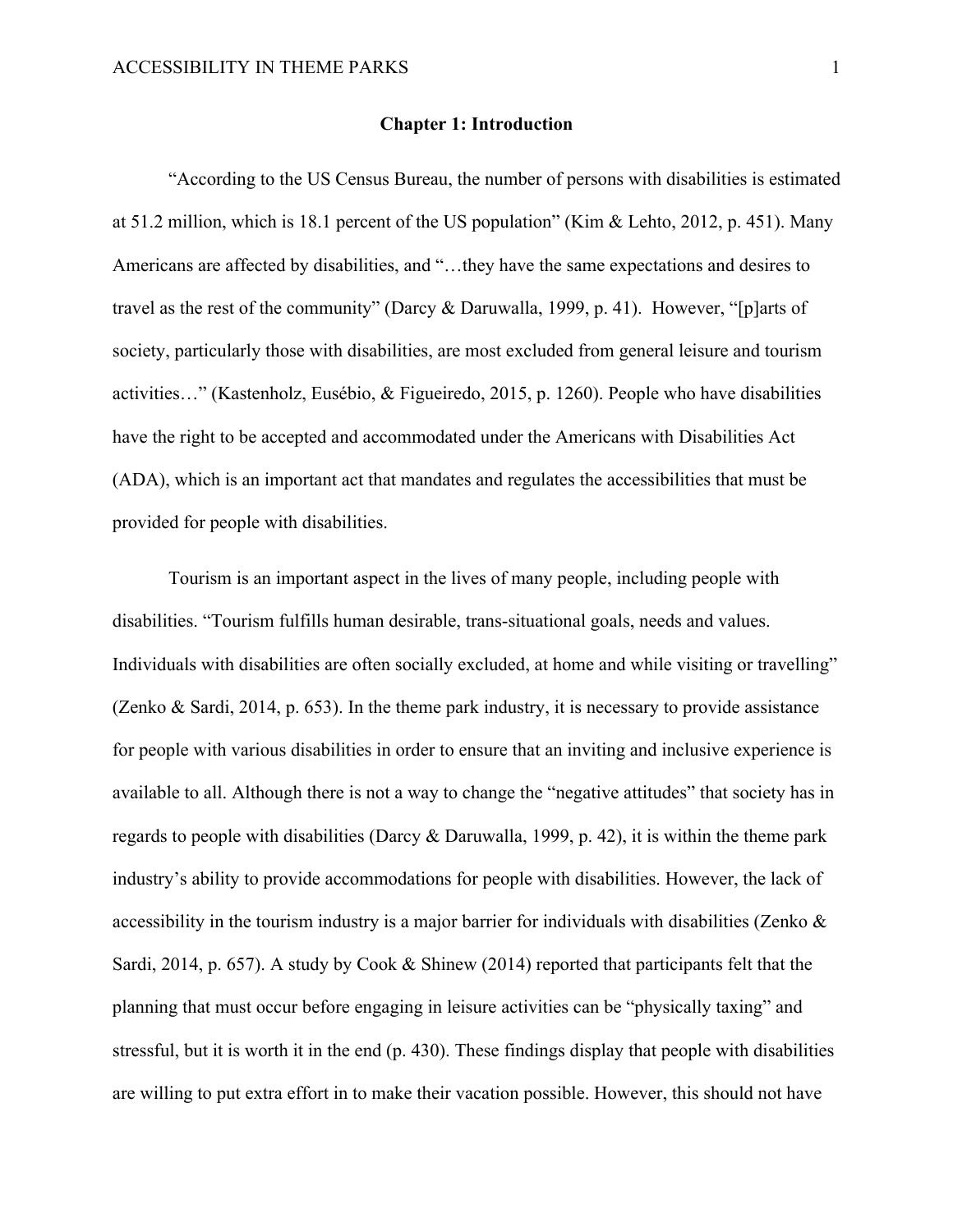### **Chapter 1: Introduction**

"According to the US Census Bureau, the number of persons with disabilities is estimated at 51.2 million, which is 18.1 percent of the US population" (Kim & Lehto, 2012, p. 451). Many Americans are affected by disabilities, and "…they have the same expectations and desires to travel as the rest of the community" (Darcy & Daruwalla, 1999, p. 41). However, "[p]arts of society, particularly those with disabilities, are most excluded from general leisure and tourism activities…" (Kastenholz, Eusébio, & Figueiredo, 2015, p. 1260). People who have disabilities have the right to be accepted and accommodated under the Americans with Disabilities Act (ADA), which is an important act that mandates and regulates the accessibilities that must be provided for people with disabilities.

Tourism is an important aspect in the lives of many people, including people with disabilities. "Tourism fulfills human desirable, trans-situational goals, needs and values. Individuals with disabilities are often socially excluded, at home and while visiting or travelling" (Zenko & Sardi, 2014, p. 653). In the theme park industry, it is necessary to provide assistance for people with various disabilities in order to ensure that an inviting and inclusive experience is available to all. Although there is not a way to change the "negative attitudes" that society has in regards to people with disabilities (Darcy & Daruwalla, 1999, p. 42), it is within the theme park industry's ability to provide accommodations for people with disabilities. However, the lack of accessibility in the tourism industry is a major barrier for individuals with disabilities (Zenko & Sardi, 2014, p. 657). A study by Cook & Shinew (2014) reported that participants felt that the planning that must occur before engaging in leisure activities can be "physically taxing" and stressful, but it is worth it in the end (p. 430). These findings display that people with disabilities are willing to put extra effort in to make their vacation possible. However, this should not have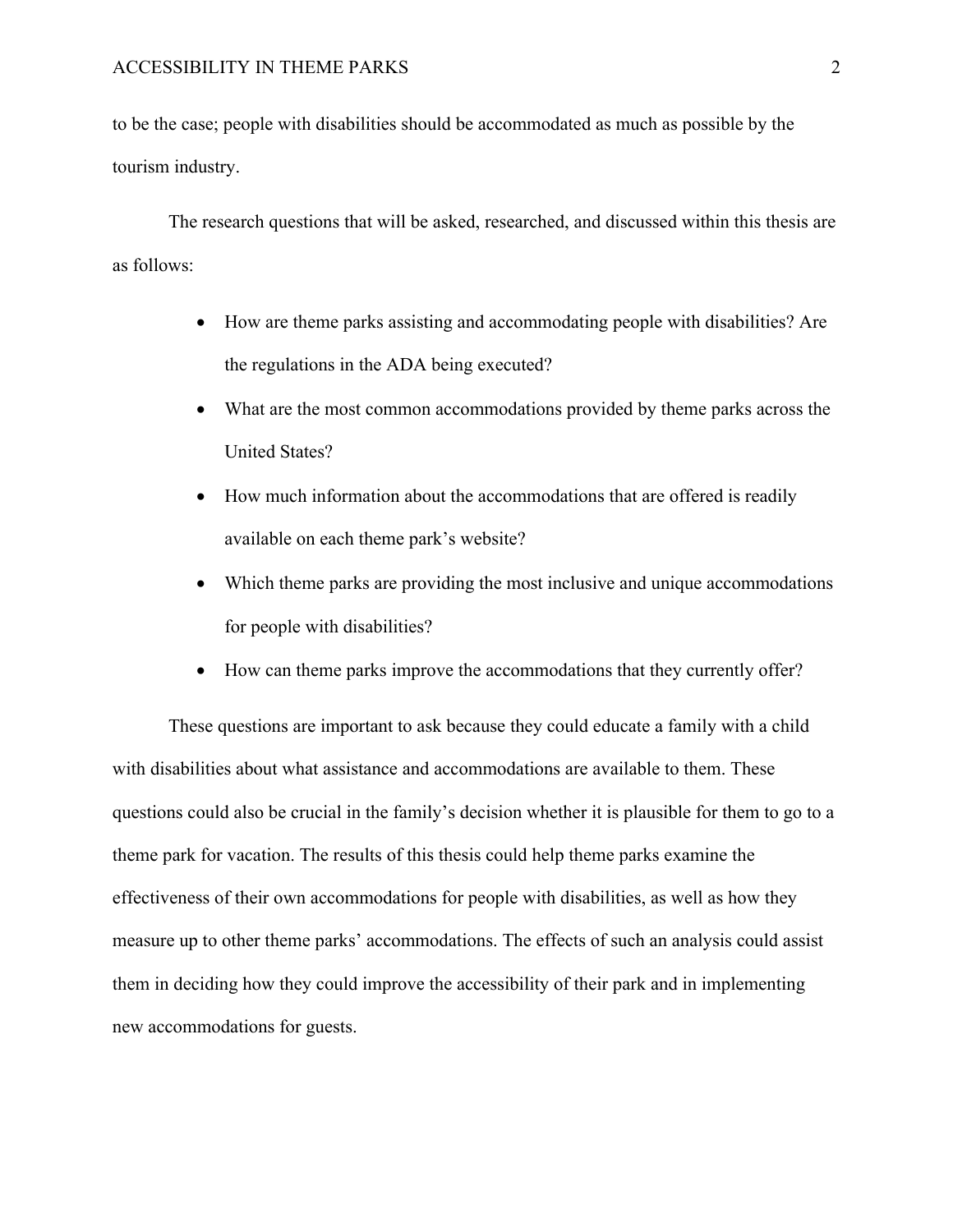to be the case; people with disabilities should be accommodated as much as possible by the tourism industry.

The research questions that will be asked, researched, and discussed within this thesis are as follows:

- How are theme parks assisting and accommodating people with disabilities? Are the regulations in the ADA being executed?
- What are the most common accommodations provided by theme parks across the United States?
- How much information about the accommodations that are offered is readily available on each theme park's website?
- Which theme parks are providing the most inclusive and unique accommodations for people with disabilities?
- How can theme parks improve the accommodations that they currently offer?

These questions are important to ask because they could educate a family with a child with disabilities about what assistance and accommodations are available to them. These questions could also be crucial in the family's decision whether it is plausible for them to go to a theme park for vacation. The results of this thesis could help theme parks examine the effectiveness of their own accommodations for people with disabilities, as well as how they measure up to other theme parks' accommodations. The effects of such an analysis could assist them in deciding how they could improve the accessibility of their park and in implementing new accommodations for guests.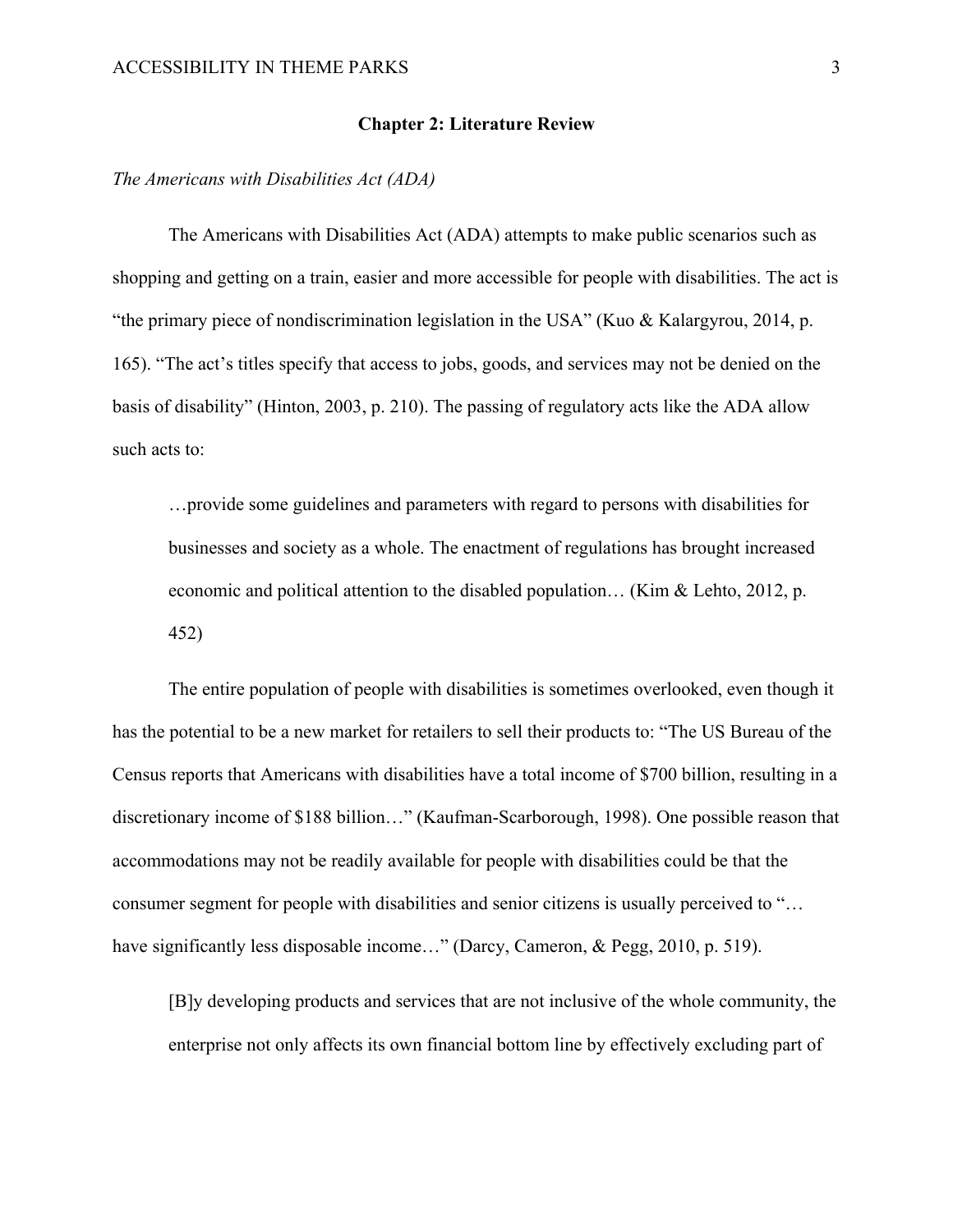#### **Chapter 2: Literature Review**

*The Americans with Disabilities Act (ADA)*

The Americans with Disabilities Act (ADA) attempts to make public scenarios such as shopping and getting on a train, easier and more accessible for people with disabilities. The act is "the primary piece of nondiscrimination legislation in the USA" (Kuo & Kalargyrou, 2014, p. 165). "The act's titles specify that access to jobs, goods, and services may not be denied on the basis of disability" (Hinton, 2003, p. 210). The passing of regulatory acts like the ADA allow such acts to:

…provide some guidelines and parameters with regard to persons with disabilities for businesses and society as a whole. The enactment of regulations has brought increased economic and political attention to the disabled population… (Kim & Lehto, 2012, p. 452)

The entire population of people with disabilities is sometimes overlooked, even though it has the potential to be a new market for retailers to sell their products to: "The US Bureau of the Census reports that Americans with disabilities have a total income of \$700 billion, resulting in a discretionary income of \$188 billion…" (Kaufman-Scarborough, 1998). One possible reason that accommodations may not be readily available for people with disabilities could be that the consumer segment for people with disabilities and senior citizens is usually perceived to "… have significantly less disposable income..." (Darcy, Cameron, & Pegg, 2010, p. 519).

[B]y developing products and services that are not inclusive of the whole community, the enterprise not only affects its own financial bottom line by effectively excluding part of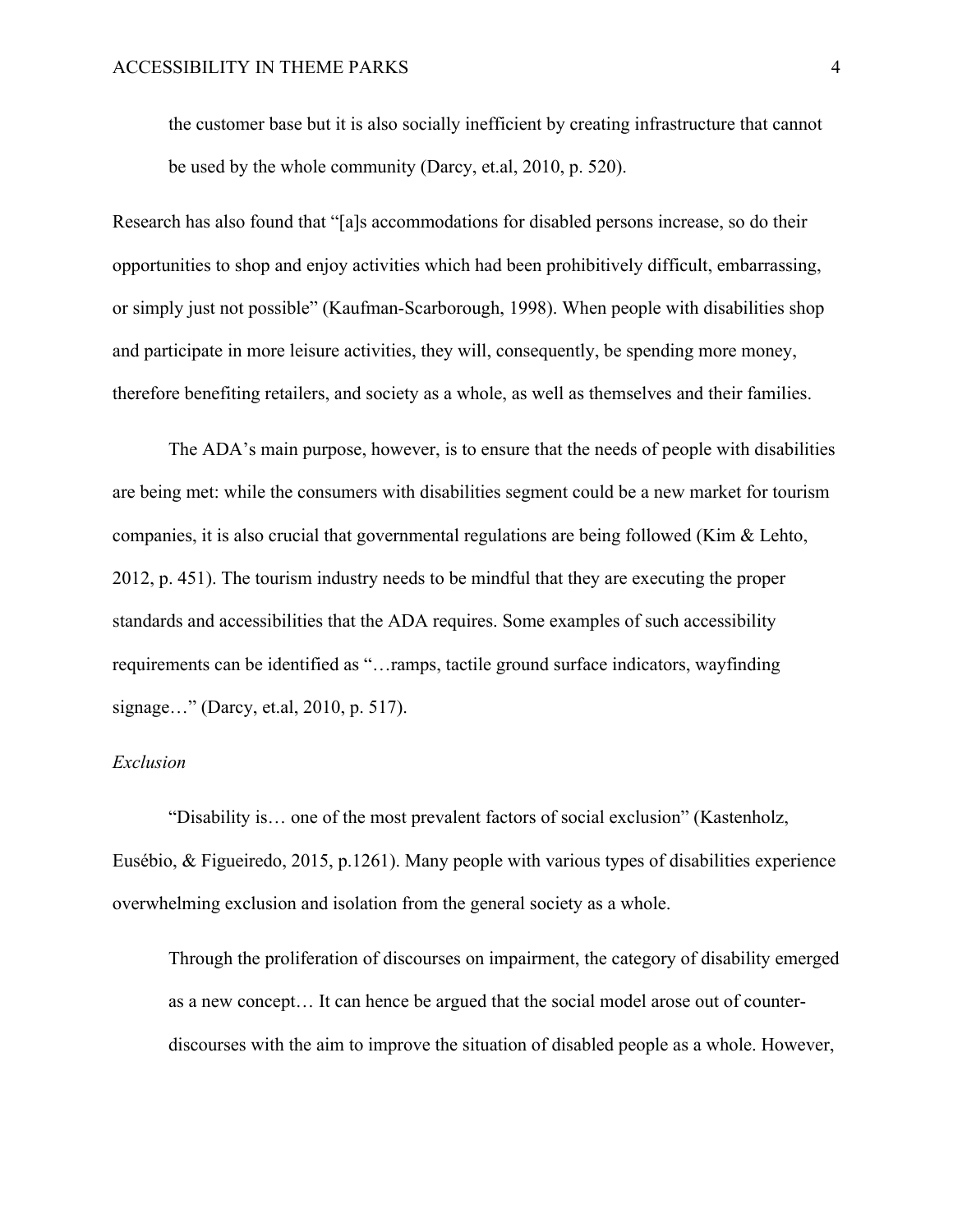the customer base but it is also socially inefficient by creating infrastructure that cannot be used by the whole community (Darcy, et.al, 2010, p. 520).

Research has also found that "[a]s accommodations for disabled persons increase, so do their opportunities to shop and enjoy activities which had been prohibitively difficult, embarrassing, or simply just not possible" (Kaufman-Scarborough, 1998). When people with disabilities shop and participate in more leisure activities, they will, consequently, be spending more money, therefore benefiting retailers, and society as a whole, as well as themselves and their families.

The ADA's main purpose, however, is to ensure that the needs of people with disabilities are being met: while the consumers with disabilities segment could be a new market for tourism companies, it is also crucial that governmental regulations are being followed (Kim & Lehto, 2012, p. 451). The tourism industry needs to be mindful that they are executing the proper standards and accessibilities that the ADA requires. Some examples of such accessibility requirements can be identified as "…ramps, tactile ground surface indicators, wayfinding signage…" (Darcy, et.al, 2010, p. 517).

# *Exclusion*

"Disability is… one of the most prevalent factors of social exclusion" (Kastenholz, Eusébio, & Figueiredo, 2015, p.1261). Many people with various types of disabilities experience overwhelming exclusion and isolation from the general society as a whole.

Through the proliferation of discourses on impairment, the category of disability emerged as a new concept… It can hence be argued that the social model arose out of counterdiscourses with the aim to improve the situation of disabled people as a whole. However,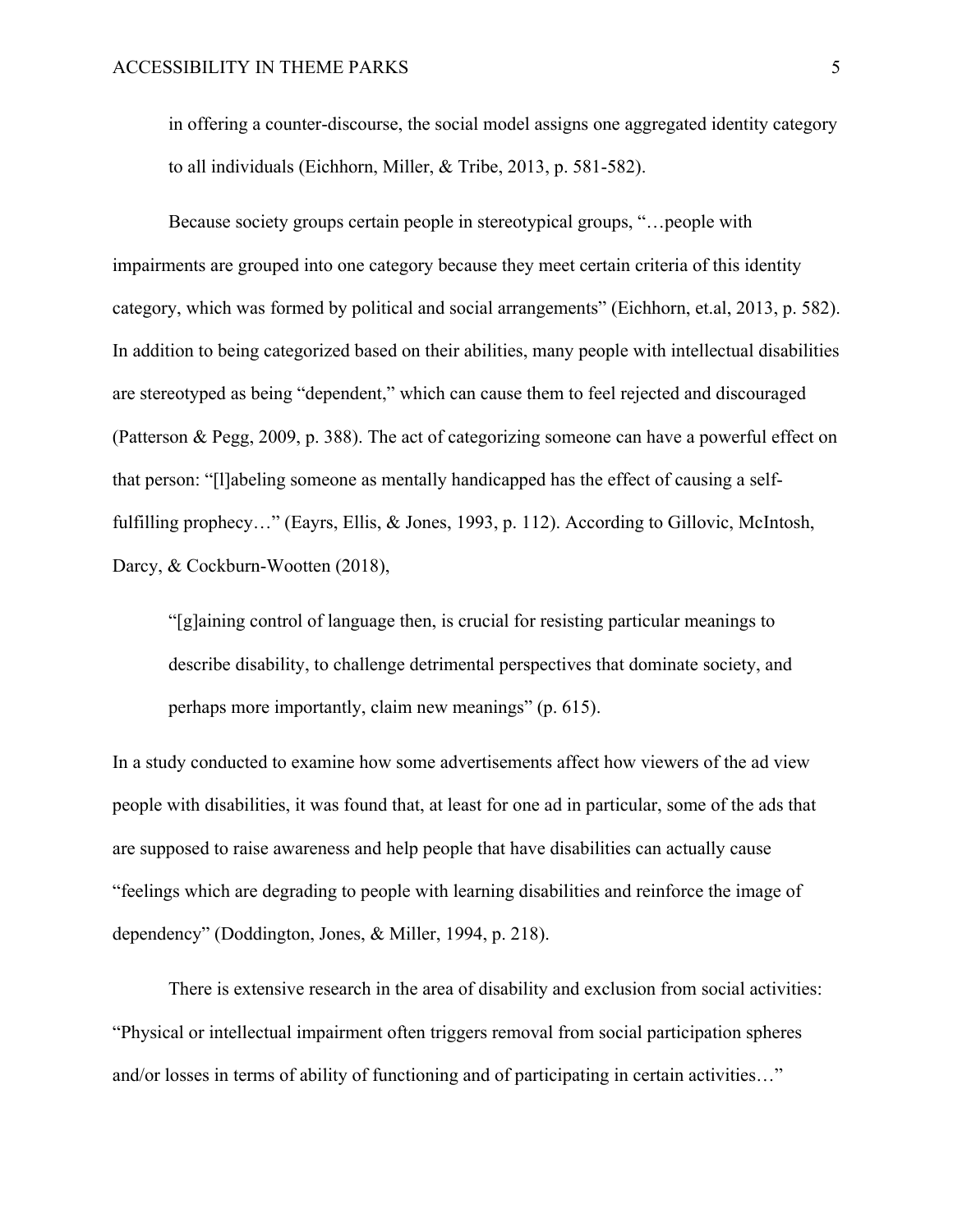in offering a counter-discourse, the social model assigns one aggregated identity category to all individuals (Eichhorn, Miller, & Tribe, 2013, p. 581-582).

Because society groups certain people in stereotypical groups, "…people with impairments are grouped into one category because they meet certain criteria of this identity category, which was formed by political and social arrangements" (Eichhorn, et.al, 2013, p. 582). In addition to being categorized based on their abilities, many people with intellectual disabilities are stereotyped as being "dependent," which can cause them to feel rejected and discouraged (Patterson & Pegg, 2009, p. 388). The act of categorizing someone can have a powerful effect on that person: "[l]abeling someone as mentally handicapped has the effect of causing a selffulfilling prophecy..." (Eayrs, Ellis, & Jones, 1993, p. 112). According to Gillovic, McIntosh, Darcy, & Cockburn-Wootten (2018),

"[g]aining control of language then, is crucial for resisting particular meanings to describe disability, to challenge detrimental perspectives that dominate society, and perhaps more importantly, claim new meanings" (p. 615).

In a study conducted to examine how some advertisements affect how viewers of the ad view people with disabilities, it was found that, at least for one ad in particular, some of the ads that are supposed to raise awareness and help people that have disabilities can actually cause "feelings which are degrading to people with learning disabilities and reinforce the image of dependency" (Doddington, Jones, & Miller, 1994, p. 218).

There is extensive research in the area of disability and exclusion from social activities: "Physical or intellectual impairment often triggers removal from social participation spheres and/or losses in terms of ability of functioning and of participating in certain activities…"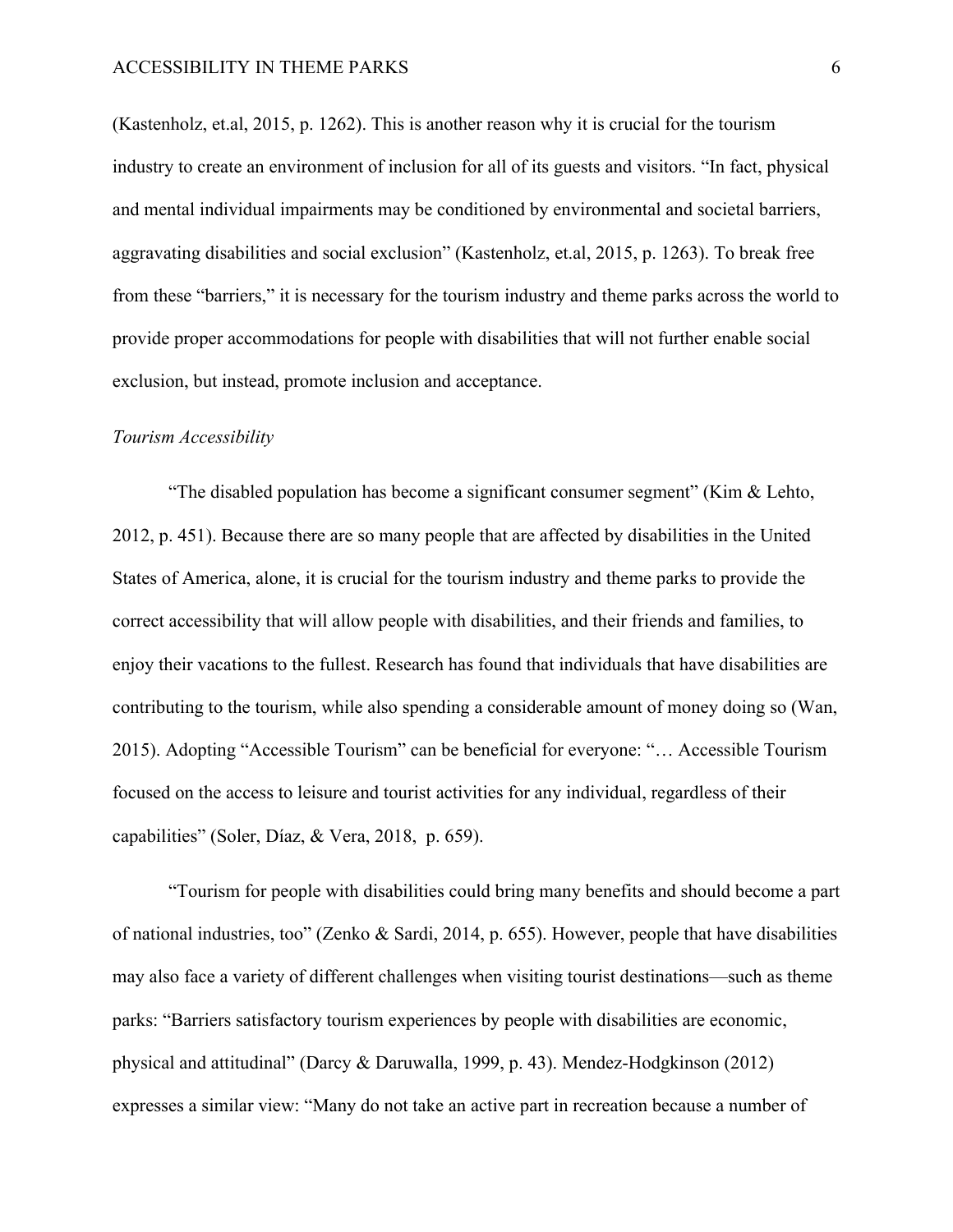(Kastenholz, et.al, 2015, p. 1262). This is another reason why it is crucial for the tourism industry to create an environment of inclusion for all of its guests and visitors. "In fact, physical and mental individual impairments may be conditioned by environmental and societal barriers, aggravating disabilities and social exclusion" (Kastenholz, et.al, 2015, p. 1263). To break free from these "barriers," it is necessary for the tourism industry and theme parks across the world to provide proper accommodations for people with disabilities that will not further enable social exclusion, but instead, promote inclusion and acceptance.

## *Tourism Accessibility*

"The disabled population has become a significant consumer segment" (Kim  $\&$  Lehto, 2012, p. 451). Because there are so many people that are affected by disabilities in the United States of America, alone, it is crucial for the tourism industry and theme parks to provide the correct accessibility that will allow people with disabilities, and their friends and families, to enjoy their vacations to the fullest. Research has found that individuals that have disabilities are contributing to the tourism, while also spending a considerable amount of money doing so (Wan, 2015). Adopting "Accessible Tourism" can be beneficial for everyone: "… Accessible Tourism focused on the access to leisure and tourist activities for any individual, regardless of their capabilities" (Soler, Díaz, & Vera, 2018, p. 659).

"Tourism for people with disabilities could bring many benefits and should become a part of national industries, too" (Zenko & Sardi, 2014, p. 655). However, people that have disabilities may also face a variety of different challenges when visiting tourist destinations—such as theme parks: "Barriers satisfactory tourism experiences by people with disabilities are economic, physical and attitudinal" (Darcy & Daruwalla, 1999, p. 43). Mendez-Hodgkinson (2012) expresses a similar view: "Many do not take an active part in recreation because a number of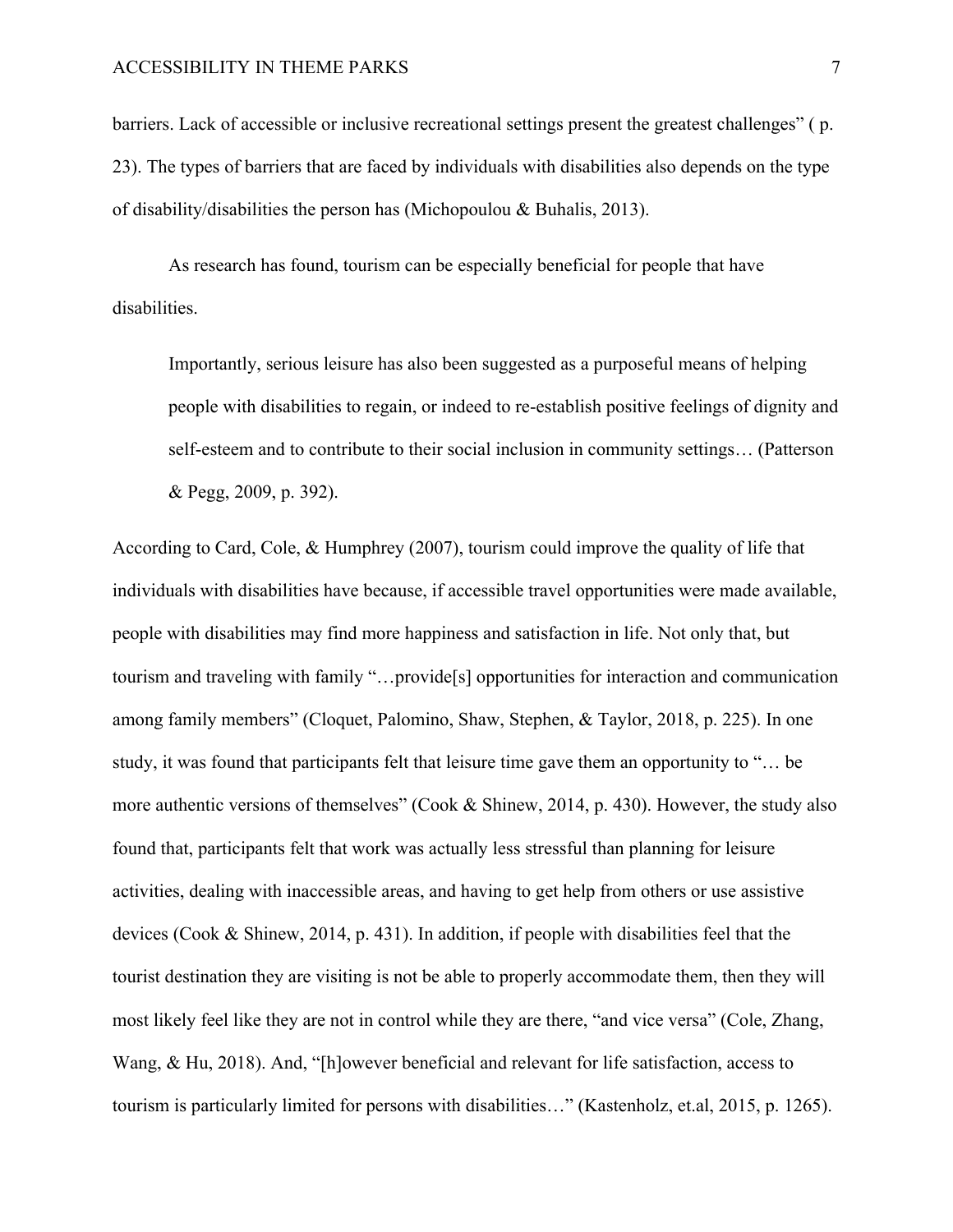barriers. Lack of accessible or inclusive recreational settings present the greatest challenges" ( p. 23). The types of barriers that are faced by individuals with disabilities also depends on the type of disability/disabilities the person has (Michopoulou & Buhalis, 2013).

As research has found, tourism can be especially beneficial for people that have disabilities.

Importantly, serious leisure has also been suggested as a purposeful means of helping people with disabilities to regain, or indeed to re-establish positive feelings of dignity and self-esteem and to contribute to their social inclusion in community settings… (Patterson & Pegg, 2009, p. 392).

According to Card, Cole, & Humphrey (2007), tourism could improve the quality of life that individuals with disabilities have because, if accessible travel opportunities were made available, people with disabilities may find more happiness and satisfaction in life. Not only that, but tourism and traveling with family "…provide[s] opportunities for interaction and communication among family members" (Cloquet, Palomino, Shaw, Stephen, & Taylor, 2018, p. 225). In one study, it was found that participants felt that leisure time gave them an opportunity to "… be more authentic versions of themselves" (Cook & Shinew, 2014, p. 430). However, the study also found that, participants felt that work was actually less stressful than planning for leisure activities, dealing with inaccessible areas, and having to get help from others or use assistive devices (Cook & Shinew, 2014, p. 431). In addition, if people with disabilities feel that the tourist destination they are visiting is not be able to properly accommodate them, then they will most likely feel like they are not in control while they are there, "and vice versa" (Cole, Zhang, Wang, & Hu, 2018). And, "[h]owever beneficial and relevant for life satisfaction, access to tourism is particularly limited for persons with disabilities…" (Kastenholz, et.al, 2015, p. 1265).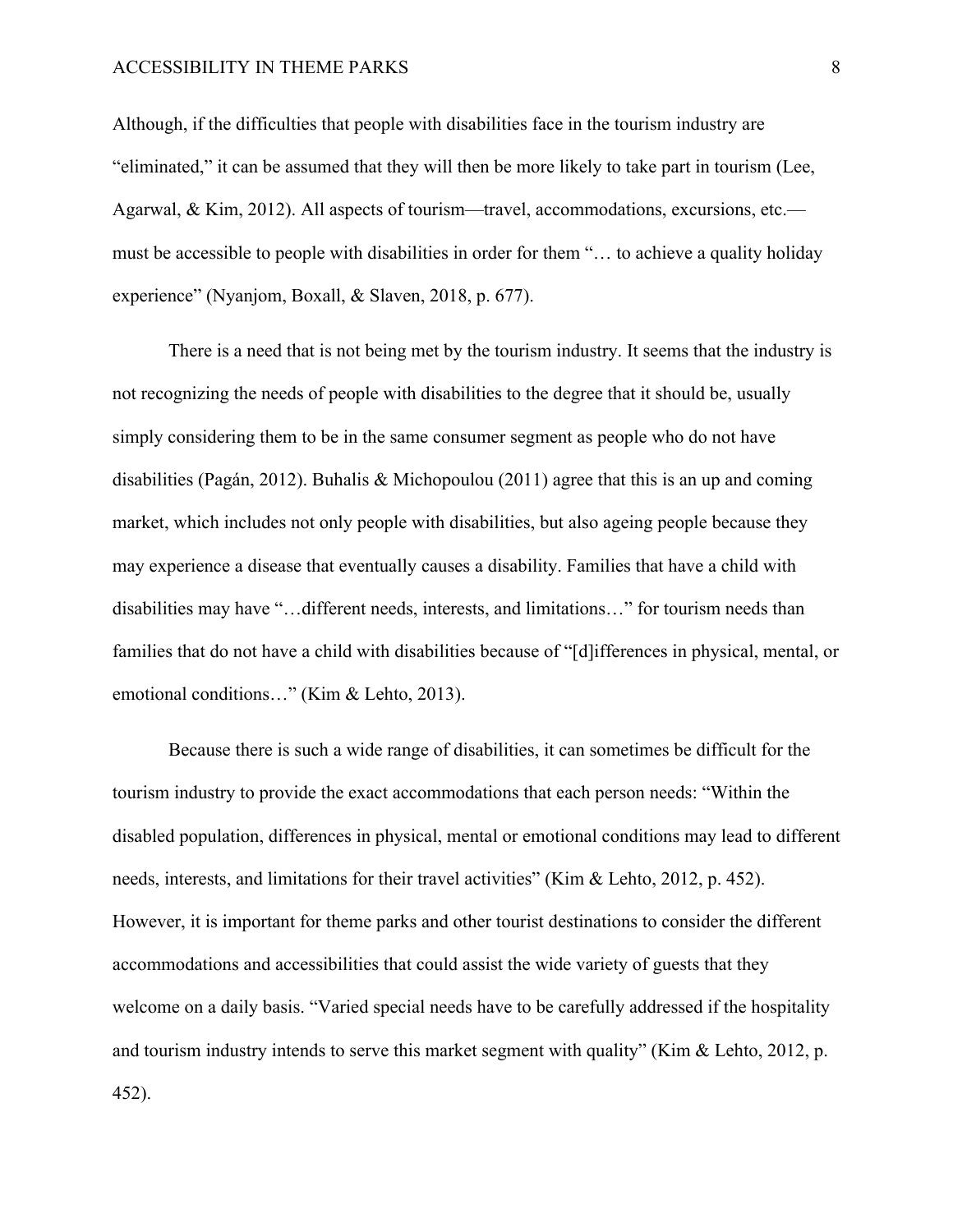Although, if the difficulties that people with disabilities face in the tourism industry are "eliminated," it can be assumed that they will then be more likely to take part in tourism (Lee, Agarwal, & Kim, 2012). All aspects of tourism—travel, accommodations, excursions, etc. must be accessible to people with disabilities in order for them "… to achieve a quality holiday experience" (Nyanjom, Boxall, & Slaven, 2018, p. 677).

There is a need that is not being met by the tourism industry. It seems that the industry is not recognizing the needs of people with disabilities to the degree that it should be, usually simply considering them to be in the same consumer segment as people who do not have disabilities (Pagán, 2012). Buhalis & Michopoulou (2011) agree that this is an up and coming market, which includes not only people with disabilities, but also ageing people because they may experience a disease that eventually causes a disability. Families that have a child with disabilities may have "…different needs, interests, and limitations…" for tourism needs than families that do not have a child with disabilities because of "[d]ifferences in physical, mental, or emotional conditions…" (Kim & Lehto, 2013).

Because there is such a wide range of disabilities, it can sometimes be difficult for the tourism industry to provide the exact accommodations that each person needs: "Within the disabled population, differences in physical, mental or emotional conditions may lead to different needs, interests, and limitations for their travel activities" (Kim & Lehto, 2012, p. 452). However, it is important for theme parks and other tourist destinations to consider the different accommodations and accessibilities that could assist the wide variety of guests that they welcome on a daily basis. "Varied special needs have to be carefully addressed if the hospitality and tourism industry intends to serve this market segment with quality" (Kim & Lehto, 2012, p. 452).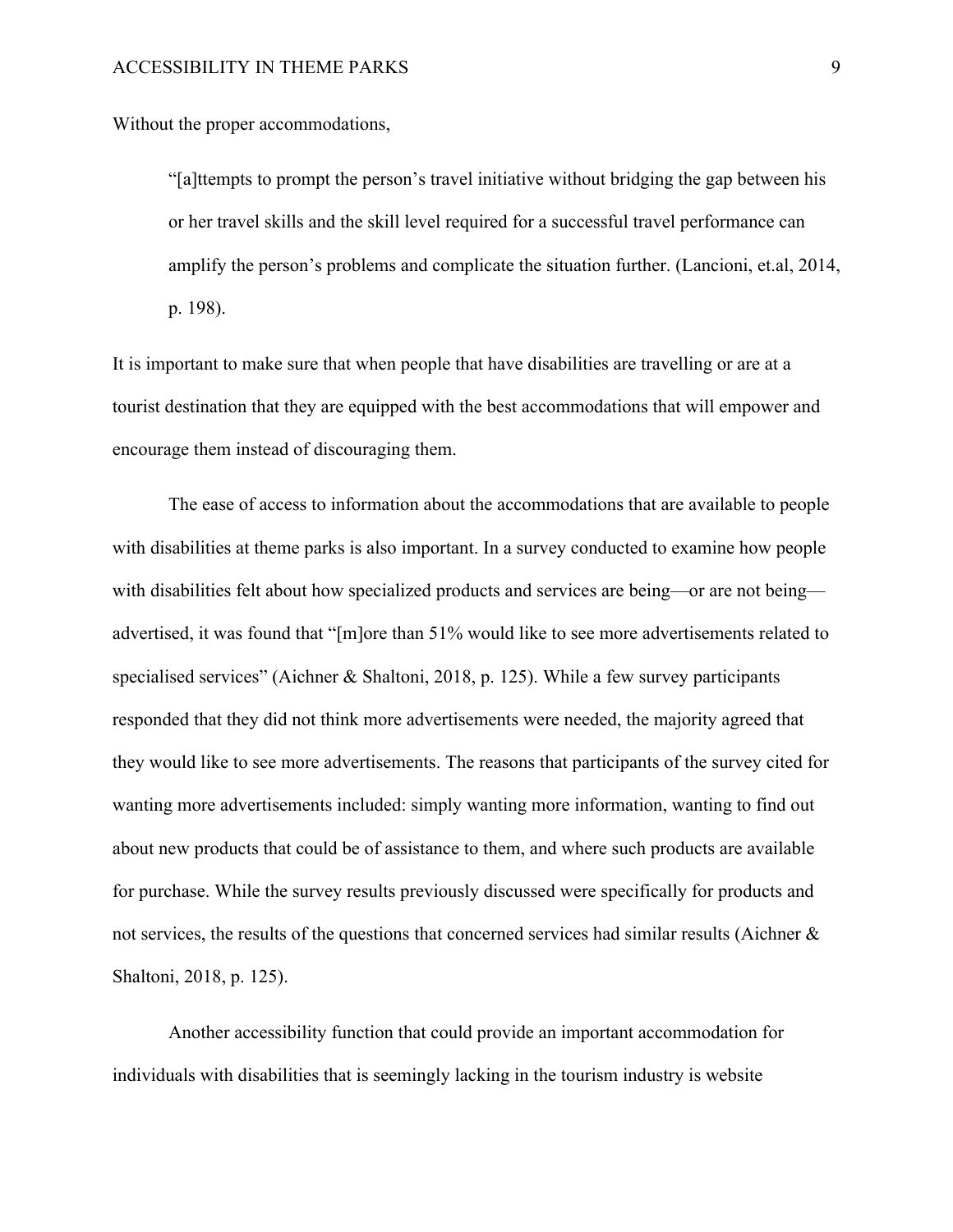Without the proper accommodations,

"[a]ttempts to prompt the person's travel initiative without bridging the gap between his or her travel skills and the skill level required for a successful travel performance can amplify the person's problems and complicate the situation further. (Lancioni, et.al, 2014, p. 198).

It is important to make sure that when people that have disabilities are travelling or are at a tourist destination that they are equipped with the best accommodations that will empower and encourage them instead of discouraging them.

The ease of access to information about the accommodations that are available to people with disabilities at theme parks is also important. In a survey conducted to examine how people with disabilities felt about how specialized products and services are being—or are not being advertised, it was found that "[m]ore than 51% would like to see more advertisements related to specialised services" (Aichner & Shaltoni, 2018, p. 125). While a few survey participants responded that they did not think more advertisements were needed, the majority agreed that they would like to see more advertisements. The reasons that participants of the survey cited for wanting more advertisements included: simply wanting more information, wanting to find out about new products that could be of assistance to them, and where such products are available for purchase. While the survey results previously discussed were specifically for products and not services, the results of the questions that concerned services had similar results (Aichner & Shaltoni, 2018, p. 125).

Another accessibility function that could provide an important accommodation for individuals with disabilities that is seemingly lacking in the tourism industry is website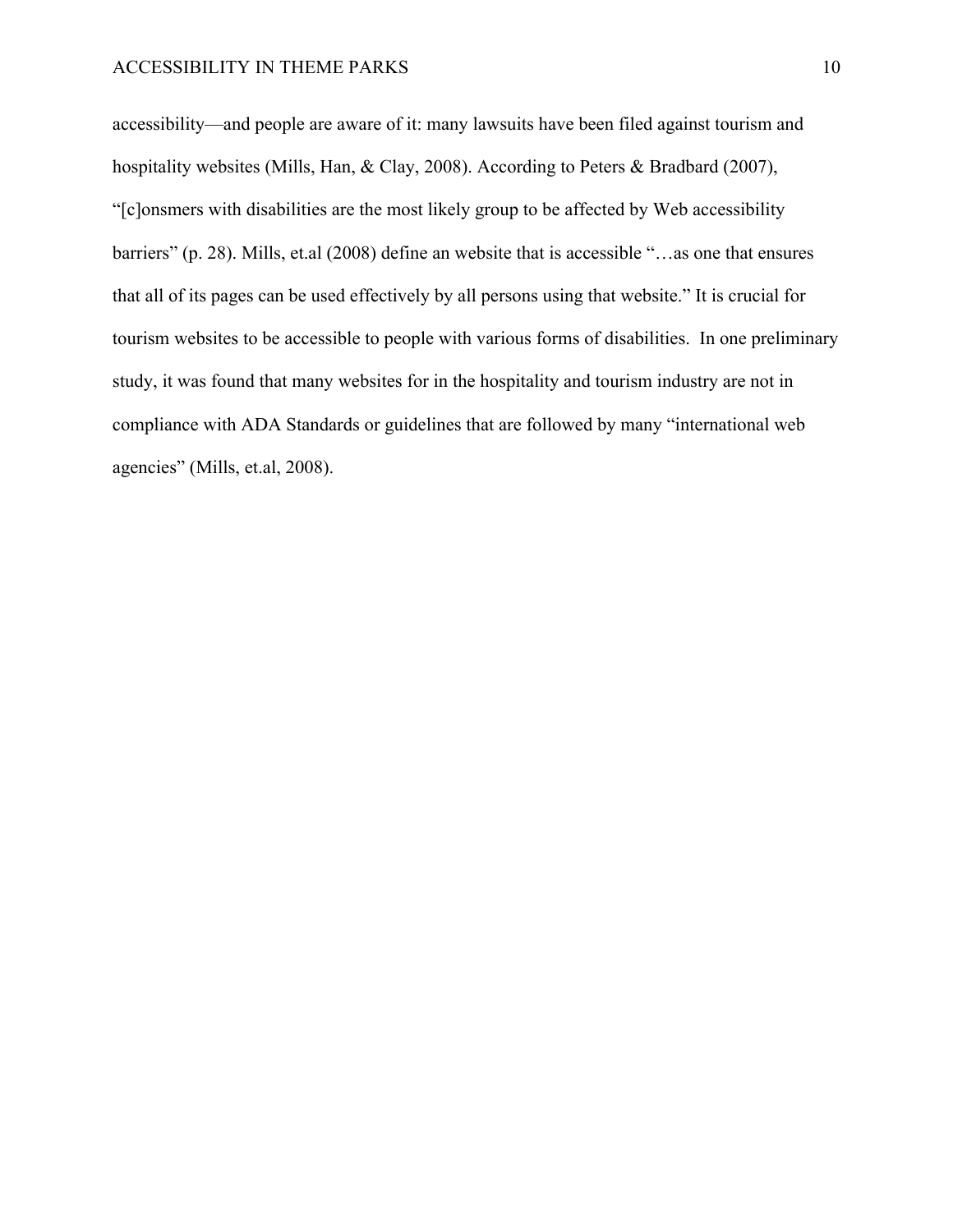accessibility—and people are aware of it: many lawsuits have been filed against tourism and hospitality websites (Mills, Han, & Clay, 2008). According to Peters & Bradbard (2007), "[c]onsmers with disabilities are the most likely group to be affected by Web accessibility barriers" (p. 28). Mills, et.al (2008) define an website that is accessible "…as one that ensures that all of its pages can be used effectively by all persons using that website." It is crucial for tourism websites to be accessible to people with various forms of disabilities. In one preliminary study, it was found that many websites for in the hospitality and tourism industry are not in compliance with ADA Standards or guidelines that are followed by many "international web agencies" (Mills, et.al, 2008).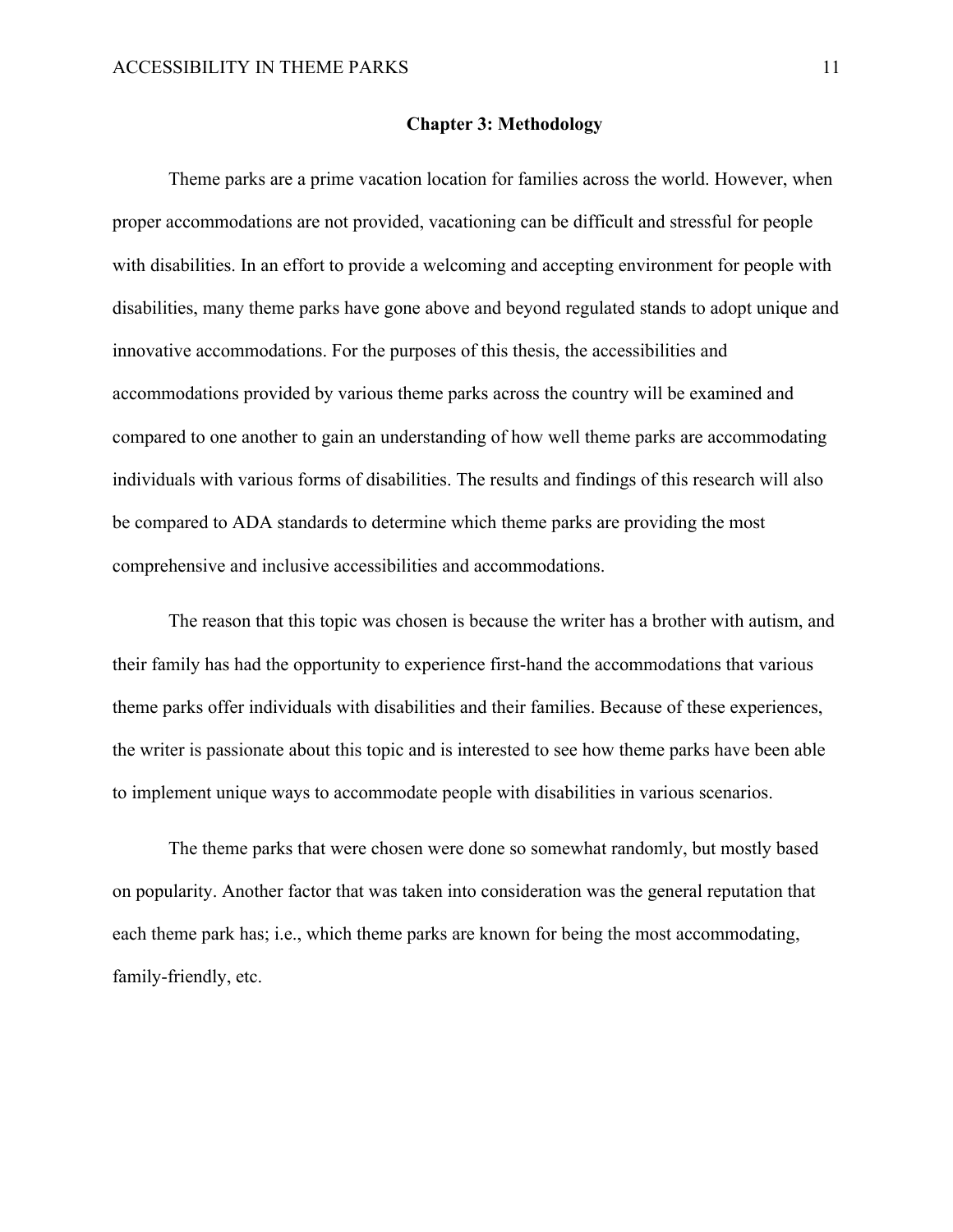#### **Chapter 3: Methodology**

Theme parks are a prime vacation location for families across the world. However, when proper accommodations are not provided, vacationing can be difficult and stressful for people with disabilities. In an effort to provide a welcoming and accepting environment for people with disabilities, many theme parks have gone above and beyond regulated stands to adopt unique and innovative accommodations. For the purposes of this thesis, the accessibilities and accommodations provided by various theme parks across the country will be examined and compared to one another to gain an understanding of how well theme parks are accommodating individuals with various forms of disabilities. The results and findings of this research will also be compared to ADA standards to determine which theme parks are providing the most comprehensive and inclusive accessibilities and accommodations.

The reason that this topic was chosen is because the writer has a brother with autism, and their family has had the opportunity to experience first-hand the accommodations that various theme parks offer individuals with disabilities and their families. Because of these experiences, the writer is passionate about this topic and is interested to see how theme parks have been able to implement unique ways to accommodate people with disabilities in various scenarios.

The theme parks that were chosen were done so somewhat randomly, but mostly based on popularity. Another factor that was taken into consideration was the general reputation that each theme park has; i.e., which theme parks are known for being the most accommodating, family-friendly, etc.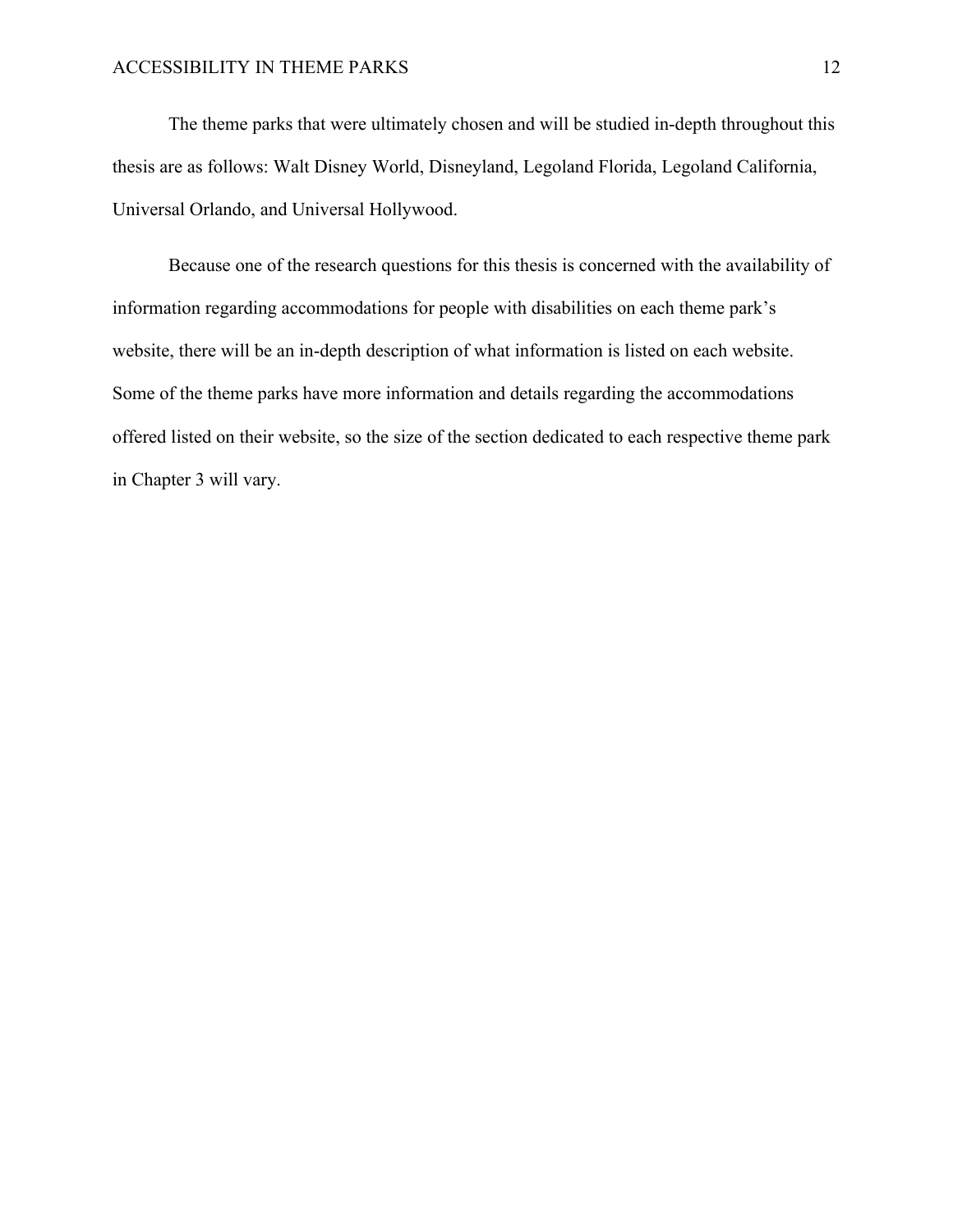The theme parks that were ultimately chosen and will be studied in-depth throughout this thesis are as follows: Walt Disney World, Disneyland, Legoland Florida, Legoland California, Universal Orlando, and Universal Hollywood.

Because one of the research questions for this thesis is concerned with the availability of information regarding accommodations for people with disabilities on each theme park's website, there will be an in-depth description of what information is listed on each website. Some of the theme parks have more information and details regarding the accommodations offered listed on their website, so the size of the section dedicated to each respective theme park in Chapter 3 will vary.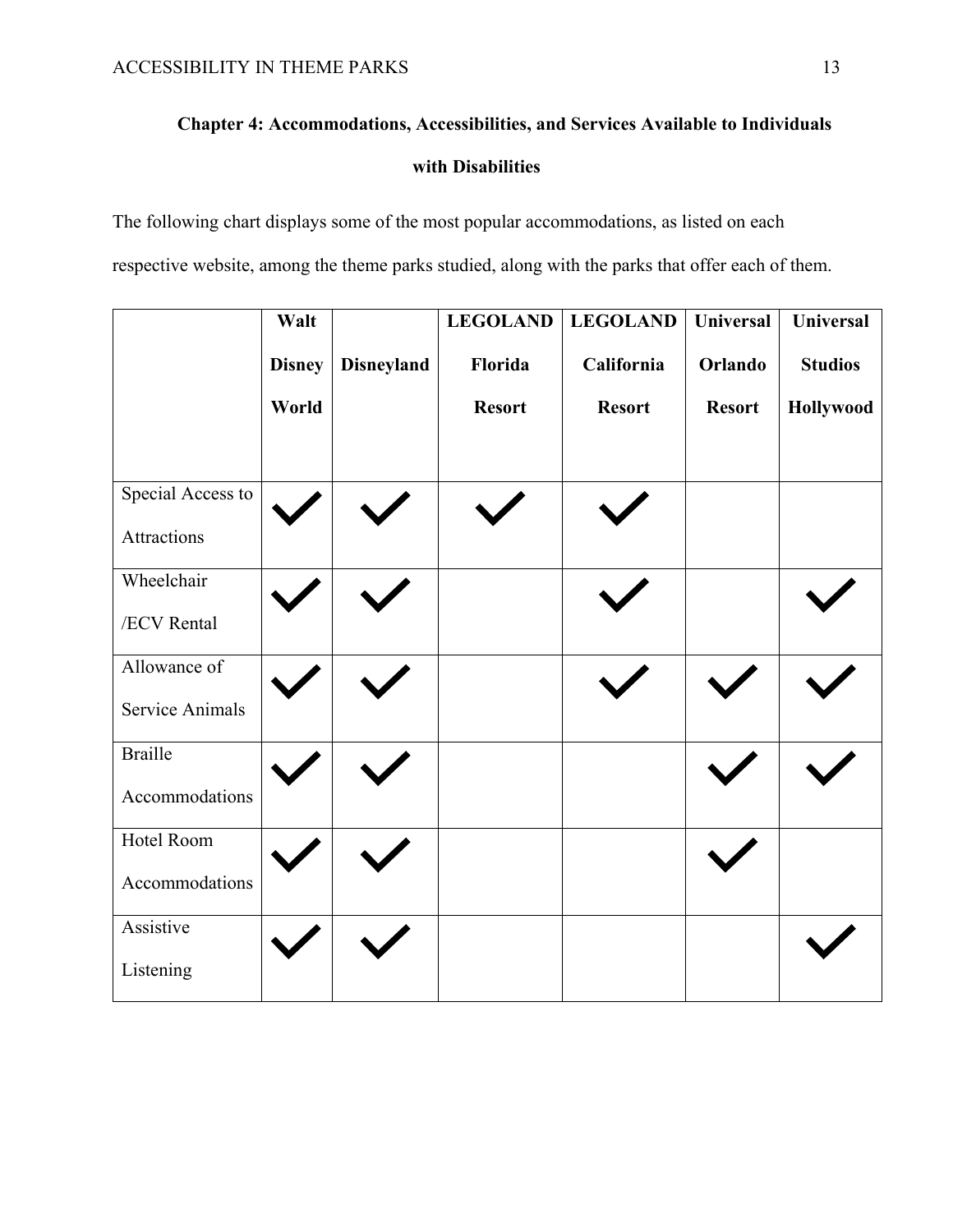# **Chapter 4: Accommodations, Accessibilities, and Services Available to Individuals with Disabilities**

The following chart displays some of the most popular accommodations, as listed on each respective website, among the theme parks studied, along with the parks that offer each of them.

|                        | Walt          |                   | <b>LEGOLAND</b> | <b>LEGOLAND</b> | <b>Universal</b> | <b>Universal</b> |
|------------------------|---------------|-------------------|-----------------|-----------------|------------------|------------------|
|                        | <b>Disney</b> | <b>Disneyland</b> | Florida         | California      | Orlando          | <b>Studios</b>   |
|                        | World         |                   | <b>Resort</b>   | <b>Resort</b>   | <b>Resort</b>    | Hollywood        |
| Special Access to      |               |                   |                 |                 |                  |                  |
| Attractions            |               |                   |                 |                 |                  |                  |
| Wheelchair             |               |                   |                 |                 |                  |                  |
| /ECV Rental            |               |                   |                 |                 |                  |                  |
| Allowance of           |               |                   |                 |                 |                  |                  |
| <b>Service Animals</b> |               |                   |                 |                 |                  |                  |
| <b>Braille</b>         |               |                   |                 |                 |                  |                  |
| Accommodations         |               |                   |                 |                 |                  |                  |
| Hotel Room             |               |                   |                 |                 |                  |                  |
| Accommodations         |               |                   |                 |                 |                  |                  |
| Assistive              |               |                   |                 |                 |                  |                  |
| Listening              |               |                   |                 |                 |                  |                  |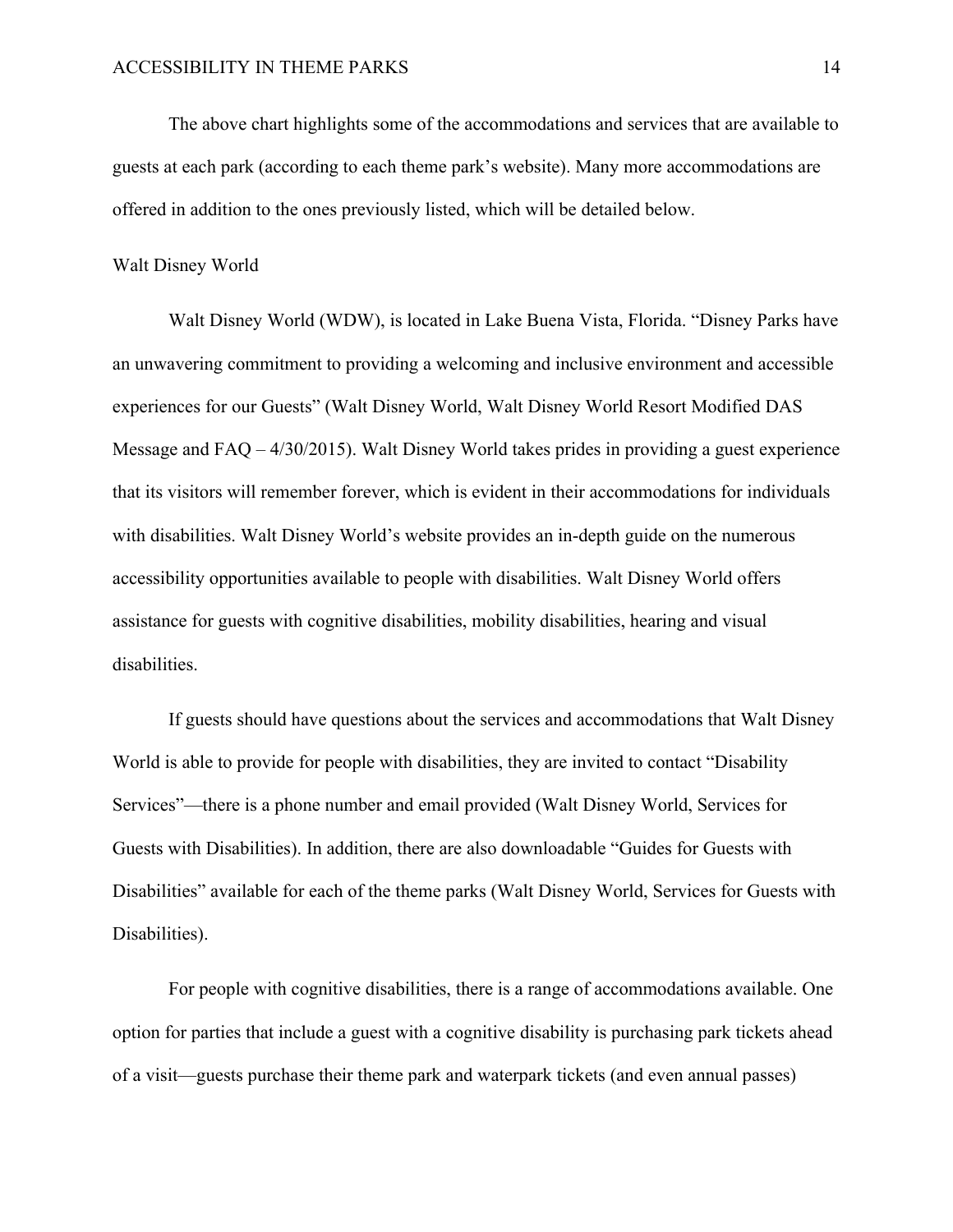The above chart highlights some of the accommodations and services that are available to guests at each park (according to each theme park's website). Many more accommodations are offered in addition to the ones previously listed, which will be detailed below.

## Walt Disney World

Walt Disney World (WDW), is located in Lake Buena Vista, Florida. "Disney Parks have an unwavering commitment to providing a welcoming and inclusive environment and accessible experiences for our Guests" (Walt Disney World, Walt Disney World Resort Modified DAS Message and FAQ – 4/30/2015). Walt Disney World takes prides in providing a guest experience that its visitors will remember forever, which is evident in their accommodations for individuals with disabilities. Walt Disney World's website provides an in-depth guide on the numerous accessibility opportunities available to people with disabilities. Walt Disney World offers assistance for guests with cognitive disabilities, mobility disabilities, hearing and visual disabilities.

If guests should have questions about the services and accommodations that Walt Disney World is able to provide for people with disabilities, they are invited to contact "Disability Services"—there is a phone number and email provided (Walt Disney World, Services for Guests with Disabilities). In addition, there are also downloadable "Guides for Guests with Disabilities" available for each of the theme parks (Walt Disney World, Services for Guests with Disabilities).

For people with cognitive disabilities, there is a range of accommodations available. One option for parties that include a guest with a cognitive disability is purchasing park tickets ahead of a visit—guests purchase their theme park and waterpark tickets (and even annual passes)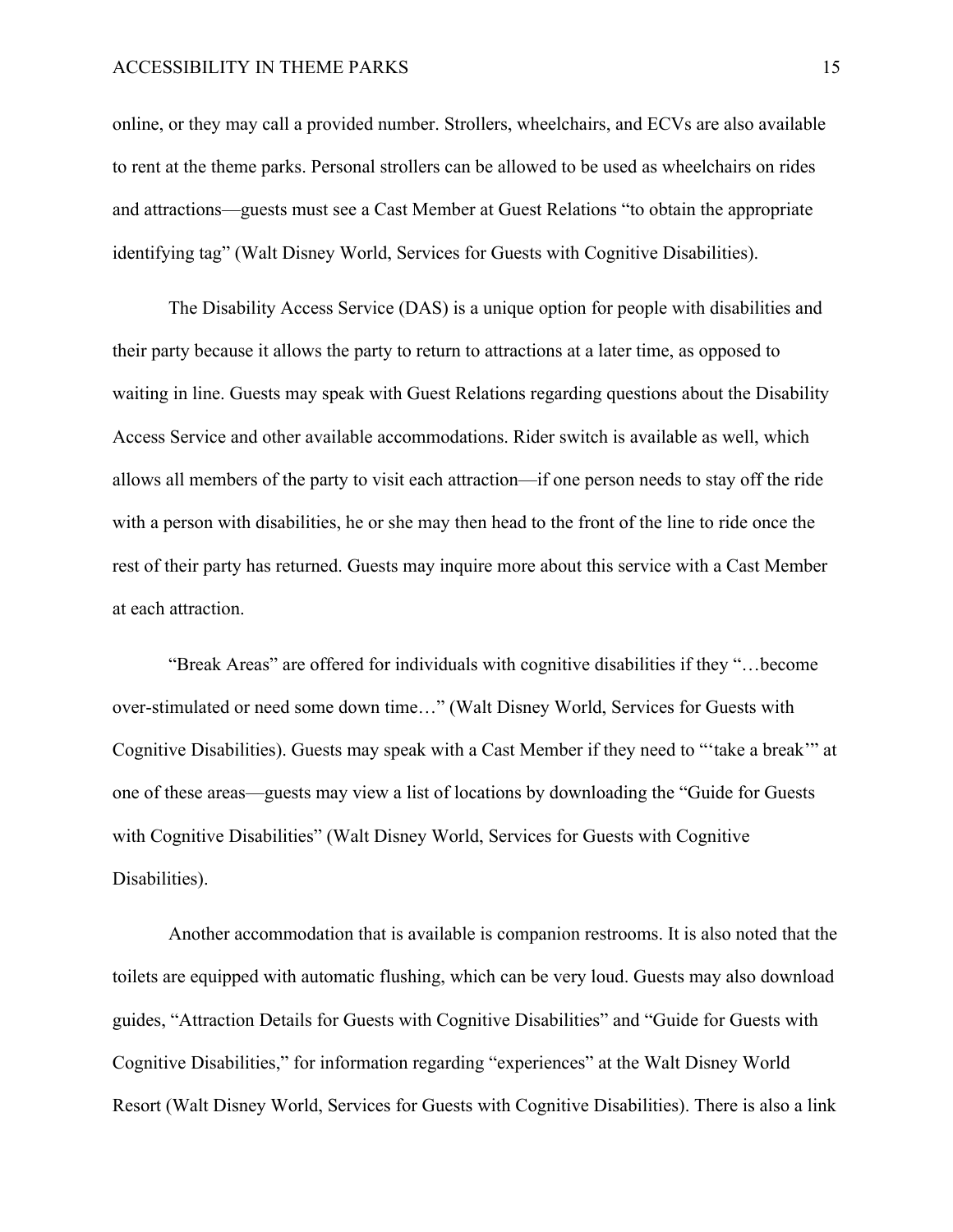online, or they may call a provided number. Strollers, wheelchairs, and ECVs are also available to rent at the theme parks. Personal strollers can be allowed to be used as wheelchairs on rides and attractions—guests must see a Cast Member at Guest Relations "to obtain the appropriate identifying tag" (Walt Disney World, Services for Guests with Cognitive Disabilities).

The Disability Access Service (DAS) is a unique option for people with disabilities and their party because it allows the party to return to attractions at a later time, as opposed to waiting in line. Guests may speak with Guest Relations regarding questions about the Disability Access Service and other available accommodations. Rider switch is available as well, which allows all members of the party to visit each attraction—if one person needs to stay off the ride with a person with disabilities, he or she may then head to the front of the line to ride once the rest of their party has returned. Guests may inquire more about this service with a Cast Member at each attraction.

"Break Areas" are offered for individuals with cognitive disabilities if they "…become over-stimulated or need some down time…" (Walt Disney World, Services for Guests with Cognitive Disabilities). Guests may speak with a Cast Member if they need to "'take a break'" at one of these areas—guests may view a list of locations by downloading the "Guide for Guests with Cognitive Disabilities" (Walt Disney World, Services for Guests with Cognitive Disabilities).

Another accommodation that is available is companion restrooms. It is also noted that the toilets are equipped with automatic flushing, which can be very loud. Guests may also download guides, "Attraction Details for Guests with Cognitive Disabilities" and "Guide for Guests with Cognitive Disabilities," for information regarding "experiences" at the Walt Disney World Resort (Walt Disney World, Services for Guests with Cognitive Disabilities). There is also a link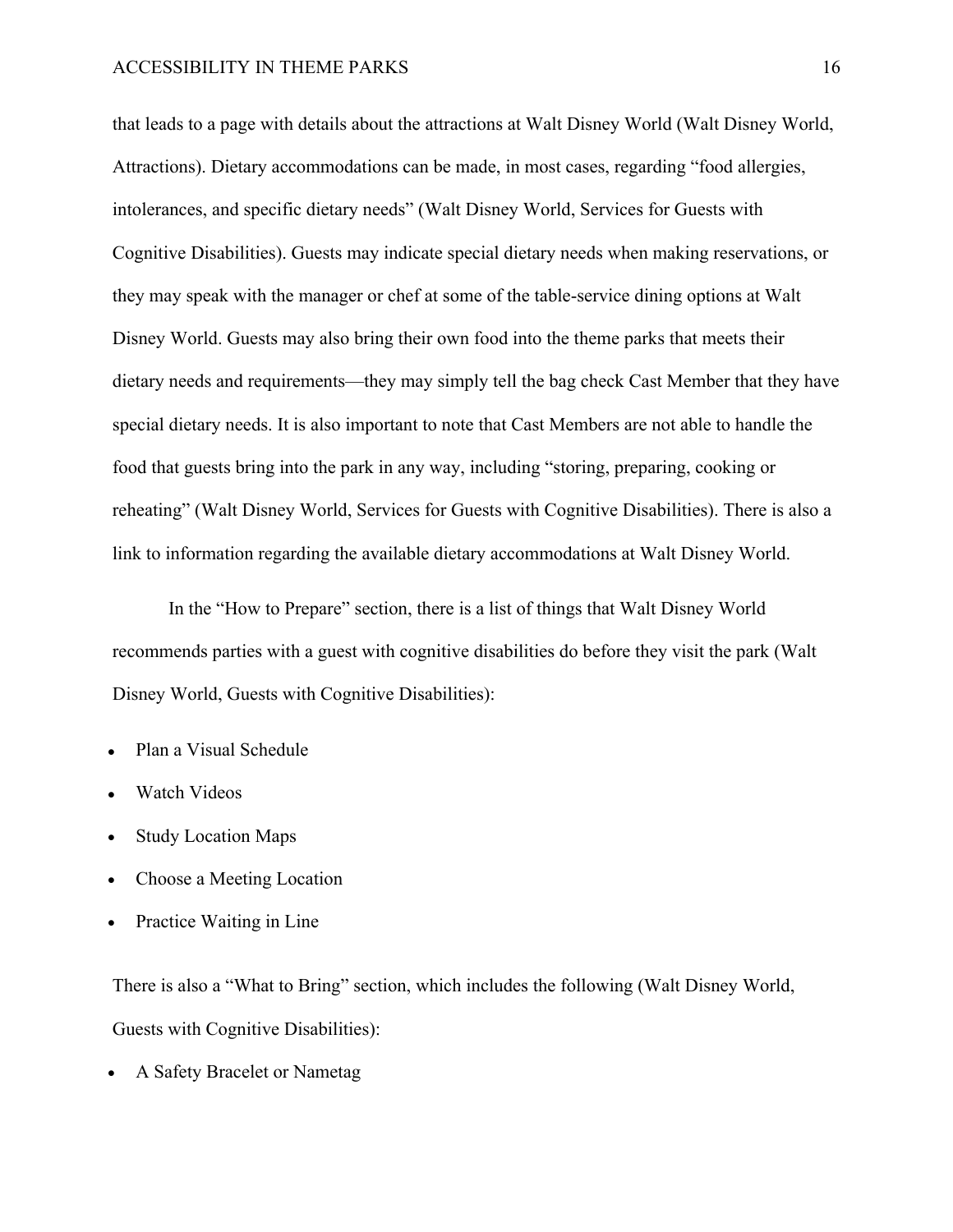that leads to a page with details about the attractions at Walt Disney World (Walt Disney World, Attractions). Dietary accommodations can be made, in most cases, regarding "food allergies, intolerances, and specific dietary needs" (Walt Disney World, Services for Guests with Cognitive Disabilities). Guests may indicate special dietary needs when making reservations, or they may speak with the manager or chef at some of the table-service dining options at Walt Disney World. Guests may also bring their own food into the theme parks that meets their dietary needs and requirements—they may simply tell the bag check Cast Member that they have special dietary needs. It is also important to note that Cast Members are not able to handle the food that guests bring into the park in any way, including "storing, preparing, cooking or reheating" (Walt Disney World, Services for Guests with Cognitive Disabilities). There is also a link to information regarding the available dietary accommodations at Walt Disney World.

In the "How to Prepare" section, there is a list of things that Walt Disney World recommends parties with a guest with cognitive disabilities do before they visit the park (Walt Disney World, Guests with Cognitive Disabilities):

- Plan a Visual Schedule
- Watch Videos
- Study Location Maps
- Choose a Meeting Location
- Practice Waiting in Line

There is also a "What to Bring" section, which includes the following (Walt Disney World, Guests with Cognitive Disabilities):

• A Safety Bracelet or Nametag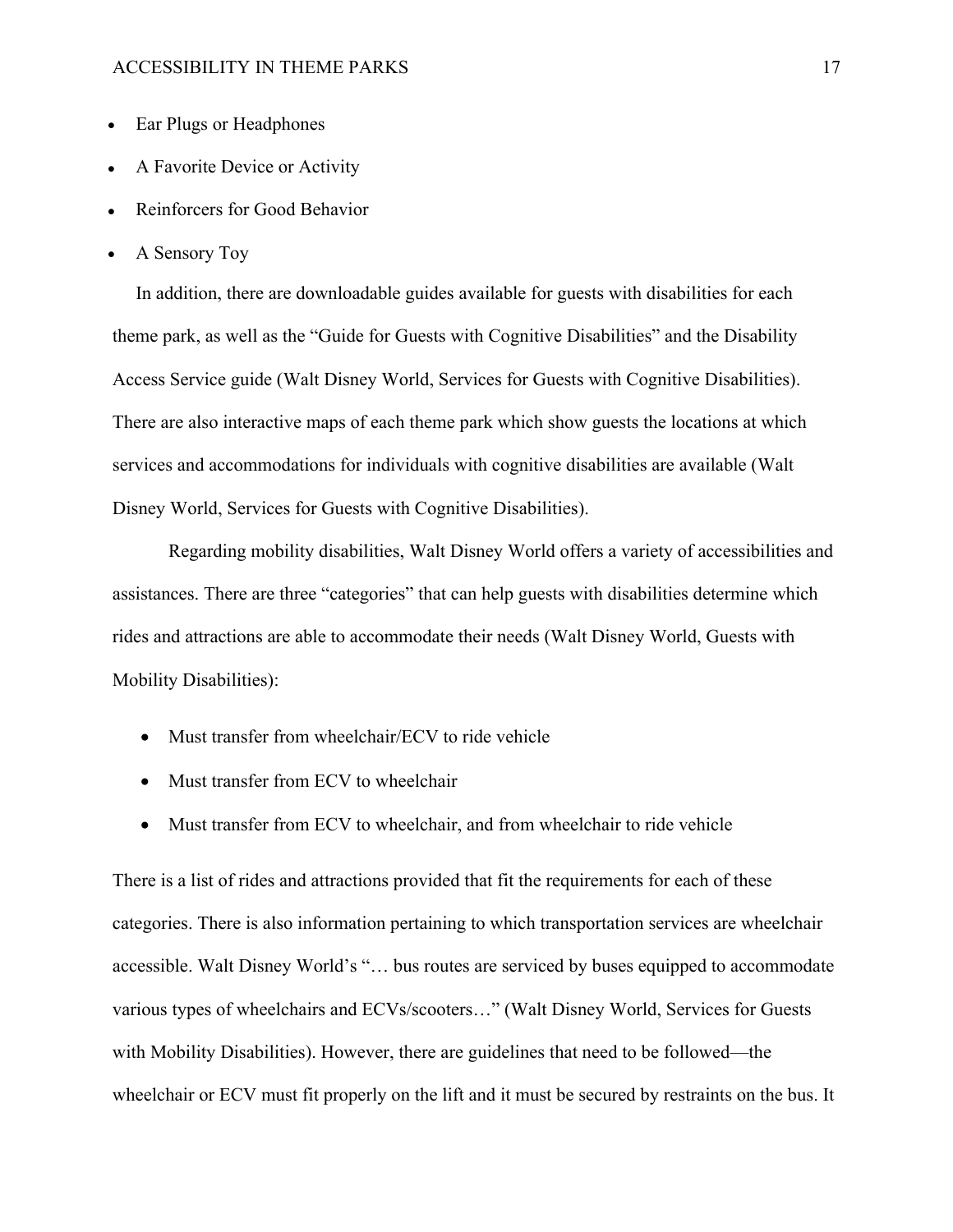- Ear Plugs or Headphones
- A Favorite Device or Activity
- Reinforcers for Good Behavior
- A Sensory Toy

In addition, there are downloadable guides available for guests with disabilities for each theme park, as well as the "Guide for Guests with Cognitive Disabilities" and the Disability Access Service guide (Walt Disney World, Services for Guests with Cognitive Disabilities). There are also interactive maps of each theme park which show guests the locations at which services and accommodations for individuals with cognitive disabilities are available (Walt Disney World, Services for Guests with Cognitive Disabilities).

Regarding mobility disabilities, Walt Disney World offers a variety of accessibilities and assistances. There are three "categories" that can help guests with disabilities determine which rides and attractions are able to accommodate their needs (Walt Disney World, Guests with Mobility Disabilities):

- Must transfer from wheelchair/ECV to ride vehicle
- Must transfer from ECV to wheelchair
- Must transfer from ECV to wheelchair, and from wheelchair to ride vehicle

There is a list of rides and attractions provided that fit the requirements for each of these categories. There is also information pertaining to which transportation services are wheelchair accessible. Walt Disney World's "… bus routes are serviced by buses equipped to accommodate various types of wheelchairs and ECVs/scooters…" (Walt Disney World, Services for Guests with Mobility Disabilities). However, there are guidelines that need to be followed—the wheelchair or ECV must fit properly on the lift and it must be secured by restraints on the bus. It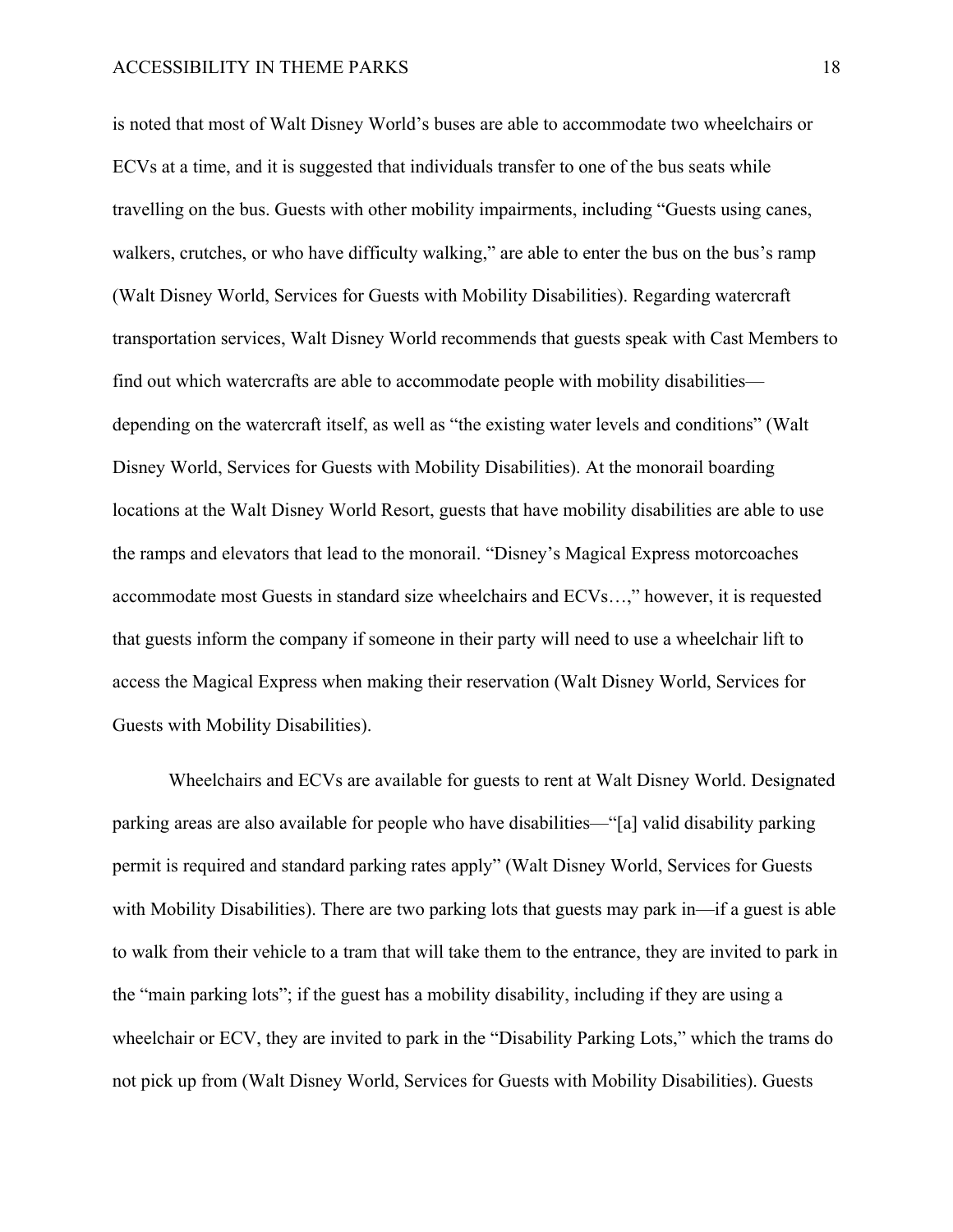is noted that most of Walt Disney World's buses are able to accommodate two wheelchairs or ECVs at a time, and it is suggested that individuals transfer to one of the bus seats while travelling on the bus. Guests with other mobility impairments, including "Guests using canes, walkers, crutches, or who have difficulty walking," are able to enter the bus on the bus's ramp (Walt Disney World, Services for Guests with Mobility Disabilities). Regarding watercraft transportation services, Walt Disney World recommends that guests speak with Cast Members to find out which watercrafts are able to accommodate people with mobility disabilities depending on the watercraft itself, as well as "the existing water levels and conditions" (Walt Disney World, Services for Guests with Mobility Disabilities). At the monorail boarding locations at the Walt Disney World Resort, guests that have mobility disabilities are able to use the ramps and elevators that lead to the monorail. "Disney's Magical Express motorcoaches accommodate most Guests in standard size wheelchairs and ECVs…," however, it is requested that guests inform the company if someone in their party will need to use a wheelchair lift to access the Magical Express when making their reservation (Walt Disney World, Services for Guests with Mobility Disabilities).

Wheelchairs and ECVs are available for guests to rent at Walt Disney World. Designated parking areas are also available for people who have disabilities—"[a] valid disability parking permit is required and standard parking rates apply" (Walt Disney World, Services for Guests with Mobility Disabilities). There are two parking lots that guests may park in—if a guest is able to walk from their vehicle to a tram that will take them to the entrance, they are invited to park in the "main parking lots"; if the guest has a mobility disability, including if they are using a wheelchair or ECV, they are invited to park in the "Disability Parking Lots," which the trams do not pick up from (Walt Disney World, Services for Guests with Mobility Disabilities). Guests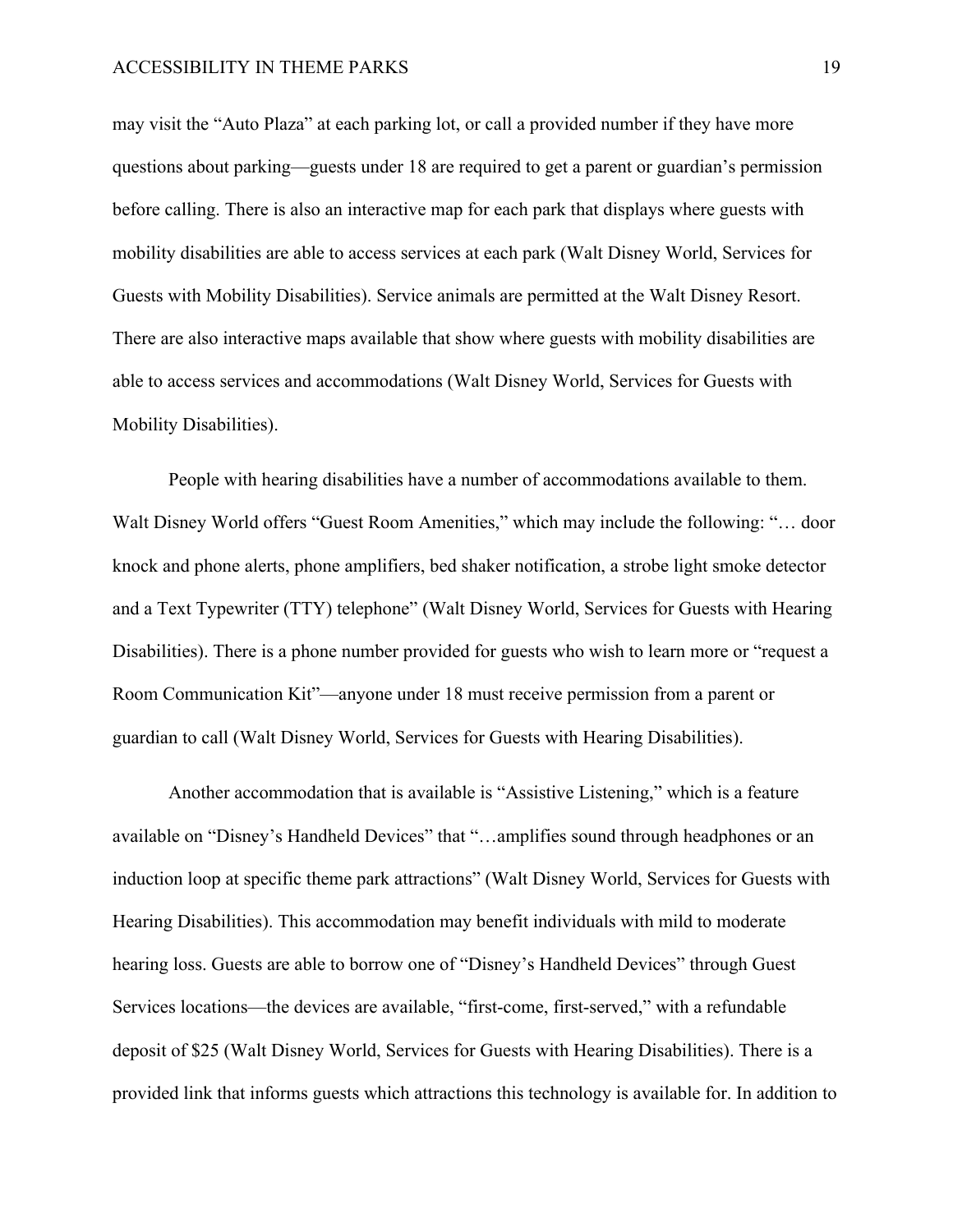may visit the "Auto Plaza" at each parking lot, or call a provided number if they have more questions about parking—guests under 18 are required to get a parent or guardian's permission before calling. There is also an interactive map for each park that displays where guests with mobility disabilities are able to access services at each park (Walt Disney World, Services for Guests with Mobility Disabilities). Service animals are permitted at the Walt Disney Resort. There are also interactive maps available that show where guests with mobility disabilities are able to access services and accommodations (Walt Disney World, Services for Guests with Mobility Disabilities).

People with hearing disabilities have a number of accommodations available to them. Walt Disney World offers "Guest Room Amenities," which may include the following: "… door knock and phone alerts, phone amplifiers, bed shaker notification, a strobe light smoke detector and a Text Typewriter (TTY) telephone" (Walt Disney World, Services for Guests with Hearing Disabilities). There is a phone number provided for guests who wish to learn more or "request a Room Communication Kit"—anyone under 18 must receive permission from a parent or guardian to call (Walt Disney World, Services for Guests with Hearing Disabilities).

Another accommodation that is available is "Assistive Listening," which is a feature available on "Disney's Handheld Devices" that "…amplifies sound through headphones or an induction loop at specific theme park attractions" (Walt Disney World, Services for Guests with Hearing Disabilities). This accommodation may benefit individuals with mild to moderate hearing loss. Guests are able to borrow one of "Disney's Handheld Devices" through Guest Services locations—the devices are available, "first-come, first-served," with a refundable deposit of \$25 (Walt Disney World, Services for Guests with Hearing Disabilities). There is a provided link that informs guests which attractions this technology is available for. In addition to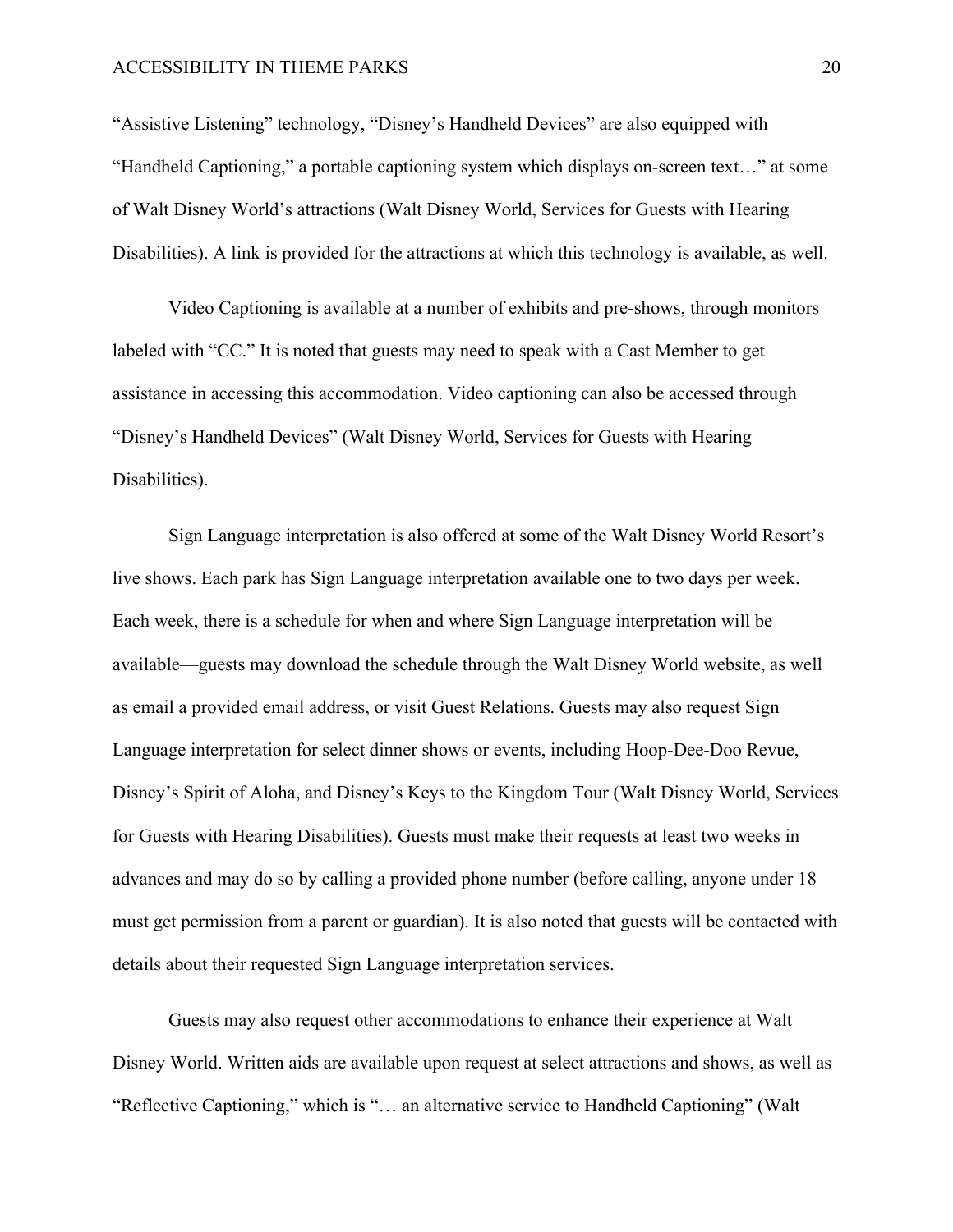"Assistive Listening" technology, "Disney's Handheld Devices" are also equipped with "Handheld Captioning," a portable captioning system which displays on-screen text…" at some of Walt Disney World's attractions (Walt Disney World, Services for Guests with Hearing Disabilities). A link is provided for the attractions at which this technology is available, as well.

Video Captioning is available at a number of exhibits and pre-shows, through monitors labeled with "CC." It is noted that guests may need to speak with a Cast Member to get assistance in accessing this accommodation. Video captioning can also be accessed through "Disney's Handheld Devices" (Walt Disney World, Services for Guests with Hearing Disabilities).

Sign Language interpretation is also offered at some of the Walt Disney World Resort's live shows. Each park has Sign Language interpretation available one to two days per week. Each week, there is a schedule for when and where Sign Language interpretation will be available—guests may download the schedule through the Walt Disney World website, as well as email a provided email address, or visit Guest Relations. Guests may also request Sign Language interpretation for select dinner shows or events, including Hoop-Dee-Doo Revue, Disney's Spirit of Aloha, and Disney's Keys to the Kingdom Tour (Walt Disney World, Services for Guests with Hearing Disabilities). Guests must make their requests at least two weeks in advances and may do so by calling a provided phone number (before calling, anyone under 18 must get permission from a parent or guardian). It is also noted that guests will be contacted with details about their requested Sign Language interpretation services.

Guests may also request other accommodations to enhance their experience at Walt Disney World. Written aids are available upon request at select attractions and shows, as well as "Reflective Captioning," which is "… an alternative service to Handheld Captioning" (Walt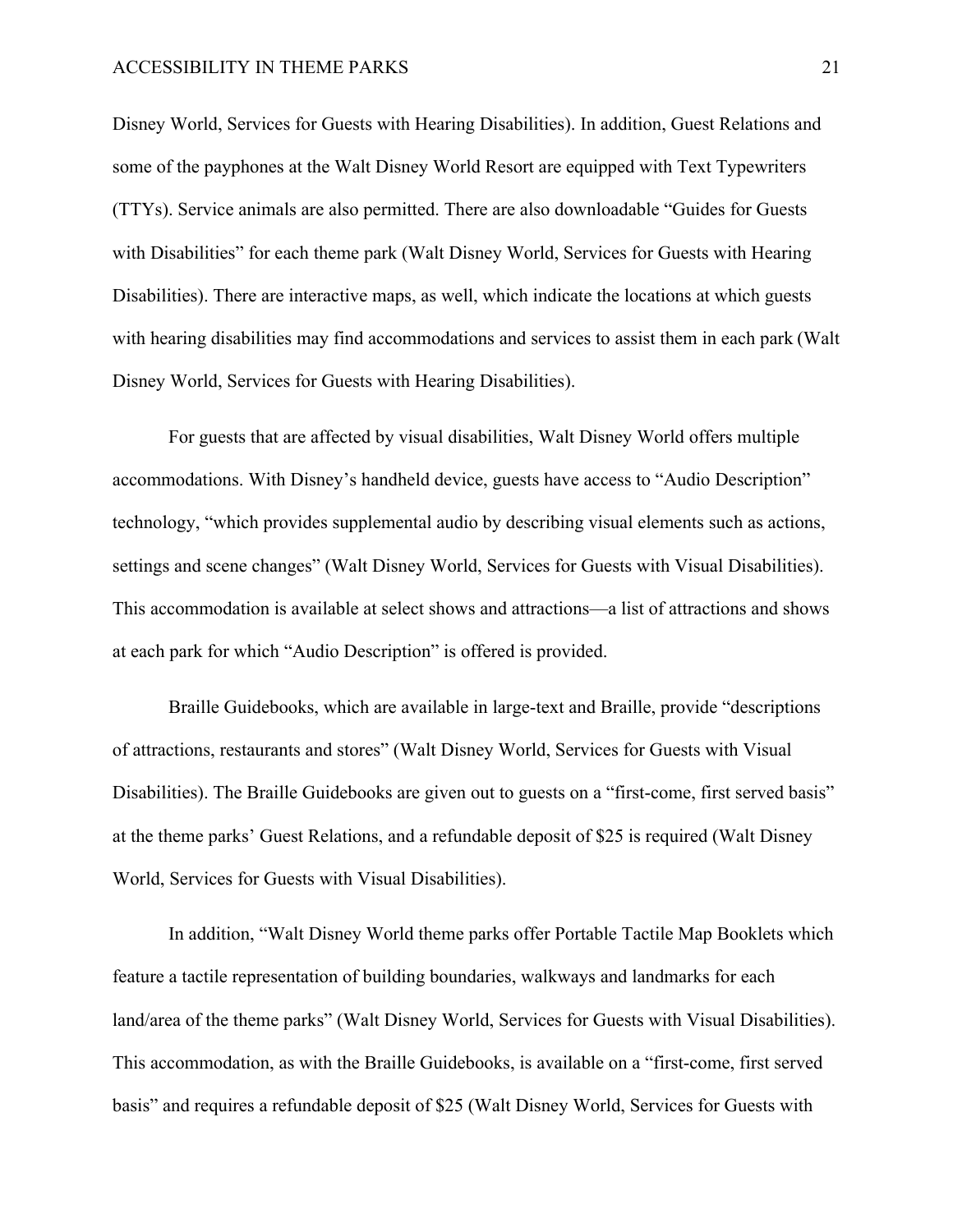Disney World, Services for Guests with Hearing Disabilities). In addition, Guest Relations and some of the payphones at the Walt Disney World Resort are equipped with Text Typewriters (TTYs). Service animals are also permitted. There are also downloadable "Guides for Guests with Disabilities" for each theme park (Walt Disney World, Services for Guests with Hearing Disabilities). There are interactive maps, as well, which indicate the locations at which guests with hearing disabilities may find accommodations and services to assist them in each park (Walt Disney World, Services for Guests with Hearing Disabilities).

For guests that are affected by visual disabilities, Walt Disney World offers multiple accommodations. With Disney's handheld device, guests have access to "Audio Description" technology, "which provides supplemental audio by describing visual elements such as actions, settings and scene changes" (Walt Disney World, Services for Guests with Visual Disabilities). This accommodation is available at select shows and attractions—a list of attractions and shows at each park for which "Audio Description" is offered is provided.

Braille Guidebooks, which are available in large-text and Braille, provide "descriptions of attractions, restaurants and stores" (Walt Disney World, Services for Guests with Visual Disabilities). The Braille Guidebooks are given out to guests on a "first-come, first served basis" at the theme parks' Guest Relations, and a refundable deposit of \$25 is required (Walt Disney World, Services for Guests with Visual Disabilities).

In addition, "Walt Disney World theme parks offer Portable Tactile Map Booklets which feature a tactile representation of building boundaries, walkways and landmarks for each land/area of the theme parks" (Walt Disney World, Services for Guests with Visual Disabilities). This accommodation, as with the Braille Guidebooks, is available on a "first-come, first served basis" and requires a refundable deposit of \$25 (Walt Disney World, Services for Guests with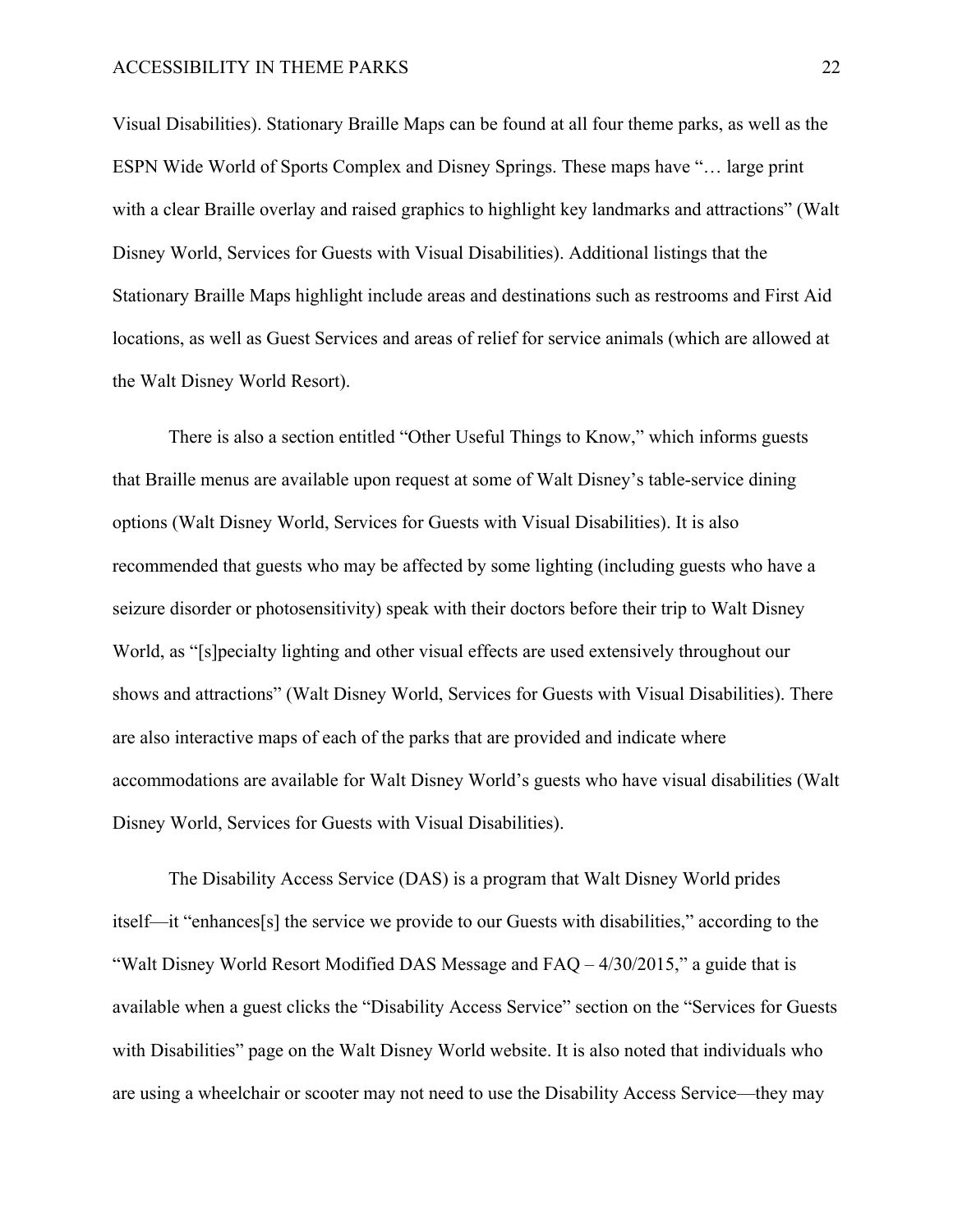Visual Disabilities). Stationary Braille Maps can be found at all four theme parks, as well as the ESPN Wide World of Sports Complex and Disney Springs. These maps have "… large print with a clear Braille overlay and raised graphics to highlight key landmarks and attractions" (Walt Disney World, Services for Guests with Visual Disabilities). Additional listings that the Stationary Braille Maps highlight include areas and destinations such as restrooms and First Aid locations, as well as Guest Services and areas of relief for service animals (which are allowed at the Walt Disney World Resort).

There is also a section entitled "Other Useful Things to Know," which informs guests that Braille menus are available upon request at some of Walt Disney's table-service dining options (Walt Disney World, Services for Guests with Visual Disabilities). It is also recommended that guests who may be affected by some lighting (including guests who have a seizure disorder or photosensitivity) speak with their doctors before their trip to Walt Disney World, as "[s]pecialty lighting and other visual effects are used extensively throughout our shows and attractions" (Walt Disney World, Services for Guests with Visual Disabilities). There are also interactive maps of each of the parks that are provided and indicate where accommodations are available for Walt Disney World's guests who have visual disabilities (Walt Disney World, Services for Guests with Visual Disabilities).

The Disability Access Service (DAS) is a program that Walt Disney World prides itself—it "enhances[s] the service we provide to our Guests with disabilities," according to the "Walt Disney World Resort Modified DAS Message and FAQ – 4/30/2015," a guide that is available when a guest clicks the "Disability Access Service" section on the "Services for Guests with Disabilities" page on the Walt Disney World website. It is also noted that individuals who are using a wheelchair or scooter may not need to use the Disability Access Service—they may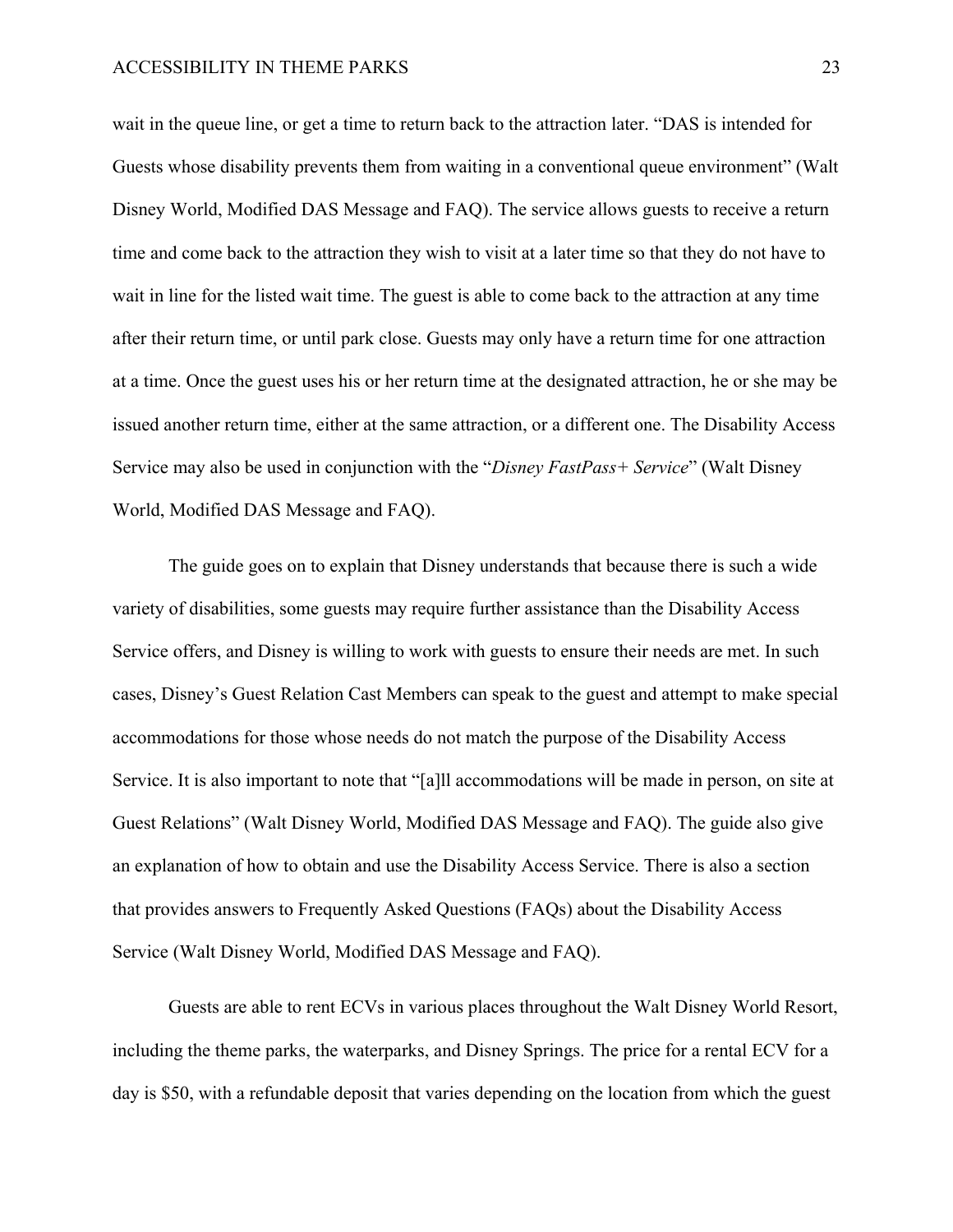wait in the queue line, or get a time to return back to the attraction later. "DAS is intended for Guests whose disability prevents them from waiting in a conventional queue environment" (Walt Disney World, Modified DAS Message and FAQ). The service allows guests to receive a return time and come back to the attraction they wish to visit at a later time so that they do not have to wait in line for the listed wait time. The guest is able to come back to the attraction at any time after their return time, or until park close. Guests may only have a return time for one attraction at a time. Once the guest uses his or her return time at the designated attraction, he or she may be issued another return time, either at the same attraction, or a different one. The Disability Access Service may also be used in conjunction with the "*Disney FastPass+ Service*" (Walt Disney World, Modified DAS Message and FAQ).

The guide goes on to explain that Disney understands that because there is such a wide variety of disabilities, some guests may require further assistance than the Disability Access Service offers, and Disney is willing to work with guests to ensure their needs are met. In such cases, Disney's Guest Relation Cast Members can speak to the guest and attempt to make special accommodations for those whose needs do not match the purpose of the Disability Access Service. It is also important to note that "[a]ll accommodations will be made in person, on site at Guest Relations" (Walt Disney World, Modified DAS Message and FAQ). The guide also give an explanation of how to obtain and use the Disability Access Service. There is also a section that provides answers to Frequently Asked Questions (FAQs) about the Disability Access Service (Walt Disney World, Modified DAS Message and FAQ).

Guests are able to rent ECVs in various places throughout the Walt Disney World Resort, including the theme parks, the waterparks, and Disney Springs. The price for a rental ECV for a day is \$50, with a refundable deposit that varies depending on the location from which the guest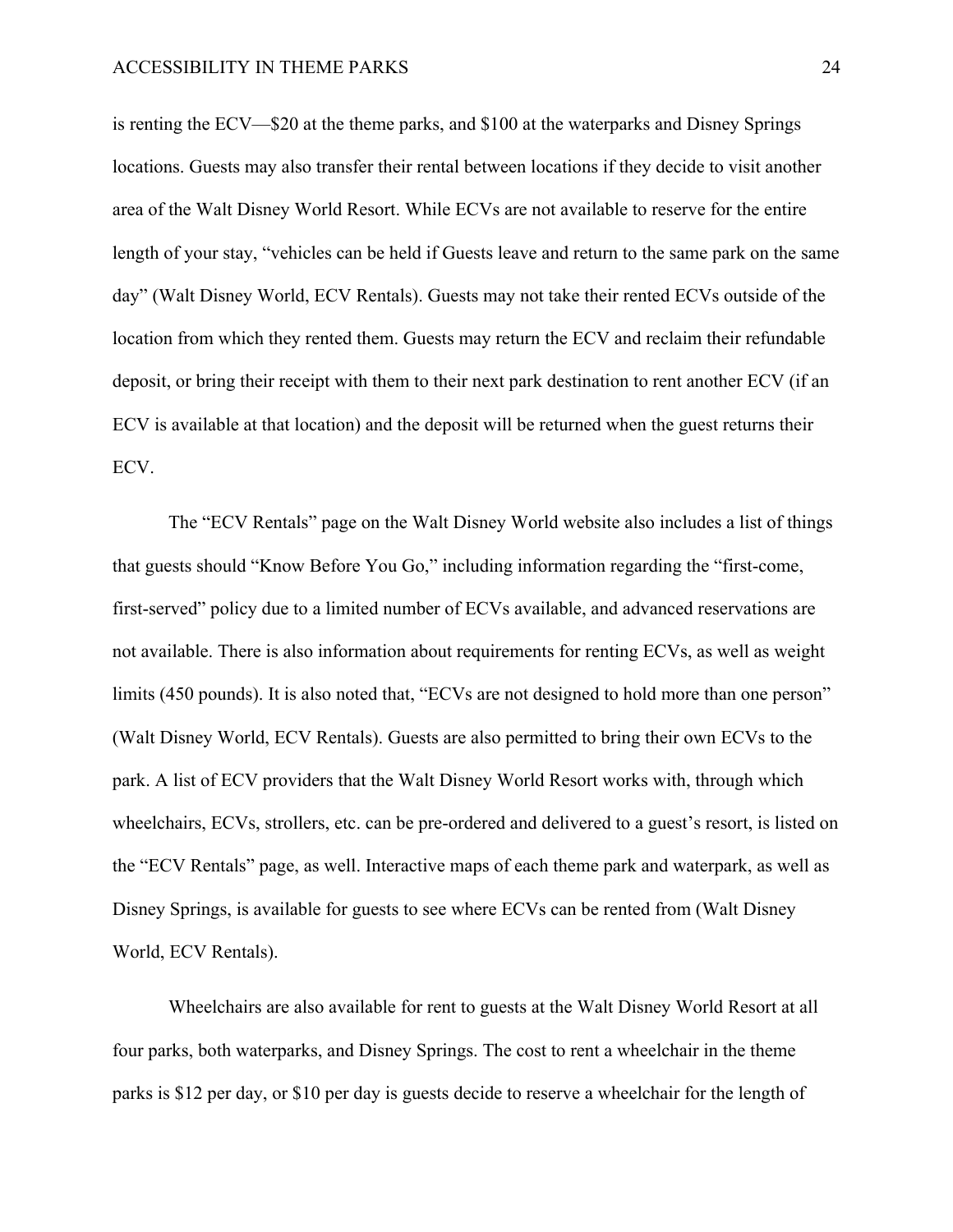is renting the ECV—\$20 at the theme parks, and \$100 at the waterparks and Disney Springs locations. Guests may also transfer their rental between locations if they decide to visit another area of the Walt Disney World Resort. While ECVs are not available to reserve for the entire length of your stay, "vehicles can be held if Guests leave and return to the same park on the same day" (Walt Disney World, ECV Rentals). Guests may not take their rented ECVs outside of the location from which they rented them. Guests may return the ECV and reclaim their refundable deposit, or bring their receipt with them to their next park destination to rent another ECV (if an ECV is available at that location) and the deposit will be returned when the guest returns their ECV.

The "ECV Rentals" page on the Walt Disney World website also includes a list of things that guests should "Know Before You Go," including information regarding the "first-come, first-served" policy due to a limited number of ECVs available, and advanced reservations are not available. There is also information about requirements for renting ECVs, as well as weight limits (450 pounds). It is also noted that, "ECVs are not designed to hold more than one person" (Walt Disney World, ECV Rentals). Guests are also permitted to bring their own ECVs to the park. A list of ECV providers that the Walt Disney World Resort works with, through which wheelchairs, ECVs, strollers, etc. can be pre-ordered and delivered to a guest's resort, is listed on the "ECV Rentals" page, as well. Interactive maps of each theme park and waterpark, as well as Disney Springs, is available for guests to see where ECVs can be rented from (Walt Disney World, ECV Rentals).

Wheelchairs are also available for rent to guests at the Walt Disney World Resort at all four parks, both waterparks, and Disney Springs. The cost to rent a wheelchair in the theme parks is \$12 per day, or \$10 per day is guests decide to reserve a wheelchair for the length of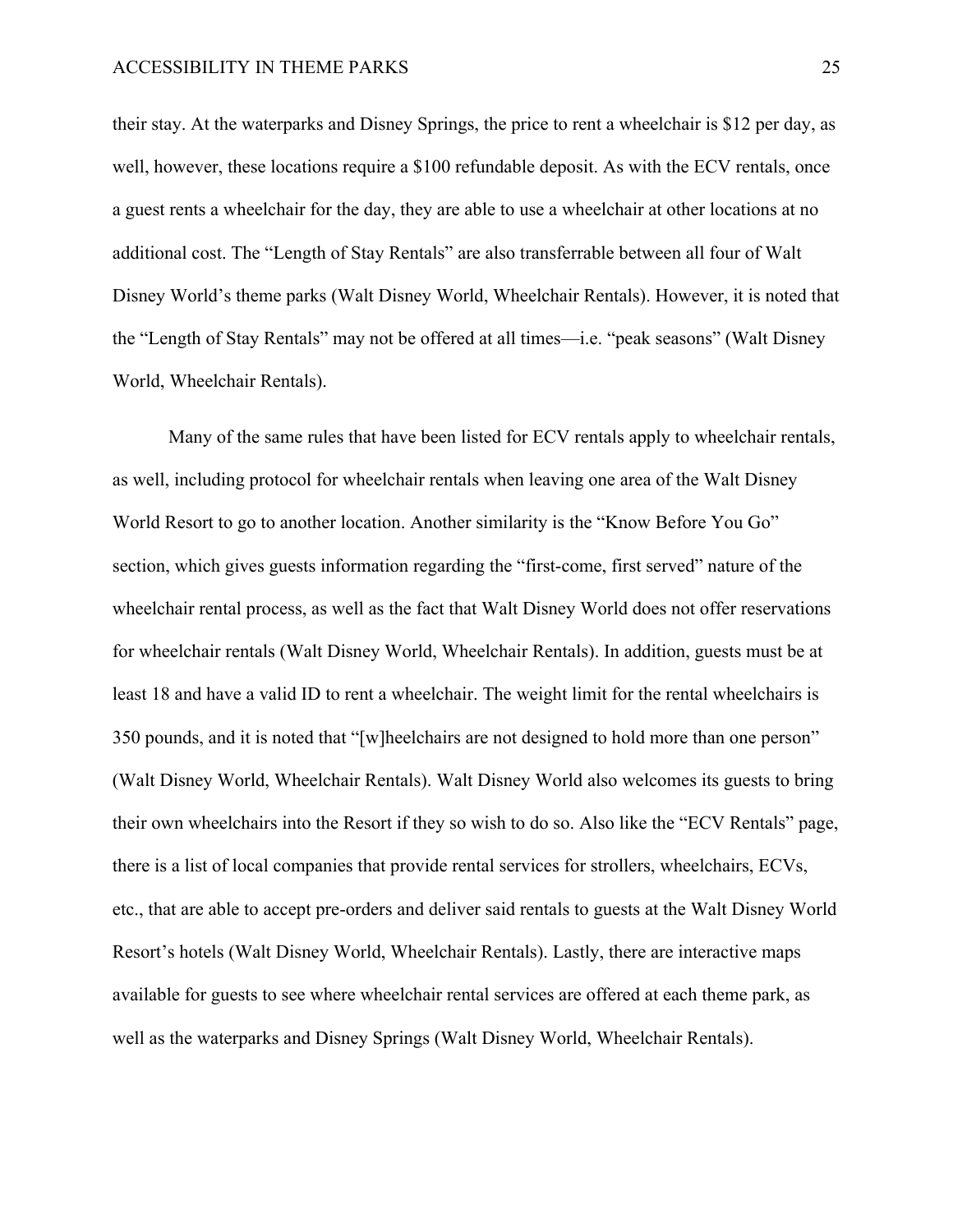their stay. At the waterparks and Disney Springs, the price to rent a wheelchair is \$12 per day, as well, however, these locations require a \$100 refundable deposit. As with the ECV rentals, once a guest rents a wheelchair for the day, they are able to use a wheelchair at other locations at no additional cost. The "Length of Stay Rentals" are also transferrable between all four of Walt Disney World's theme parks (Walt Disney World, Wheelchair Rentals). However, it is noted that the "Length of Stay Rentals" may not be offered at all times—i.e. "peak seasons" (Walt Disney World, Wheelchair Rentals).

Many of the same rules that have been listed for ECV rentals apply to wheelchair rentals, as well, including protocol for wheelchair rentals when leaving one area of the Walt Disney World Resort to go to another location. Another similarity is the "Know Before You Go" section, which gives guests information regarding the "first-come, first served" nature of the wheelchair rental process, as well as the fact that Walt Disney World does not offer reservations for wheelchair rentals (Walt Disney World, Wheelchair Rentals). In addition, guests must be at least 18 and have a valid ID to rent a wheelchair. The weight limit for the rental wheelchairs is 350 pounds, and it is noted that "[w]heelchairs are not designed to hold more than one person" (Walt Disney World, Wheelchair Rentals). Walt Disney World also welcomes its guests to bring their own wheelchairs into the Resort if they so wish to do so. Also like the "ECV Rentals" page, there is a list of local companies that provide rental services for strollers, wheelchairs, ECVs, etc., that are able to accept pre-orders and deliver said rentals to guests at the Walt Disney World Resort's hotels (Walt Disney World, Wheelchair Rentals). Lastly, there are interactive maps available for guests to see where wheelchair rental services are offered at each theme park, as well as the waterparks and Disney Springs (Walt Disney World, Wheelchair Rentals).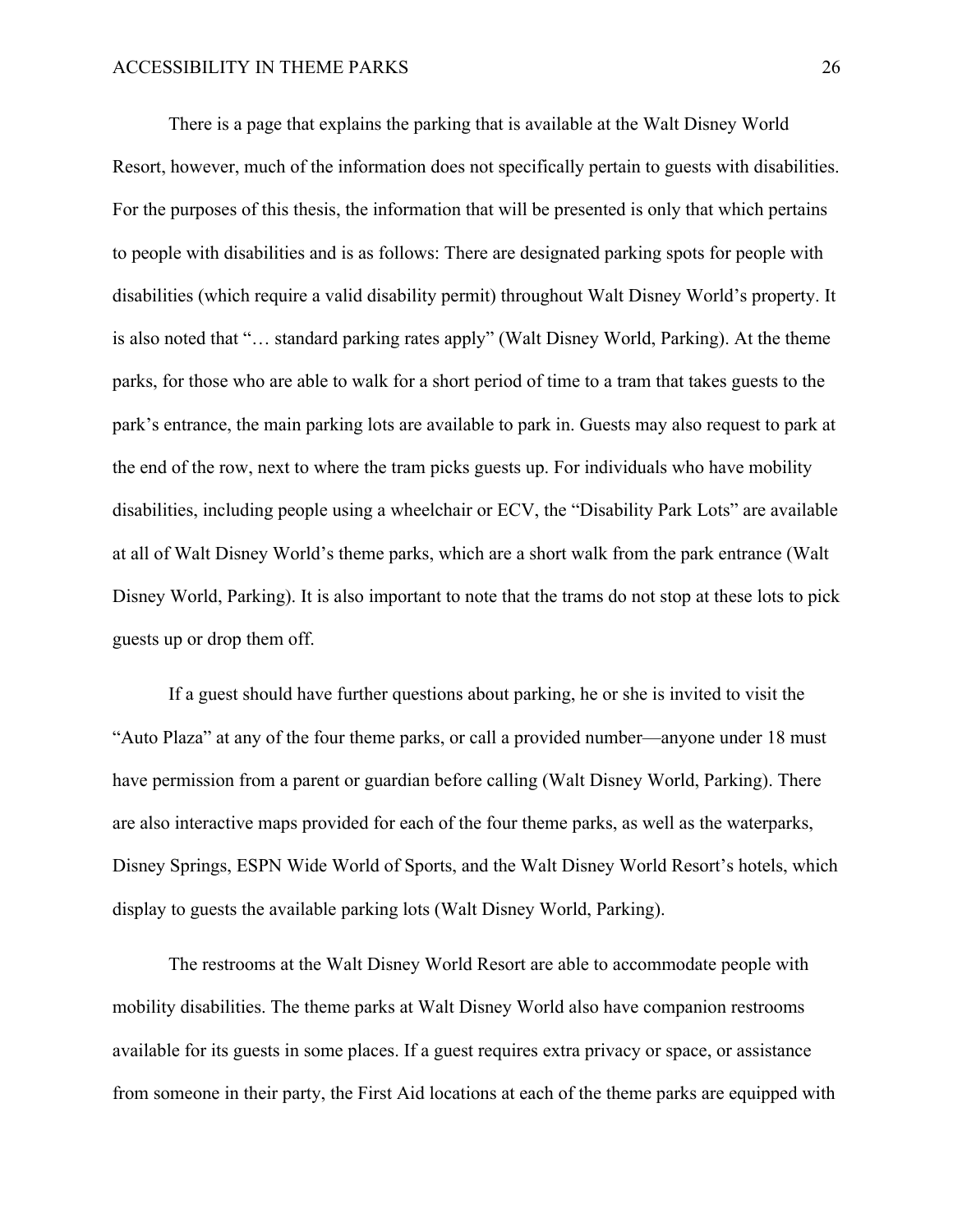There is a page that explains the parking that is available at the Walt Disney World Resort, however, much of the information does not specifically pertain to guests with disabilities. For the purposes of this thesis, the information that will be presented is only that which pertains to people with disabilities and is as follows: There are designated parking spots for people with disabilities (which require a valid disability permit) throughout Walt Disney World's property. It is also noted that "… standard parking rates apply" (Walt Disney World, Parking). At the theme parks, for those who are able to walk for a short period of time to a tram that takes guests to the park's entrance, the main parking lots are available to park in. Guests may also request to park at the end of the row, next to where the tram picks guests up. For individuals who have mobility disabilities, including people using a wheelchair or ECV, the "Disability Park Lots" are available at all of Walt Disney World's theme parks, which are a short walk from the park entrance (Walt Disney World, Parking). It is also important to note that the trams do not stop at these lots to pick guests up or drop them off.

If a guest should have further questions about parking, he or she is invited to visit the "Auto Plaza" at any of the four theme parks, or call a provided number—anyone under 18 must have permission from a parent or guardian before calling (Walt Disney World, Parking). There are also interactive maps provided for each of the four theme parks, as well as the waterparks, Disney Springs, ESPN Wide World of Sports, and the Walt Disney World Resort's hotels, which display to guests the available parking lots (Walt Disney World, Parking).

The restrooms at the Walt Disney World Resort are able to accommodate people with mobility disabilities. The theme parks at Walt Disney World also have companion restrooms available for its guests in some places. If a guest requires extra privacy or space, or assistance from someone in their party, the First Aid locations at each of the theme parks are equipped with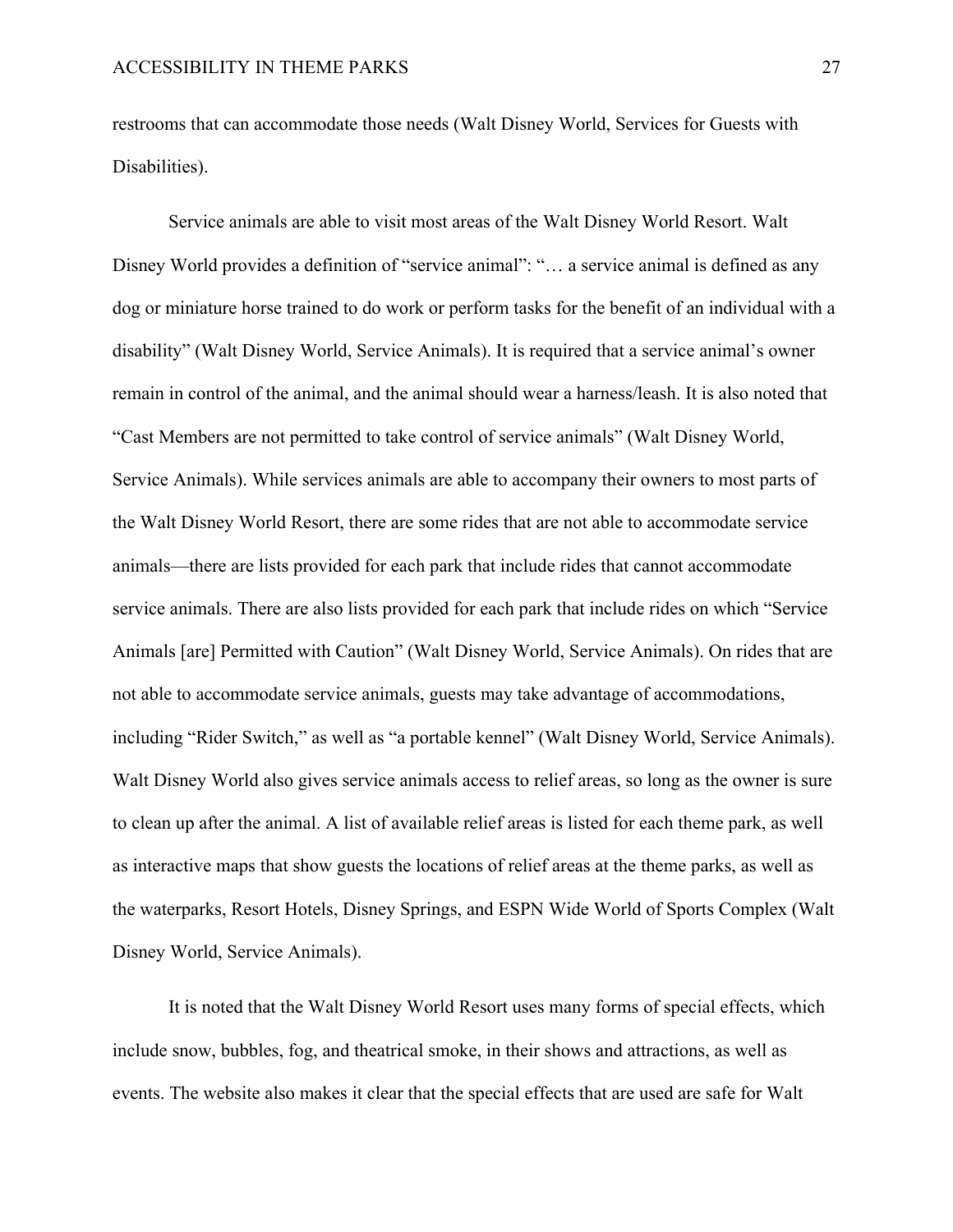restrooms that can accommodate those needs (Walt Disney World, Services for Guests with Disabilities).

Service animals are able to visit most areas of the Walt Disney World Resort. Walt Disney World provides a definition of "service animal": "… a service animal is defined as any dog or miniature horse trained to do work or perform tasks for the benefit of an individual with a disability" (Walt Disney World, Service Animals). It is required that a service animal's owner remain in control of the animal, and the animal should wear a harness/leash. It is also noted that "Cast Members are not permitted to take control of service animals" (Walt Disney World, Service Animals). While services animals are able to accompany their owners to most parts of the Walt Disney World Resort, there are some rides that are not able to accommodate service animals—there are lists provided for each park that include rides that cannot accommodate service animals. There are also lists provided for each park that include rides on which "Service Animals [are] Permitted with Caution" (Walt Disney World, Service Animals). On rides that are not able to accommodate service animals, guests may take advantage of accommodations, including "Rider Switch," as well as "a portable kennel" (Walt Disney World, Service Animals). Walt Disney World also gives service animals access to relief areas, so long as the owner is sure to clean up after the animal. A list of available relief areas is listed for each theme park, as well as interactive maps that show guests the locations of relief areas at the theme parks, as well as the waterparks, Resort Hotels, Disney Springs, and ESPN Wide World of Sports Complex (Walt Disney World, Service Animals).

It is noted that the Walt Disney World Resort uses many forms of special effects, which include snow, bubbles, fog, and theatrical smoke, in their shows and attractions, as well as events. The website also makes it clear that the special effects that are used are safe for Walt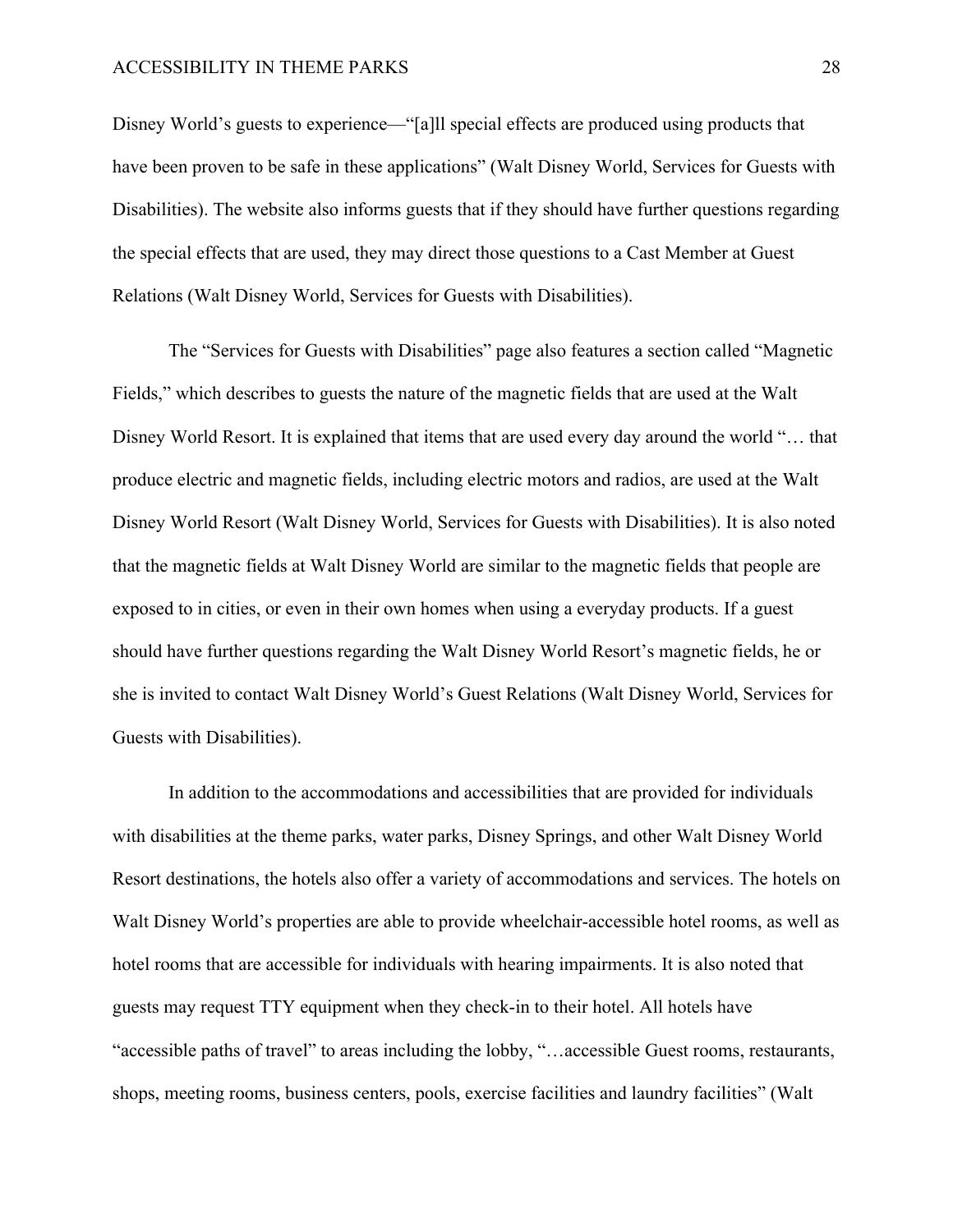Disney World's guests to experience—"[a]ll special effects are produced using products that have been proven to be safe in these applications" (Walt Disney World, Services for Guests with Disabilities). The website also informs guests that if they should have further questions regarding the special effects that are used, they may direct those questions to a Cast Member at Guest Relations (Walt Disney World, Services for Guests with Disabilities).

The "Services for Guests with Disabilities" page also features a section called "Magnetic Fields," which describes to guests the nature of the magnetic fields that are used at the Walt Disney World Resort. It is explained that items that are used every day around the world "… that produce electric and magnetic fields, including electric motors and radios, are used at the Walt Disney World Resort (Walt Disney World, Services for Guests with Disabilities). It is also noted that the magnetic fields at Walt Disney World are similar to the magnetic fields that people are exposed to in cities, or even in their own homes when using a everyday products. If a guest should have further questions regarding the Walt Disney World Resort's magnetic fields, he or she is invited to contact Walt Disney World's Guest Relations (Walt Disney World, Services for Guests with Disabilities).

In addition to the accommodations and accessibilities that are provided for individuals with disabilities at the theme parks, water parks, Disney Springs, and other Walt Disney World Resort destinations, the hotels also offer a variety of accommodations and services. The hotels on Walt Disney World's properties are able to provide wheelchair-accessible hotel rooms, as well as hotel rooms that are accessible for individuals with hearing impairments. It is also noted that guests may request TTY equipment when they check-in to their hotel. All hotels have "accessible paths of travel" to areas including the lobby, "…accessible Guest rooms, restaurants, shops, meeting rooms, business centers, pools, exercise facilities and laundry facilities" (Walt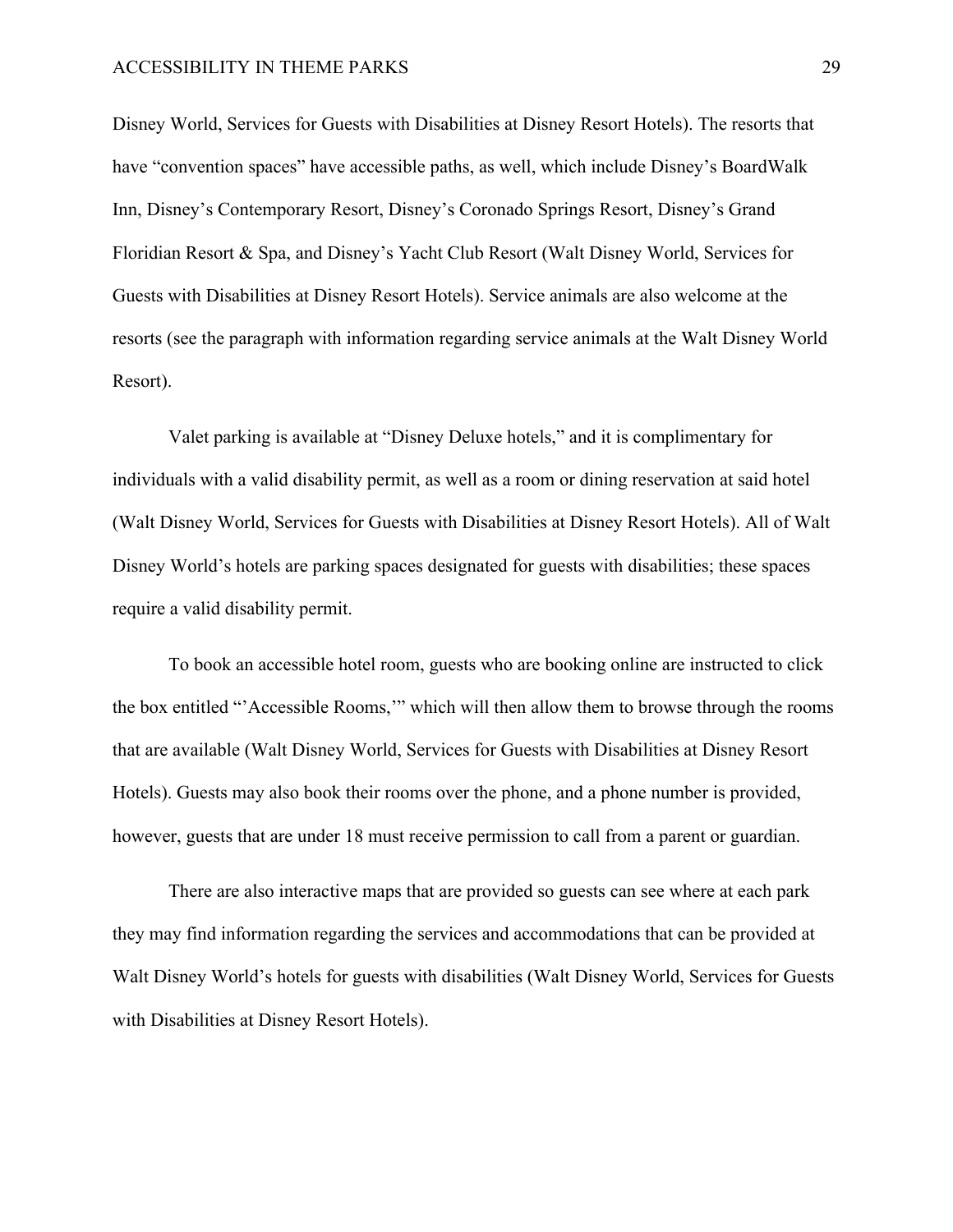Disney World, Services for Guests with Disabilities at Disney Resort Hotels). The resorts that have "convention spaces" have accessible paths, as well, which include Disney's BoardWalk Inn, Disney's Contemporary Resort, Disney's Coronado Springs Resort, Disney's Grand Floridian Resort & Spa, and Disney's Yacht Club Resort (Walt Disney World, Services for Guests with Disabilities at Disney Resort Hotels). Service animals are also welcome at the resorts (see the paragraph with information regarding service animals at the Walt Disney World Resort).

Valet parking is available at "Disney Deluxe hotels," and it is complimentary for individuals with a valid disability permit, as well as a room or dining reservation at said hotel (Walt Disney World, Services for Guests with Disabilities at Disney Resort Hotels). All of Walt Disney World's hotels are parking spaces designated for guests with disabilities; these spaces require a valid disability permit.

To book an accessible hotel room, guests who are booking online are instructed to click the box entitled "'Accessible Rooms,'" which will then allow them to browse through the rooms that are available (Walt Disney World, Services for Guests with Disabilities at Disney Resort Hotels). Guests may also book their rooms over the phone, and a phone number is provided, however, guests that are under 18 must receive permission to call from a parent or guardian.

There are also interactive maps that are provided so guests can see where at each park they may find information regarding the services and accommodations that can be provided at Walt Disney World's hotels for guests with disabilities (Walt Disney World, Services for Guests with Disabilities at Disney Resort Hotels).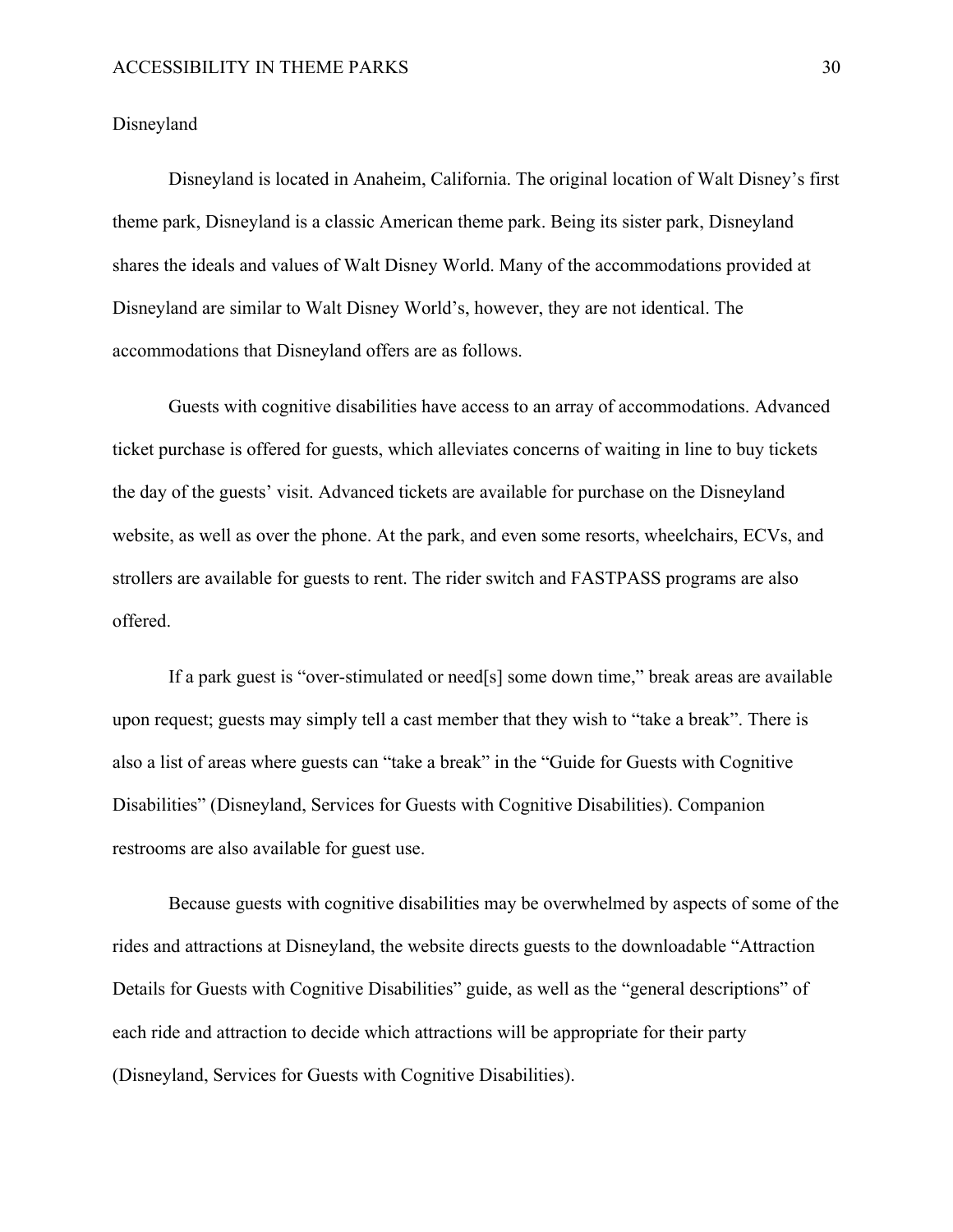Disneyland

Disneyland is located in Anaheim, California. The original location of Walt Disney's first theme park, Disneyland is a classic American theme park. Being its sister park, Disneyland shares the ideals and values of Walt Disney World. Many of the accommodations provided at Disneyland are similar to Walt Disney World's, however, they are not identical. The accommodations that Disneyland offers are as follows.

Guests with cognitive disabilities have access to an array of accommodations. Advanced ticket purchase is offered for guests, which alleviates concerns of waiting in line to buy tickets the day of the guests' visit. Advanced tickets are available for purchase on the Disneyland website, as well as over the phone. At the park, and even some resorts, wheelchairs, ECVs, and strollers are available for guests to rent. The rider switch and FASTPASS programs are also offered.

If a park guest is "over-stimulated or need[s] some down time," break areas are available upon request; guests may simply tell a cast member that they wish to "take a break". There is also a list of areas where guests can "take a break" in the "Guide for Guests with Cognitive Disabilities" (Disneyland, Services for Guests with Cognitive Disabilities). Companion restrooms are also available for guest use.

Because guests with cognitive disabilities may be overwhelmed by aspects of some of the rides and attractions at Disneyland, the website directs guests to the downloadable "Attraction Details for Guests with Cognitive Disabilities" guide, as well as the "general descriptions" of each ride and attraction to decide which attractions will be appropriate for their party (Disneyland, Services for Guests with Cognitive Disabilities).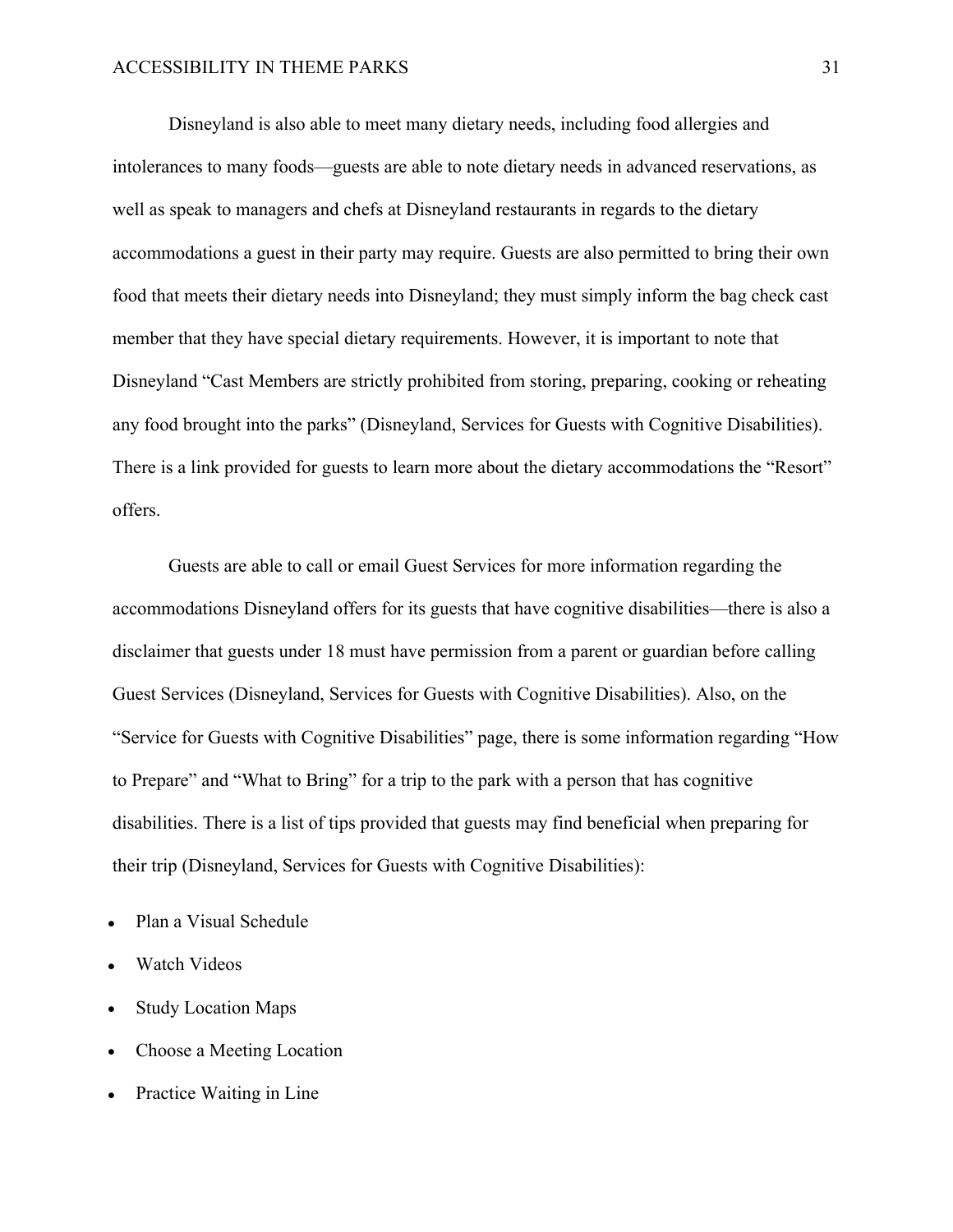Disneyland is also able to meet many dietary needs, including food allergies and intolerances to many foods—guests are able to note dietary needs in advanced reservations, as well as speak to managers and chefs at Disneyland restaurants in regards to the dietary accommodations a guest in their party may require. Guests are also permitted to bring their own food that meets their dietary needs into Disneyland; they must simply inform the bag check cast member that they have special dietary requirements. However, it is important to note that Disneyland "Cast Members are strictly prohibited from storing, preparing, cooking or reheating any food brought into the parks" (Disneyland, Services for Guests with Cognitive Disabilities). There is a link provided for guests to learn more about the dietary accommodations the "Resort" offers.

Guests are able to call or email Guest Services for more information regarding the accommodations Disneyland offers for its guests that have cognitive disabilities—there is also a disclaimer that guests under 18 must have permission from a parent or guardian before calling Guest Services (Disneyland, Services for Guests with Cognitive Disabilities). Also, on the "Service for Guests with Cognitive Disabilities" page, there is some information regarding "How to Prepare" and "What to Bring" for a trip to the park with a person that has cognitive disabilities. There is a list of tips provided that guests may find beneficial when preparing for their trip (Disneyland, Services for Guests with Cognitive Disabilities):

- Plan a Visual Schedule
- Watch Videos
- Study Location Maps
- Choose a Meeting Location
- Practice Waiting in Line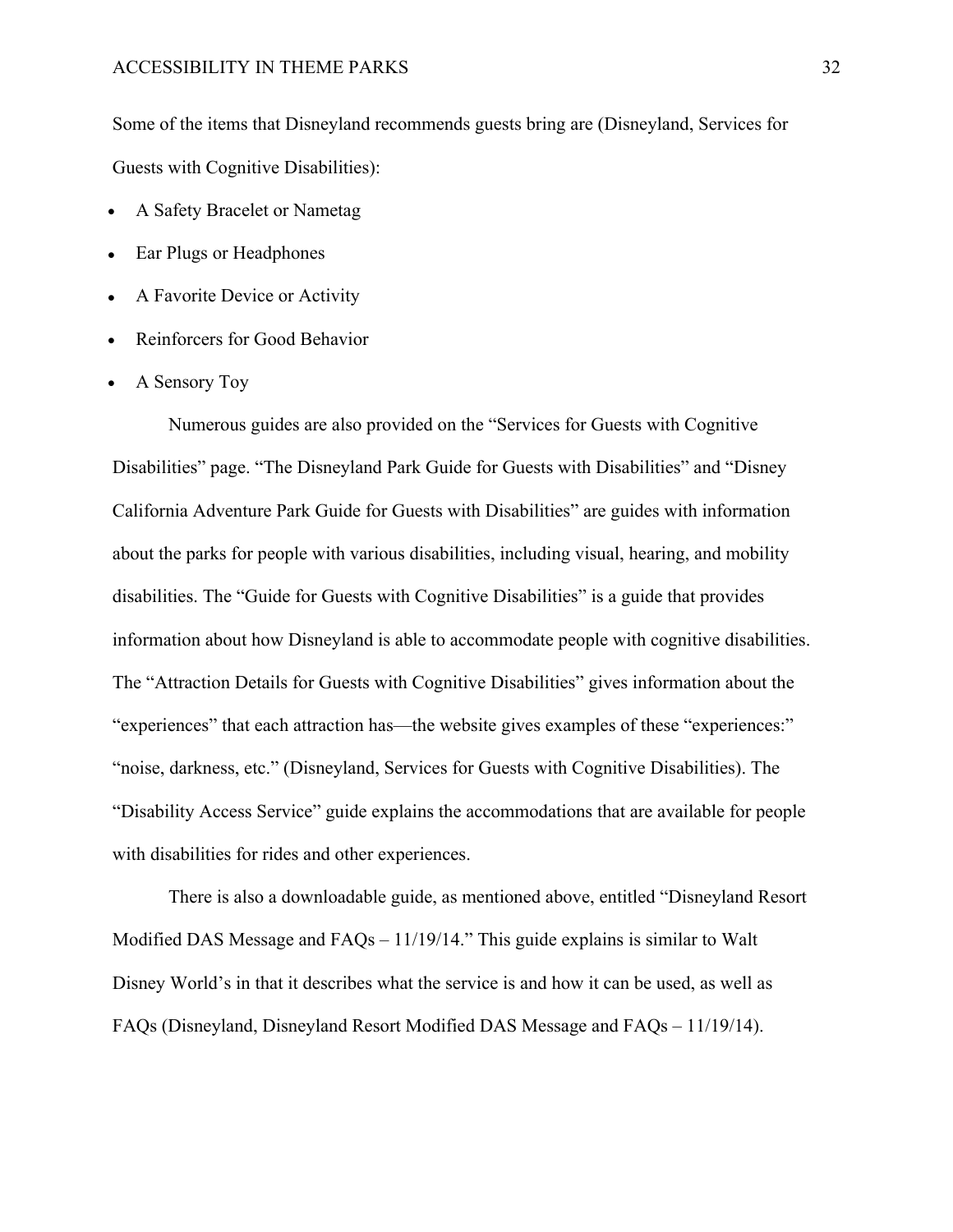Some of the items that Disneyland recommends guests bring are (Disneyland, Services for Guests with Cognitive Disabilities):

- A Safety Bracelet or Nametag
- Ear Plugs or Headphones
- A Favorite Device or Activity
- Reinforcers for Good Behavior
- A Sensory Toy

Numerous guides are also provided on the "Services for Guests with Cognitive Disabilities" page. "The Disneyland Park Guide for Guests with Disabilities" and "Disney California Adventure Park Guide for Guests with Disabilities" are guides with information about the parks for people with various disabilities, including visual, hearing, and mobility disabilities. The "Guide for Guests with Cognitive Disabilities" is a guide that provides information about how Disneyland is able to accommodate people with cognitive disabilities. The "Attraction Details for Guests with Cognitive Disabilities" gives information about the "experiences" that each attraction has—the website gives examples of these "experiences:" "noise, darkness, etc." (Disneyland, Services for Guests with Cognitive Disabilities). The "Disability Access Service" guide explains the accommodations that are available for people with disabilities for rides and other experiences.

There is also a downloadable guide, as mentioned above, entitled "Disneyland Resort Modified DAS Message and FAQs – 11/19/14." This guide explains is similar to Walt Disney World's in that it describes what the service is and how it can be used, as well as FAQs (Disneyland, Disneyland Resort Modified DAS Message and FAQs – 11/19/14).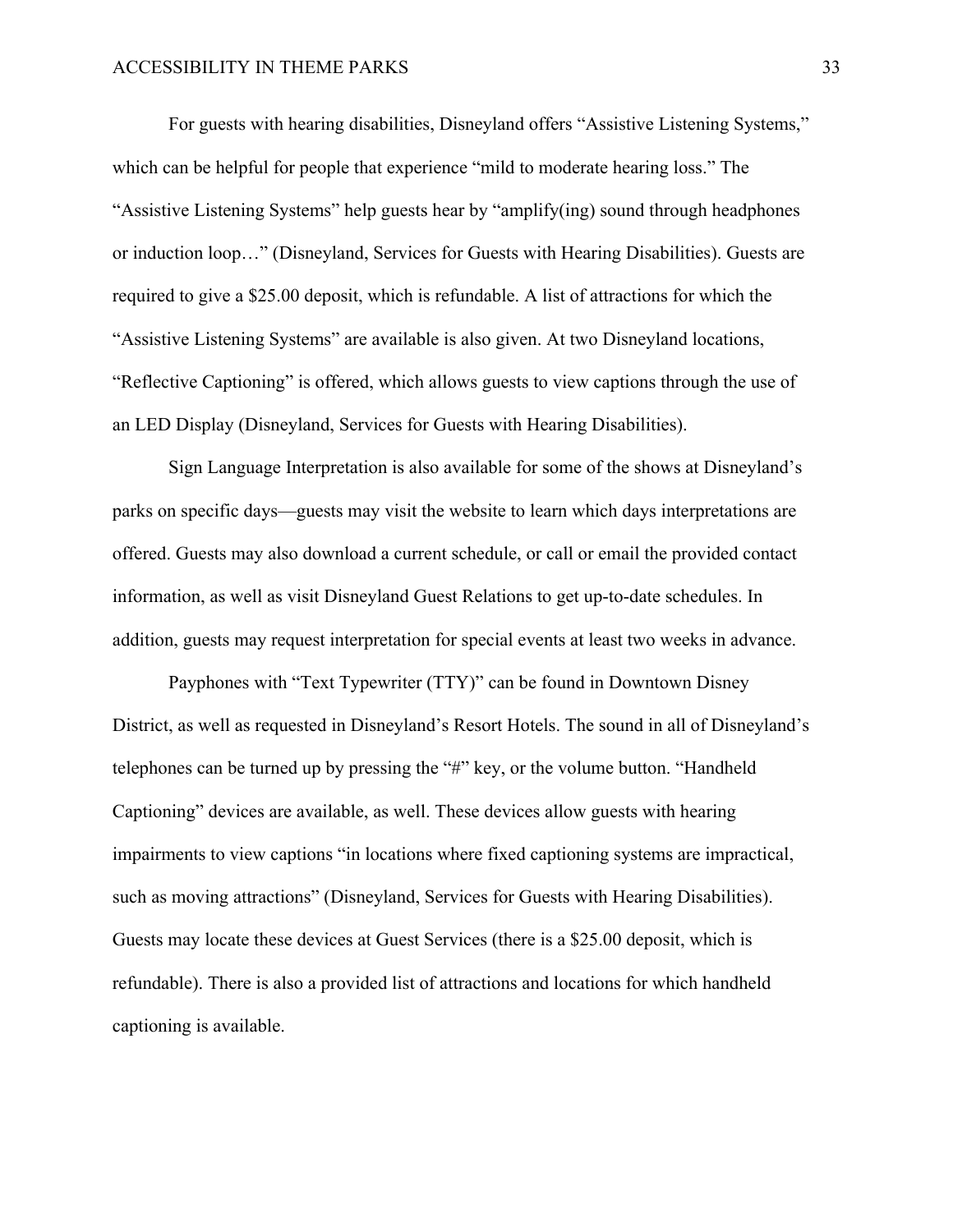For guests with hearing disabilities, Disneyland offers "Assistive Listening Systems," which can be helpful for people that experience "mild to moderate hearing loss." The "Assistive Listening Systems" help guests hear by "amplify(ing) sound through headphones or induction loop…" (Disneyland, Services for Guests with Hearing Disabilities). Guests are required to give a \$25.00 deposit, which is refundable. A list of attractions for which the "Assistive Listening Systems" are available is also given. At two Disneyland locations, "Reflective Captioning" is offered, which allows guests to view captions through the use of an LED Display (Disneyland, Services for Guests with Hearing Disabilities).

Sign Language Interpretation is also available for some of the shows at Disneyland's parks on specific days—guests may visit the website to learn which days interpretations are offered. Guests may also download a current schedule, or call or email the provided contact information, as well as visit Disneyland Guest Relations to get up-to-date schedules. In addition, guests may request interpretation for special events at least two weeks in advance.

Payphones with "Text Typewriter (TTY)" can be found in Downtown Disney District, as well as requested in Disneyland's Resort Hotels. The sound in all of Disneyland's telephones can be turned up by pressing the "#" key, or the volume button. "Handheld Captioning" devices are available, as well. These devices allow guests with hearing impairments to view captions "in locations where fixed captioning systems are impractical, such as moving attractions" (Disneyland, Services for Guests with Hearing Disabilities). Guests may locate these devices at Guest Services (there is a \$25.00 deposit, which is refundable). There is also a provided list of attractions and locations for which handheld captioning is available.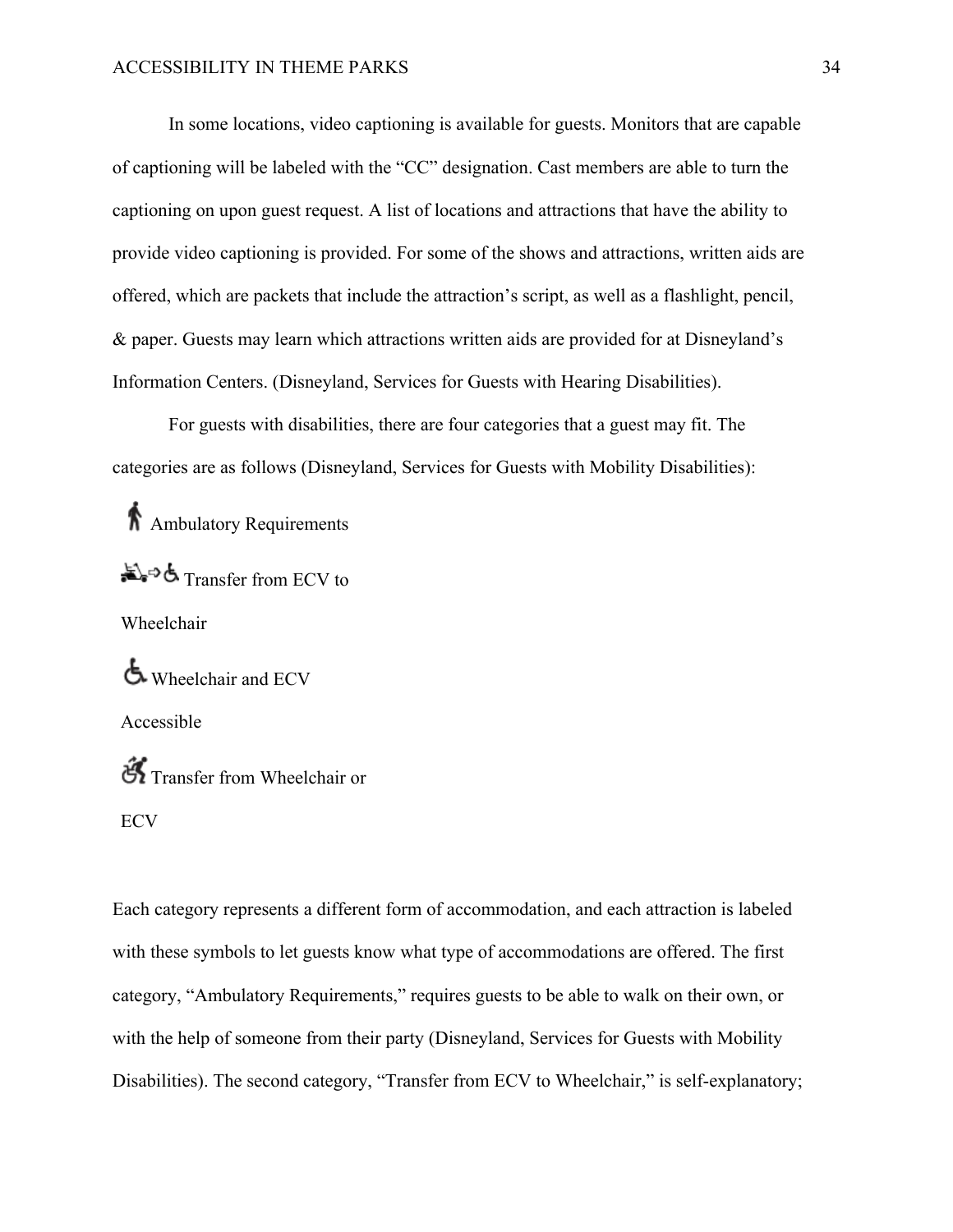In some locations, video captioning is available for guests. Monitors that are capable of captioning will be labeled with the "CC" designation. Cast members are able to turn the captioning on upon guest request. A list of locations and attractions that have the ability to provide video captioning is provided. For some of the shows and attractions, written aids are offered, which are packets that include the attraction's script, as well as a flashlight, pencil, & paper. Guests may learn which attractions written aids are provided for at Disneyland's Information Centers. (Disneyland, Services for Guests with Hearing Disabilities).

For guests with disabilities, there are four categories that a guest may fit. The categories are as follows (Disneyland, Services for Guests with Mobility Disabilities):

Ambulatory Requirements Transfer from ECV to Wheelchair Wheelchair and ECV Accessible  $\mathfrak{F}$  Transfer from Wheelchair or ECV

Each category represents a different form of accommodation, and each attraction is labeled with these symbols to let guests know what type of accommodations are offered. The first category, "Ambulatory Requirements," requires guests to be able to walk on their own, or with the help of someone from their party (Disneyland, Services for Guests with Mobility Disabilities). The second category, "Transfer from ECV to Wheelchair," is self-explanatory;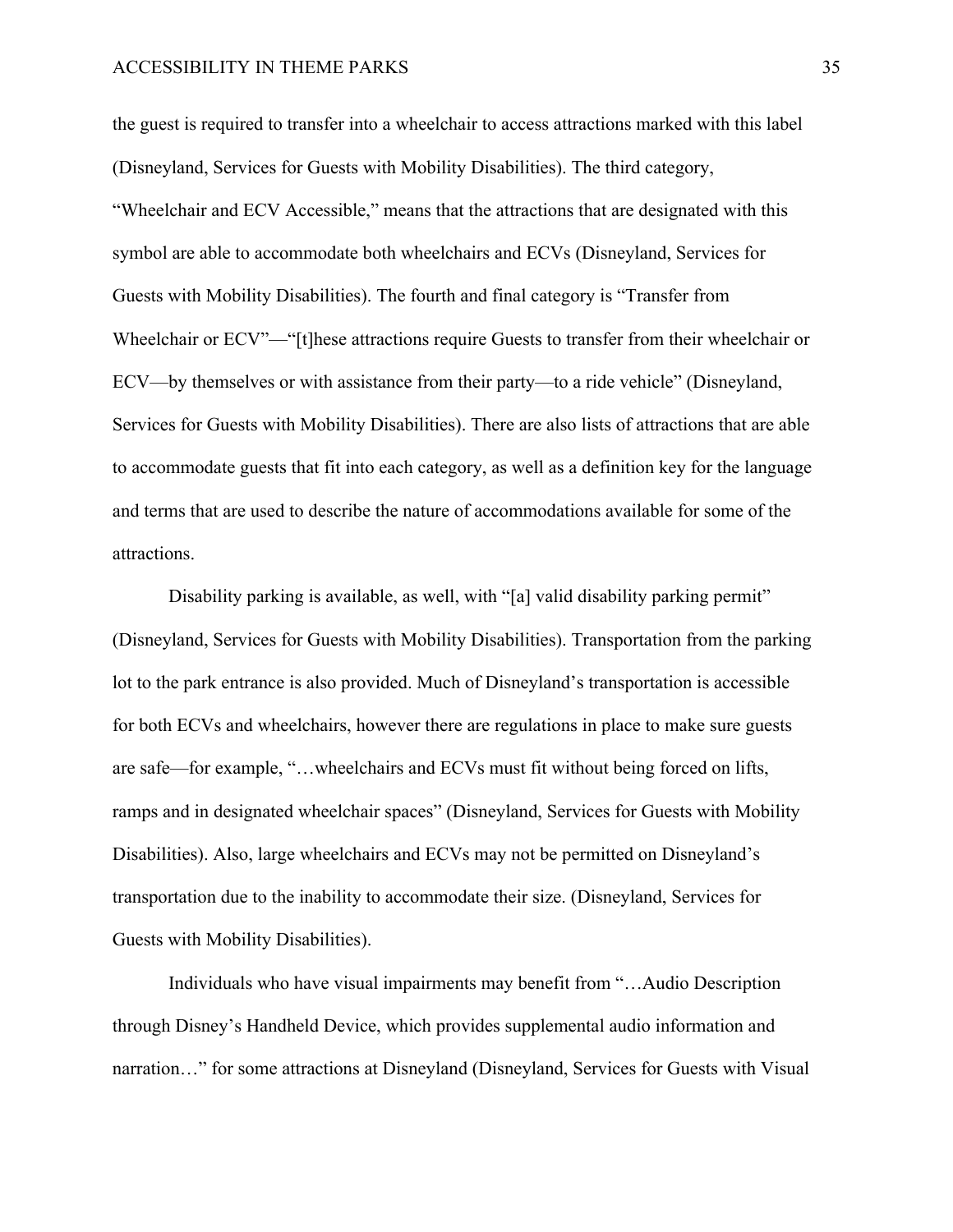the guest is required to transfer into a wheelchair to access attractions marked with this label (Disneyland, Services for Guests with Mobility Disabilities). The third category, "Wheelchair and ECV Accessible," means that the attractions that are designated with this symbol are able to accommodate both wheelchairs and ECVs (Disneyland, Services for Guests with Mobility Disabilities). The fourth and final category is "Transfer from Wheelchair or ECV"—"[t]hese attractions require Guests to transfer from their wheelchair or ECV—by themselves or with assistance from their party—to a ride vehicle" (Disneyland, Services for Guests with Mobility Disabilities). There are also lists of attractions that are able to accommodate guests that fit into each category, as well as a definition key for the language and terms that are used to describe the nature of accommodations available for some of the attractions.

Disability parking is available, as well, with "[a] valid disability parking permit" (Disneyland, Services for Guests with Mobility Disabilities). Transportation from the parking lot to the park entrance is also provided. Much of Disneyland's transportation is accessible for both ECVs and wheelchairs, however there are regulations in place to make sure guests are safe—for example, "…wheelchairs and ECVs must fit without being forced on lifts, ramps and in designated wheelchair spaces" (Disneyland, Services for Guests with Mobility Disabilities). Also, large wheelchairs and ECVs may not be permitted on Disneyland's transportation due to the inability to accommodate their size. (Disneyland, Services for Guests with Mobility Disabilities).

Individuals who have visual impairments may benefit from "…Audio Description through Disney's Handheld Device, which provides supplemental audio information and narration…" for some attractions at Disneyland (Disneyland, Services for Guests with Visual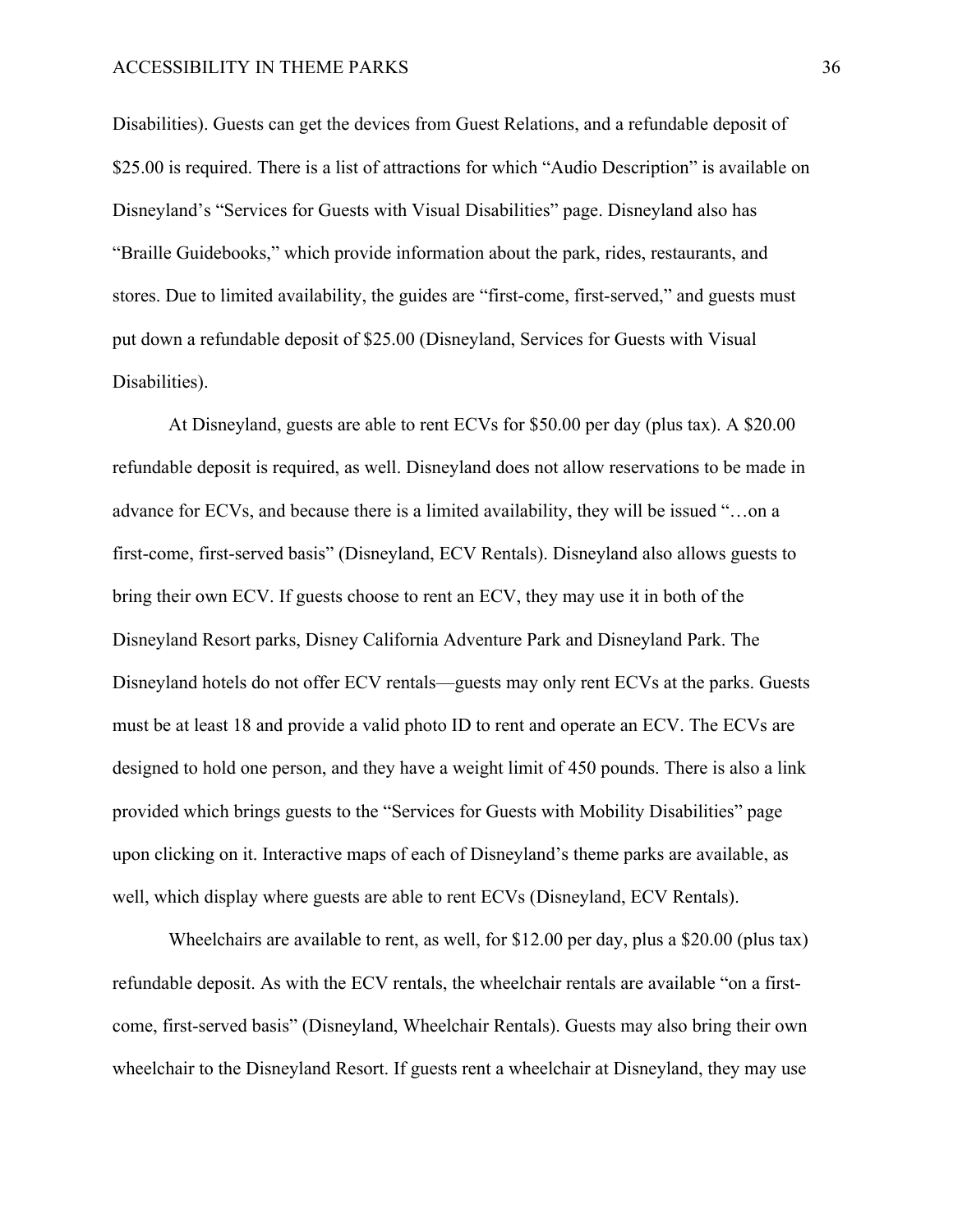Disabilities). Guests can get the devices from Guest Relations, and a refundable deposit of \$25.00 is required. There is a list of attractions for which "Audio Description" is available on Disneyland's "Services for Guests with Visual Disabilities" page. Disneyland also has "Braille Guidebooks," which provide information about the park, rides, restaurants, and stores. Due to limited availability, the guides are "first-come, first-served," and guests must put down a refundable deposit of \$25.00 (Disneyland, Services for Guests with Visual Disabilities).

At Disneyland, guests are able to rent ECVs for \$50.00 per day (plus tax). A \$20.00 refundable deposit is required, as well. Disneyland does not allow reservations to be made in advance for ECVs, and because there is a limited availability, they will be issued "…on a first-come, first-served basis" (Disneyland, ECV Rentals). Disneyland also allows guests to bring their own ECV. If guests choose to rent an ECV, they may use it in both of the Disneyland Resort parks, Disney California Adventure Park and Disneyland Park. The Disneyland hotels do not offer ECV rentals—guests may only rent ECVs at the parks. Guests must be at least 18 and provide a valid photo ID to rent and operate an ECV. The ECVs are designed to hold one person, and they have a weight limit of 450 pounds. There is also a link provided which brings guests to the "Services for Guests with Mobility Disabilities" page upon clicking on it. Interactive maps of each of Disneyland's theme parks are available, as well, which display where guests are able to rent ECVs (Disneyland, ECV Rentals).

Wheelchairs are available to rent, as well, for \$12.00 per day, plus a \$20.00 (plus tax) refundable deposit. As with the ECV rentals, the wheelchair rentals are available "on a firstcome, first-served basis" (Disneyland, Wheelchair Rentals). Guests may also bring their own wheelchair to the Disneyland Resort. If guests rent a wheelchair at Disneyland, they may use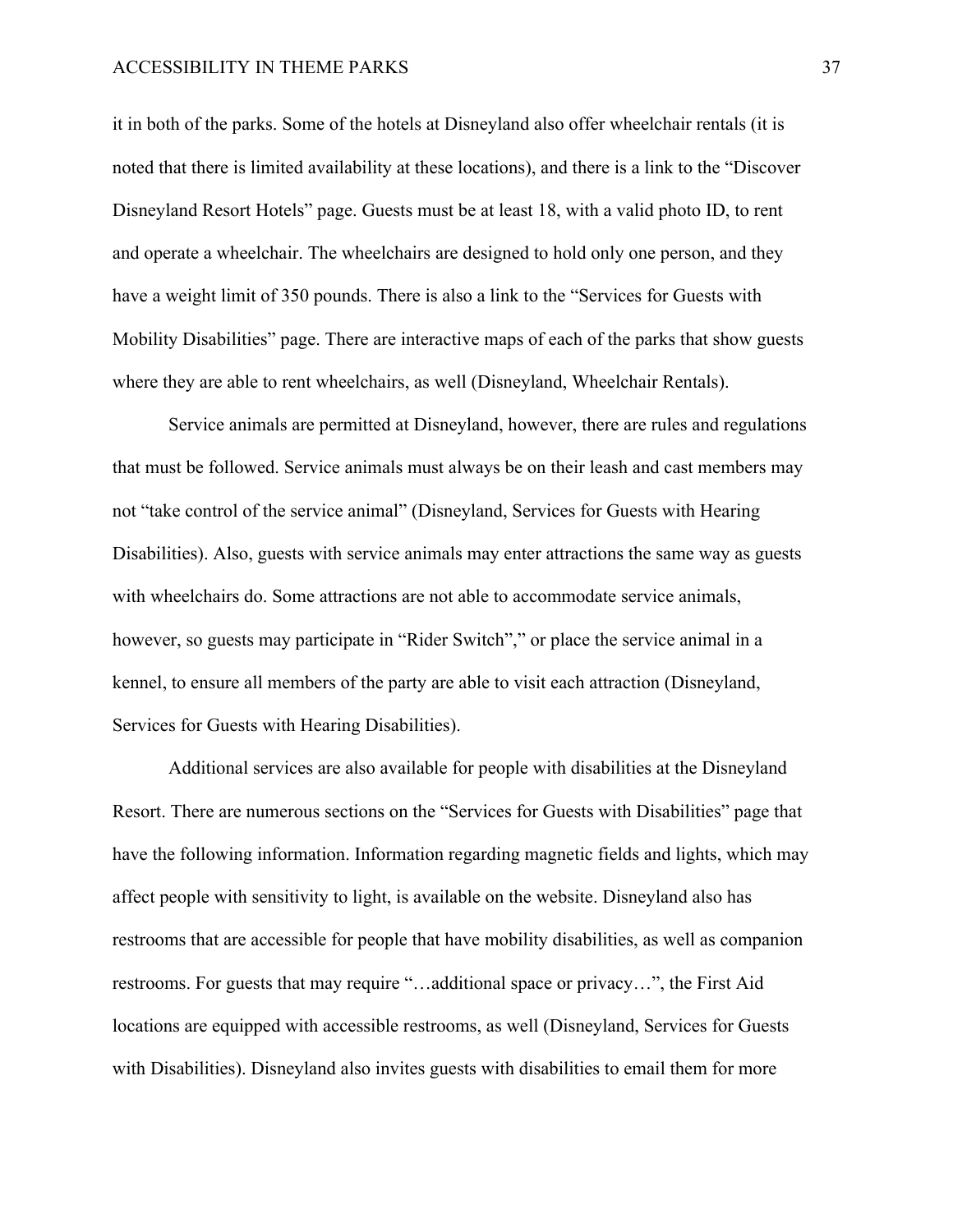it in both of the parks. Some of the hotels at Disneyland also offer wheelchair rentals (it is noted that there is limited availability at these locations), and there is a link to the "Discover Disneyland Resort Hotels" page. Guests must be at least 18, with a valid photo ID, to rent and operate a wheelchair. The wheelchairs are designed to hold only one person, and they have a weight limit of 350 pounds. There is also a link to the "Services for Guests with Mobility Disabilities" page. There are interactive maps of each of the parks that show guests where they are able to rent wheelchairs, as well (Disneyland, Wheelchair Rentals).

Service animals are permitted at Disneyland, however, there are rules and regulations that must be followed. Service animals must always be on their leash and cast members may not "take control of the service animal" (Disneyland, Services for Guests with Hearing Disabilities). Also, guests with service animals may enter attractions the same way as guests with wheelchairs do. Some attractions are not able to accommodate service animals, however, so guests may participate in "Rider Switch"," or place the service animal in a kennel, to ensure all members of the party are able to visit each attraction (Disneyland, Services for Guests with Hearing Disabilities).

Additional services are also available for people with disabilities at the Disneyland Resort. There are numerous sections on the "Services for Guests with Disabilities" page that have the following information. Information regarding magnetic fields and lights, which may affect people with sensitivity to light, is available on the website. Disneyland also has restrooms that are accessible for people that have mobility disabilities, as well as companion restrooms. For guests that may require "…additional space or privacy…", the First Aid locations are equipped with accessible restrooms, as well (Disneyland, Services for Guests with Disabilities). Disneyland also invites guests with disabilities to email them for more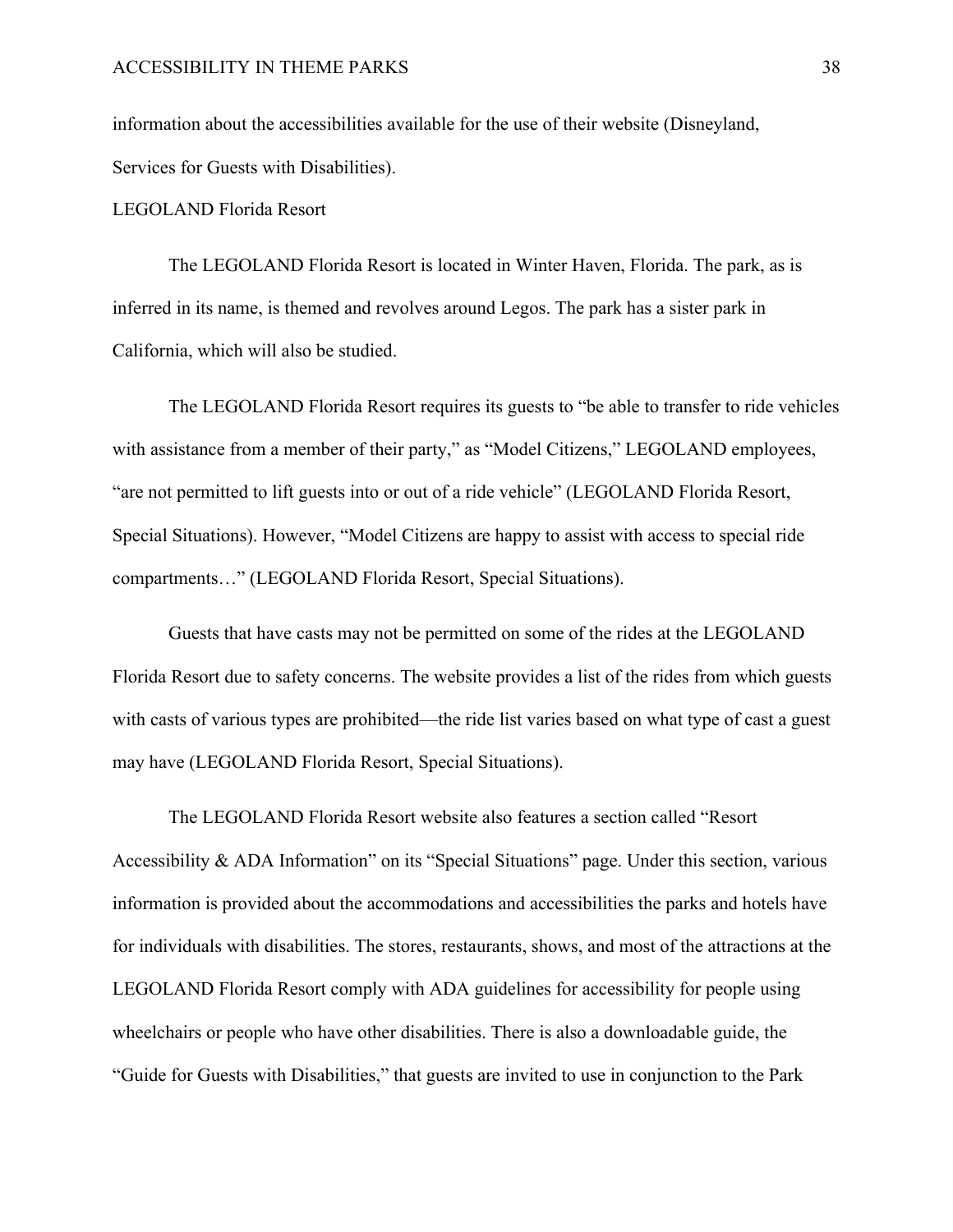information about the accessibilities available for the use of their website (Disneyland, Services for Guests with Disabilities).

LEGOLAND Florida Resort

The LEGOLAND Florida Resort is located in Winter Haven, Florida. The park, as is inferred in its name, is themed and revolves around Legos. The park has a sister park in California, which will also be studied.

The LEGOLAND Florida Resort requires its guests to "be able to transfer to ride vehicles with assistance from a member of their party," as "Model Citizens," LEGOLAND employees, "are not permitted to lift guests into or out of a ride vehicle" (LEGOLAND Florida Resort, Special Situations). However, "Model Citizens are happy to assist with access to special ride compartments…" (LEGOLAND Florida Resort, Special Situations).

Guests that have casts may not be permitted on some of the rides at the LEGOLAND Florida Resort due to safety concerns. The website provides a list of the rides from which guests with casts of various types are prohibited—the ride list varies based on what type of cast a guest may have (LEGOLAND Florida Resort, Special Situations).

The LEGOLAND Florida Resort website also features a section called "Resort Accessibility & ADA Information" on its "Special Situations" page. Under this section, various information is provided about the accommodations and accessibilities the parks and hotels have for individuals with disabilities. The stores, restaurants, shows, and most of the attractions at the LEGOLAND Florida Resort comply with ADA guidelines for accessibility for people using wheelchairs or people who have other disabilities. There is also a downloadable guide, the "Guide for Guests with Disabilities," that guests are invited to use in conjunction to the Park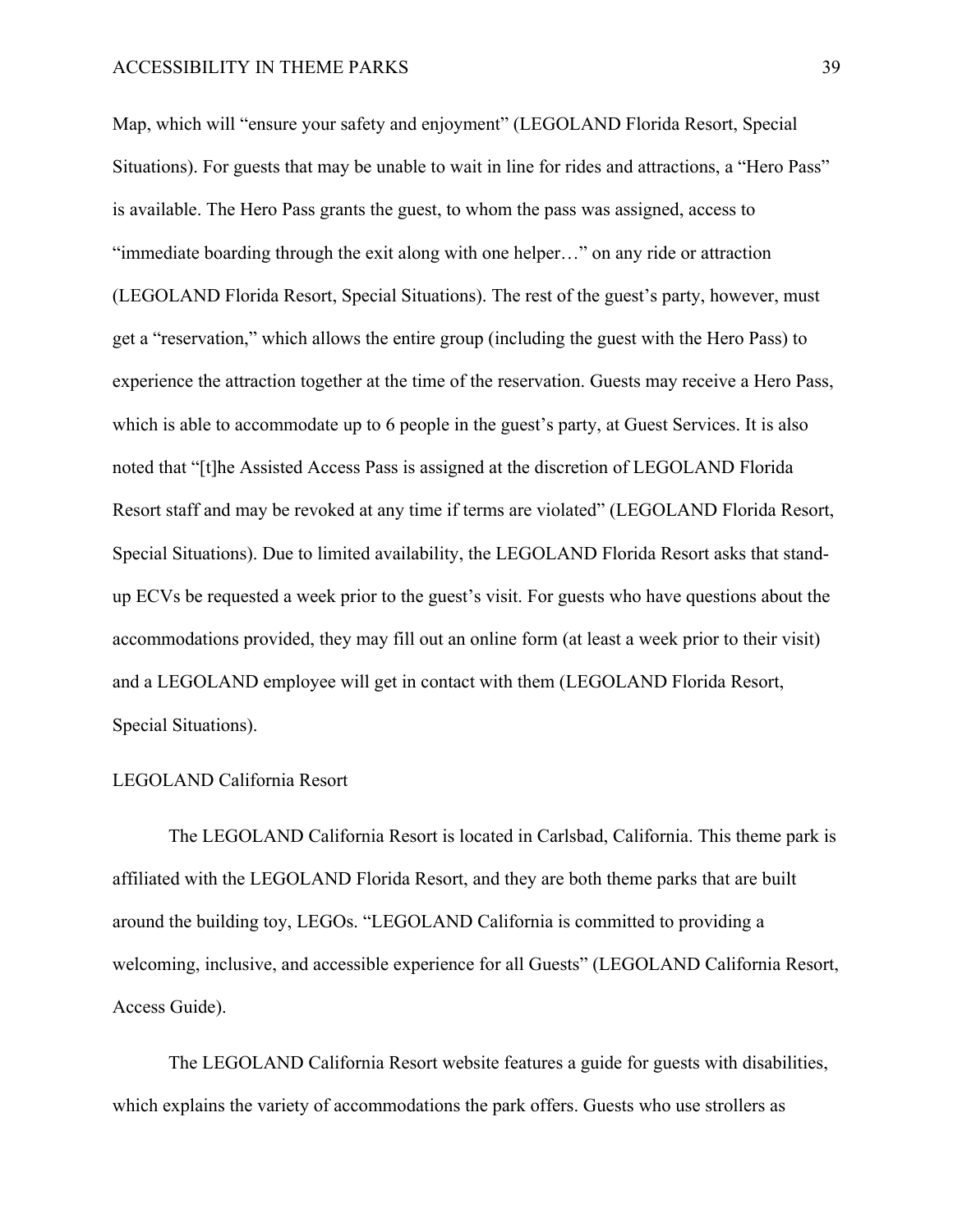Map, which will "ensure your safety and enjoyment" (LEGOLAND Florida Resort, Special Situations). For guests that may be unable to wait in line for rides and attractions, a "Hero Pass" is available. The Hero Pass grants the guest, to whom the pass was assigned, access to "immediate boarding through the exit along with one helper…" on any ride or attraction (LEGOLAND Florida Resort, Special Situations). The rest of the guest's party, however, must get a "reservation," which allows the entire group (including the guest with the Hero Pass) to experience the attraction together at the time of the reservation. Guests may receive a Hero Pass, which is able to accommodate up to 6 people in the guest's party, at Guest Services. It is also noted that "[t]he Assisted Access Pass is assigned at the discretion of LEGOLAND Florida Resort staff and may be revoked at any time if terms are violated" (LEGOLAND Florida Resort, Special Situations). Due to limited availability, the LEGOLAND Florida Resort asks that standup ECVs be requested a week prior to the guest's visit. For guests who have questions about the accommodations provided, they may fill out an online form (at least a week prior to their visit) and a LEGOLAND employee will get in contact with them (LEGOLAND Florida Resort, Special Situations).

#### LEGOLAND California Resort

The LEGOLAND California Resort is located in Carlsbad, California. This theme park is affiliated with the LEGOLAND Florida Resort, and they are both theme parks that are built around the building toy, LEGOs. "LEGOLAND California is committed to providing a welcoming, inclusive, and accessible experience for all Guests" (LEGOLAND California Resort, Access Guide).

The LEGOLAND California Resort website features a guide for guests with disabilities, which explains the variety of accommodations the park offers. Guests who use strollers as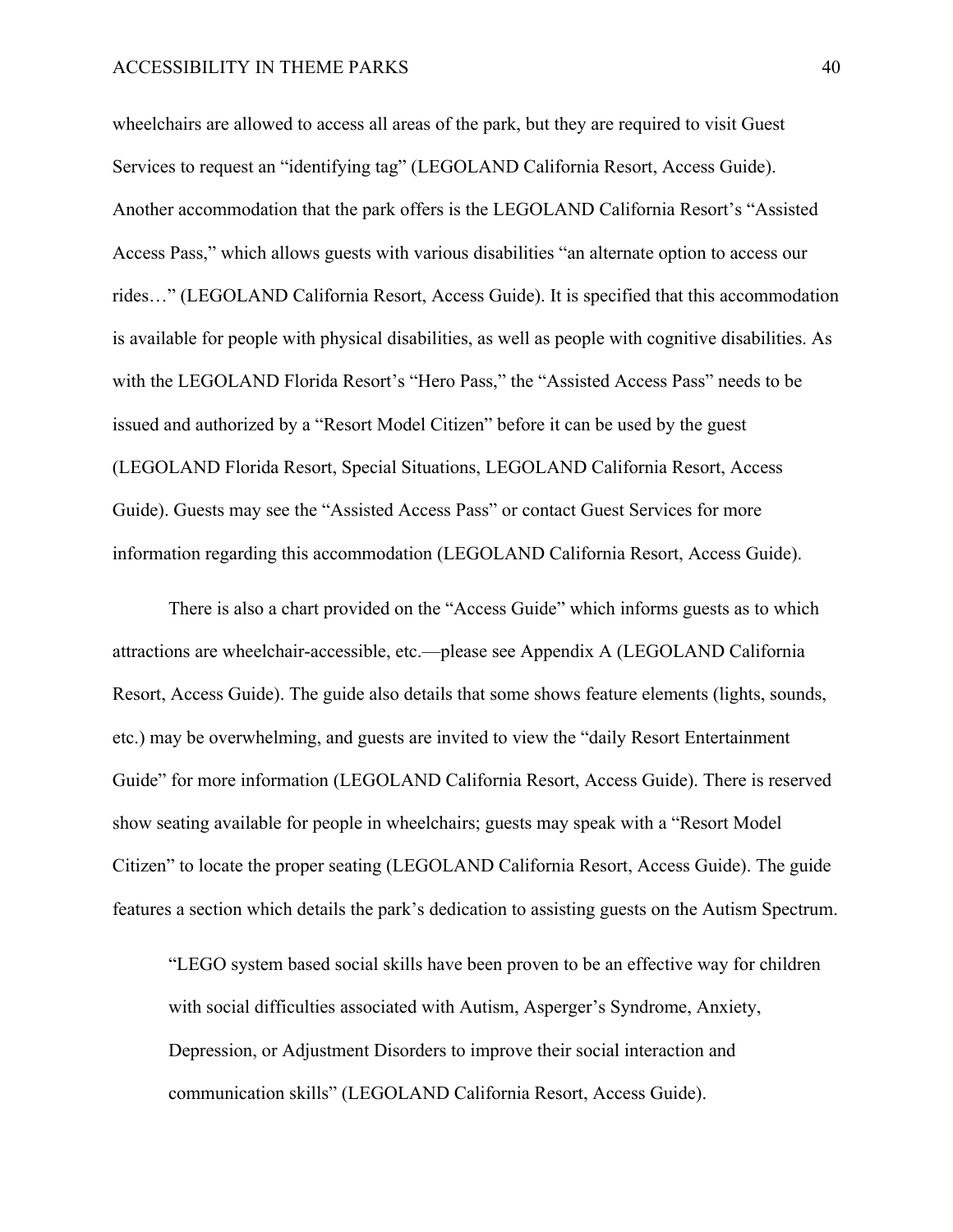wheelchairs are allowed to access all areas of the park, but they are required to visit Guest Services to request an "identifying tag" (LEGOLAND California Resort, Access Guide). Another accommodation that the park offers is the LEGOLAND California Resort's "Assisted Access Pass," which allows guests with various disabilities "an alternate option to access our rides…" (LEGOLAND California Resort, Access Guide). It is specified that this accommodation is available for people with physical disabilities, as well as people with cognitive disabilities. As with the LEGOLAND Florida Resort's "Hero Pass," the "Assisted Access Pass" needs to be issued and authorized by a "Resort Model Citizen" before it can be used by the guest (LEGOLAND Florida Resort, Special Situations, LEGOLAND California Resort, Access Guide). Guests may see the "Assisted Access Pass" or contact Guest Services for more information regarding this accommodation (LEGOLAND California Resort, Access Guide).

There is also a chart provided on the "Access Guide" which informs guests as to which attractions are wheelchair-accessible, etc.—please see Appendix A (LEGOLAND California Resort, Access Guide). The guide also details that some shows feature elements (lights, sounds, etc.) may be overwhelming, and guests are invited to view the "daily Resort Entertainment Guide" for more information (LEGOLAND California Resort, Access Guide). There is reserved show seating available for people in wheelchairs; guests may speak with a "Resort Model Citizen" to locate the proper seating (LEGOLAND California Resort, Access Guide). The guide features a section which details the park's dedication to assisting guests on the Autism Spectrum.

"LEGO system based social skills have been proven to be an effective way for children with social difficulties associated with Autism, Asperger's Syndrome, Anxiety, Depression, or Adjustment Disorders to improve their social interaction and communication skills" (LEGOLAND California Resort, Access Guide).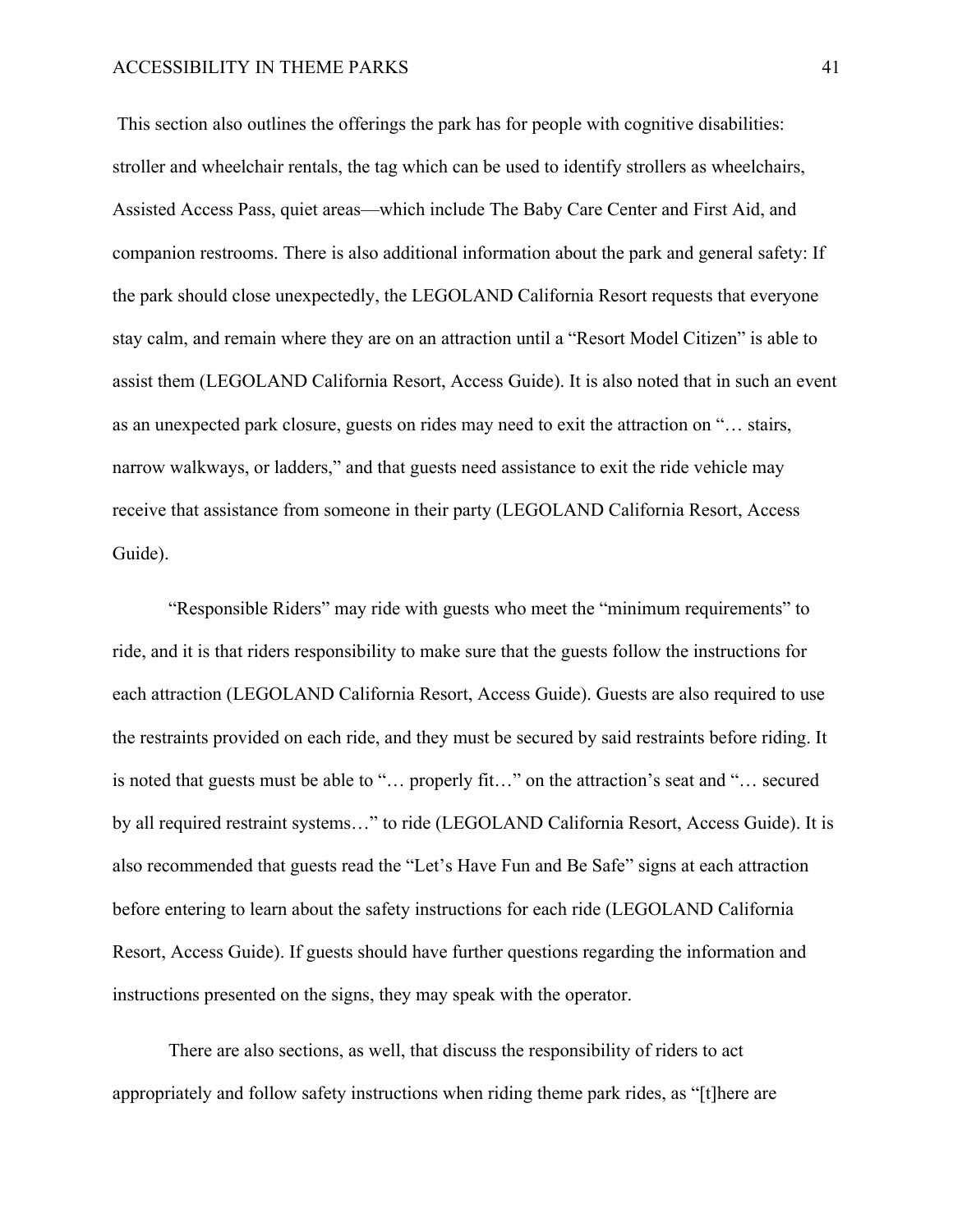This section also outlines the offerings the park has for people with cognitive disabilities: stroller and wheelchair rentals, the tag which can be used to identify strollers as wheelchairs, Assisted Access Pass, quiet areas—which include The Baby Care Center and First Aid, and companion restrooms. There is also additional information about the park and general safety: If the park should close unexpectedly, the LEGOLAND California Resort requests that everyone stay calm, and remain where they are on an attraction until a "Resort Model Citizen" is able to assist them (LEGOLAND California Resort, Access Guide). It is also noted that in such an event as an unexpected park closure, guests on rides may need to exit the attraction on "… stairs, narrow walkways, or ladders," and that guests need assistance to exit the ride vehicle may receive that assistance from someone in their party (LEGOLAND California Resort, Access Guide).

"Responsible Riders" may ride with guests who meet the "minimum requirements" to ride, and it is that riders responsibility to make sure that the guests follow the instructions for each attraction (LEGOLAND California Resort, Access Guide). Guests are also required to use the restraints provided on each ride, and they must be secured by said restraints before riding. It is noted that guests must be able to "… properly fit…" on the attraction's seat and "… secured by all required restraint systems…" to ride (LEGOLAND California Resort, Access Guide). It is also recommended that guests read the "Let's Have Fun and Be Safe" signs at each attraction before entering to learn about the safety instructions for each ride (LEGOLAND California Resort, Access Guide). If guests should have further questions regarding the information and instructions presented on the signs, they may speak with the operator.

There are also sections, as well, that discuss the responsibility of riders to act appropriately and follow safety instructions when riding theme park rides, as "[t]here are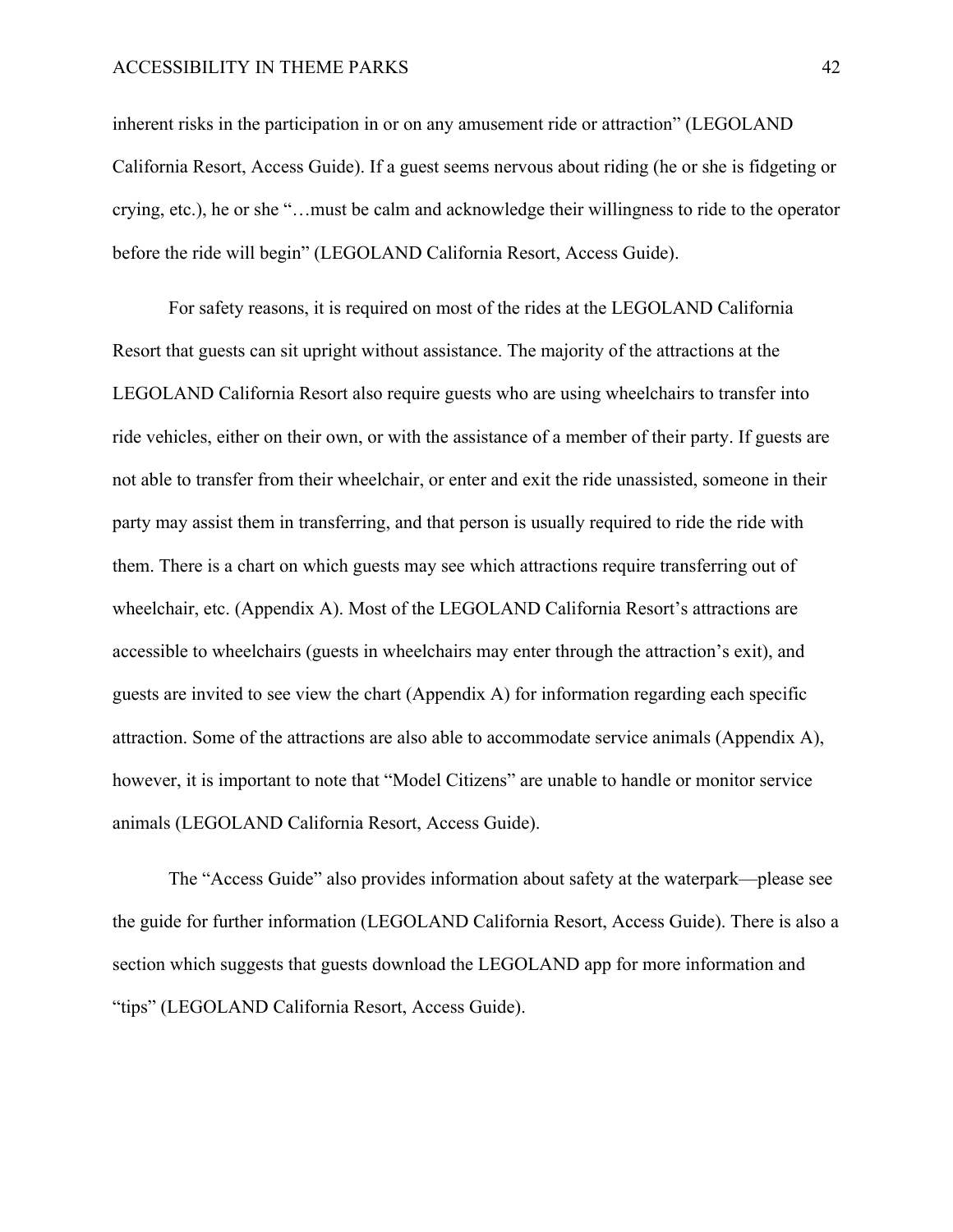inherent risks in the participation in or on any amusement ride or attraction" (LEGOLAND California Resort, Access Guide). If a guest seems nervous about riding (he or she is fidgeting or crying, etc.), he or she "…must be calm and acknowledge their willingness to ride to the operator before the ride will begin" (LEGOLAND California Resort, Access Guide).

For safety reasons, it is required on most of the rides at the LEGOLAND California Resort that guests can sit upright without assistance. The majority of the attractions at the LEGOLAND California Resort also require guests who are using wheelchairs to transfer into ride vehicles, either on their own, or with the assistance of a member of their party. If guests are not able to transfer from their wheelchair, or enter and exit the ride unassisted, someone in their party may assist them in transferring, and that person is usually required to ride the ride with them. There is a chart on which guests may see which attractions require transferring out of wheelchair, etc. (Appendix A). Most of the LEGOLAND California Resort's attractions are accessible to wheelchairs (guests in wheelchairs may enter through the attraction's exit), and guests are invited to see view the chart (Appendix A) for information regarding each specific attraction. Some of the attractions are also able to accommodate service animals (Appendix A), however, it is important to note that "Model Citizens" are unable to handle or monitor service animals (LEGOLAND California Resort, Access Guide).

The "Access Guide" also provides information about safety at the waterpark—please see the guide for further information (LEGOLAND California Resort, Access Guide). There is also a section which suggests that guests download the LEGOLAND app for more information and "tips" (LEGOLAND California Resort, Access Guide).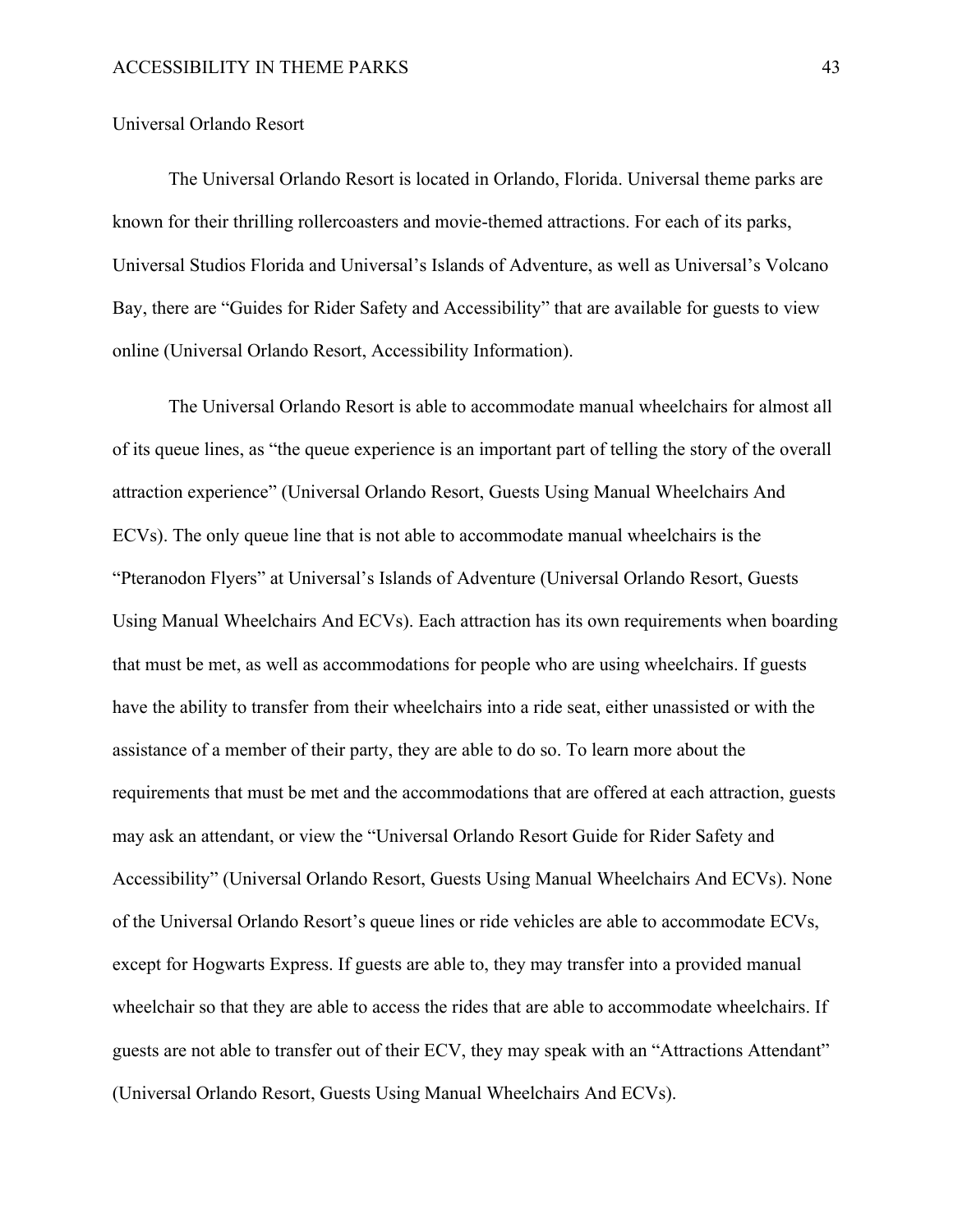## Universal Orlando Resort

The Universal Orlando Resort is located in Orlando, Florida. Universal theme parks are known for their thrilling rollercoasters and movie-themed attractions. For each of its parks, Universal Studios Florida and Universal's Islands of Adventure, as well as Universal's Volcano Bay, there are "Guides for Rider Safety and Accessibility" that are available for guests to view online (Universal Orlando Resort, Accessibility Information).

The Universal Orlando Resort is able to accommodate manual wheelchairs for almost all of its queue lines, as "the queue experience is an important part of telling the story of the overall attraction experience" (Universal Orlando Resort, Guests Using Manual Wheelchairs And ECVs). The only queue line that is not able to accommodate manual wheelchairs is the "Pteranodon Flyers" at Universal's Islands of Adventure (Universal Orlando Resort, Guests Using Manual Wheelchairs And ECVs). Each attraction has its own requirements when boarding that must be met, as well as accommodations for people who are using wheelchairs. If guests have the ability to transfer from their wheelchairs into a ride seat, either unassisted or with the assistance of a member of their party, they are able to do so. To learn more about the requirements that must be met and the accommodations that are offered at each attraction, guests may ask an attendant, or view the "Universal Orlando Resort Guide for Rider Safety and Accessibility" (Universal Orlando Resort, Guests Using Manual Wheelchairs And ECVs). None of the Universal Orlando Resort's queue lines or ride vehicles are able to accommodate ECVs, except for Hogwarts Express. If guests are able to, they may transfer into a provided manual wheelchair so that they are able to access the rides that are able to accommodate wheelchairs. If guests are not able to transfer out of their ECV, they may speak with an "Attractions Attendant" (Universal Orlando Resort, Guests Using Manual Wheelchairs And ECVs).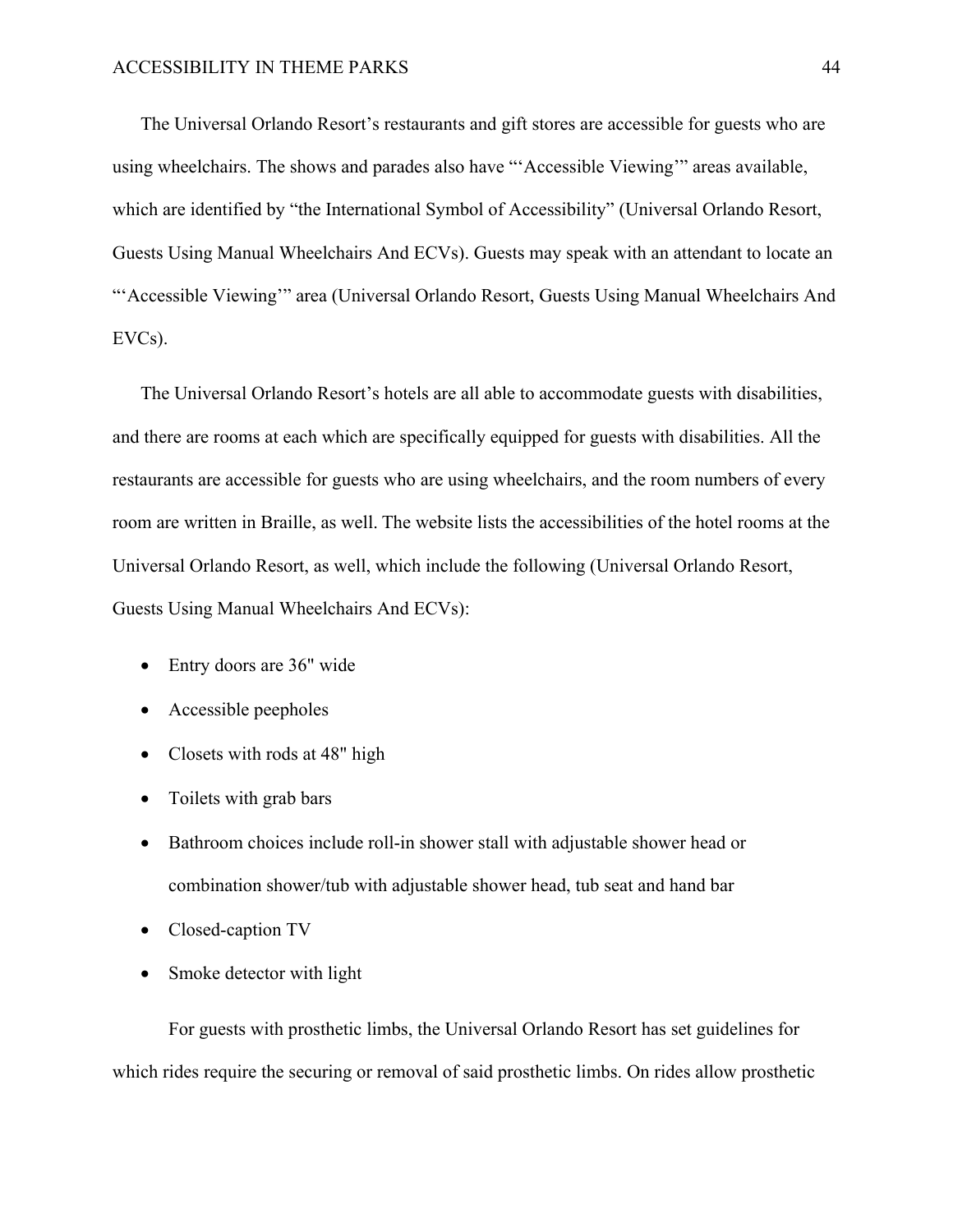The Universal Orlando Resort's restaurants and gift stores are accessible for guests who are using wheelchairs. The shows and parades also have "'Accessible Viewing'" areas available, which are identified by "the International Symbol of Accessibility" (Universal Orlando Resort, Guests Using Manual Wheelchairs And ECVs). Guests may speak with an attendant to locate an "'Accessible Viewing'" area (Universal Orlando Resort, Guests Using Manual Wheelchairs And EVCs).

The Universal Orlando Resort's hotels are all able to accommodate guests with disabilities, and there are rooms at each which are specifically equipped for guests with disabilities. All the restaurants are accessible for guests who are using wheelchairs, and the room numbers of every room are written in Braille, as well. The website lists the accessibilities of the hotel rooms at the Universal Orlando Resort, as well, which include the following (Universal Orlando Resort, Guests Using Manual Wheelchairs And ECVs):

- Entry doors are 36" wide
- Accessible peepholes
- Closets with rods at 48" high
- Toilets with grab bars
- Bathroom choices include roll-in shower stall with adjustable shower head or combination shower/tub with adjustable shower head, tub seat and hand bar
- Closed-caption TV
- Smoke detector with light

For guests with prosthetic limbs, the Universal Orlando Resort has set guidelines for which rides require the securing or removal of said prosthetic limbs. On rides allow prosthetic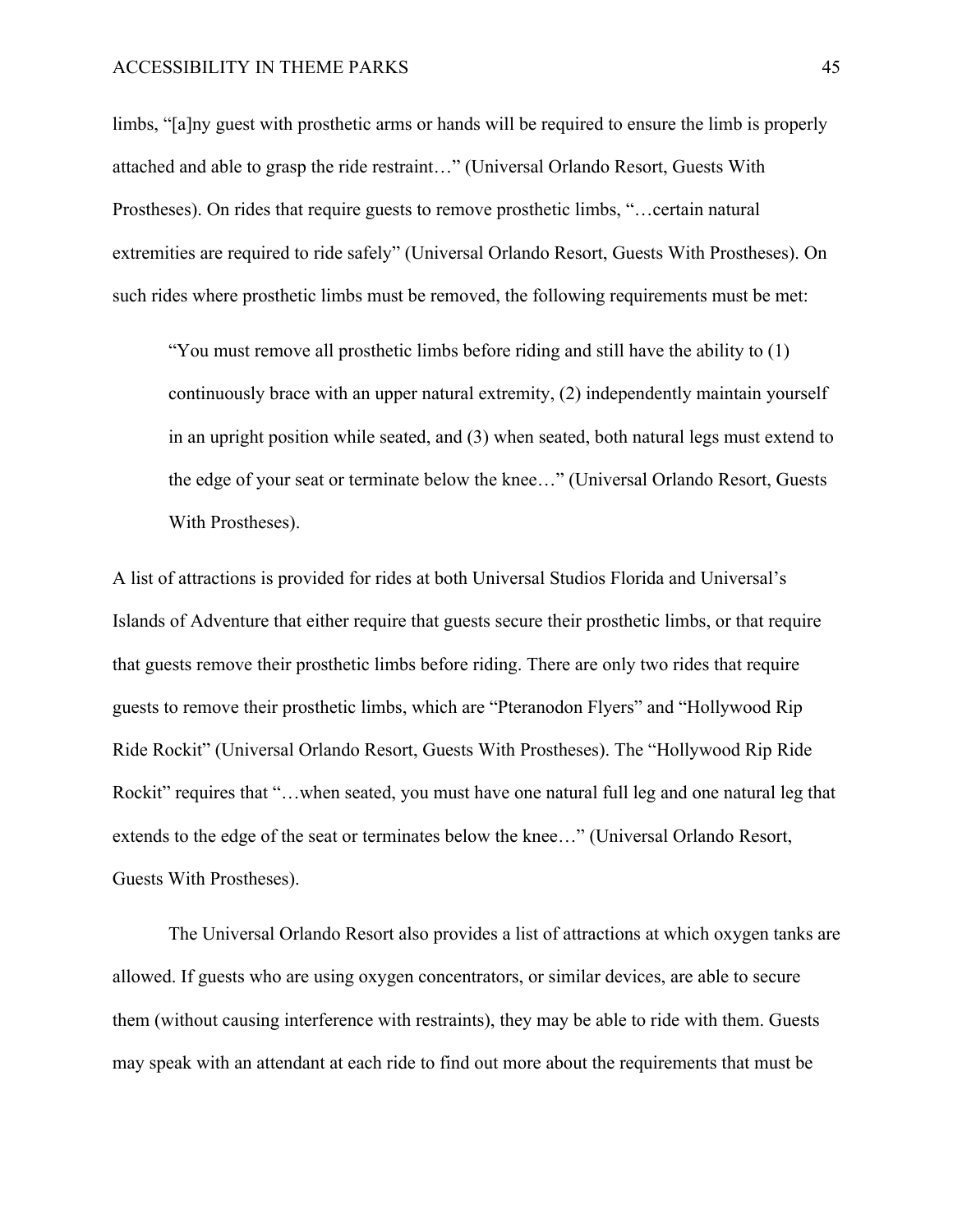limbs, "[a]ny guest with prosthetic arms or hands will be required to ensure the limb is properly attached and able to grasp the ride restraint…" (Universal Orlando Resort, Guests With Prostheses). On rides that require guests to remove prosthetic limbs, "…certain natural extremities are required to ride safely" (Universal Orlando Resort, Guests With Prostheses). On such rides where prosthetic limbs must be removed, the following requirements must be met:

"You must remove all prosthetic limbs before riding and still have the ability to (1) continuously brace with an upper natural extremity, (2) independently maintain yourself in an upright position while seated, and (3) when seated, both natural legs must extend to the edge of your seat or terminate below the knee…" (Universal Orlando Resort, Guests With Prostheses).

A list of attractions is provided for rides at both Universal Studios Florida and Universal's Islands of Adventure that either require that guests secure their prosthetic limbs, or that require that guests remove their prosthetic limbs before riding. There are only two rides that require guests to remove their prosthetic limbs, which are "Pteranodon Flyers" and "Hollywood Rip Ride Rockit" (Universal Orlando Resort, Guests With Prostheses). The "Hollywood Rip Ride Rockit" requires that "... when seated, you must have one natural full leg and one natural leg that extends to the edge of the seat or terminates below the knee…" (Universal Orlando Resort, Guests With Prostheses).

The Universal Orlando Resort also provides a list of attractions at which oxygen tanks are allowed. If guests who are using oxygen concentrators, or similar devices, are able to secure them (without causing interference with restraints), they may be able to ride with them. Guests may speak with an attendant at each ride to find out more about the requirements that must be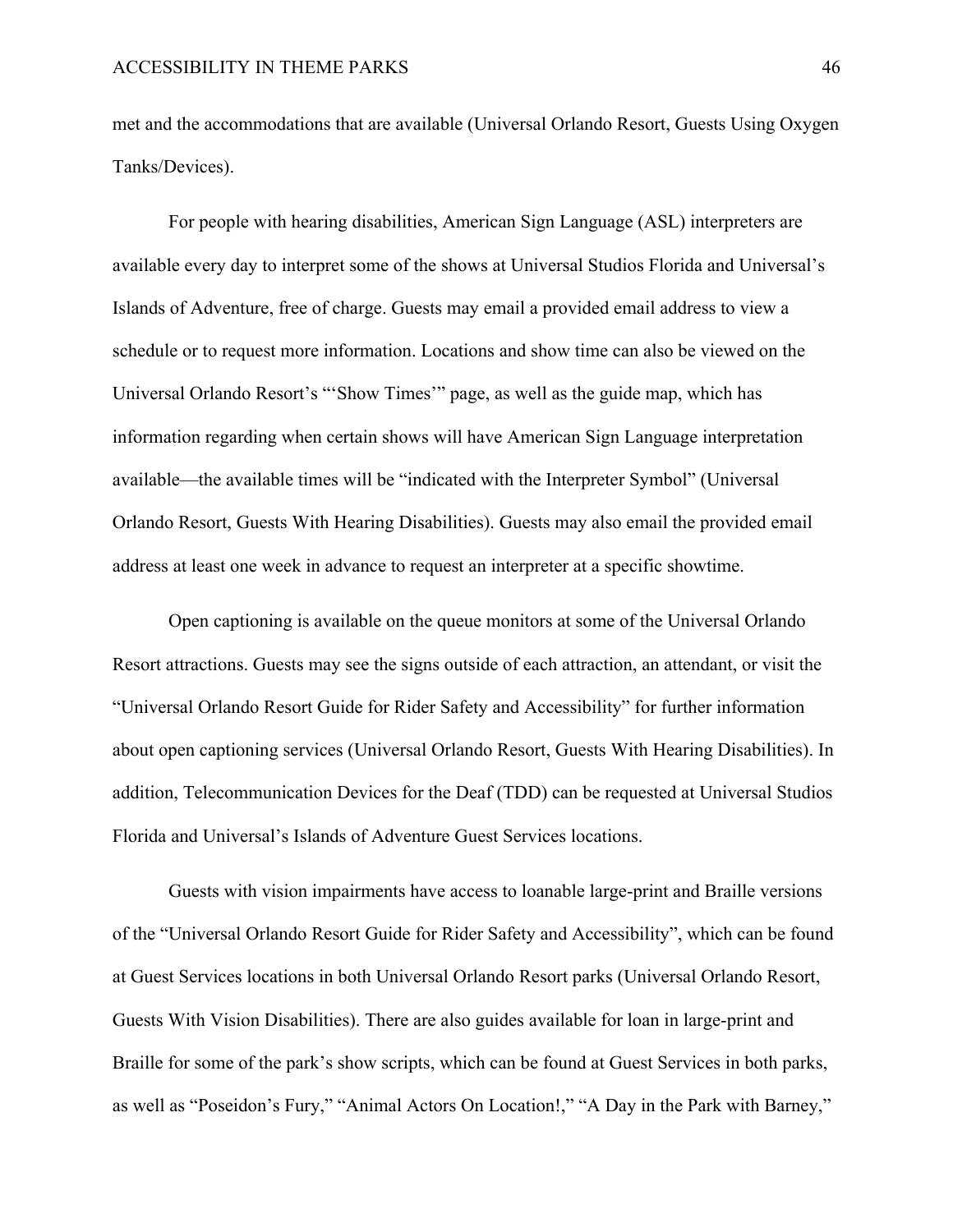met and the accommodations that are available (Universal Orlando Resort, Guests Using Oxygen Tanks/Devices).

For people with hearing disabilities, American Sign Language (ASL) interpreters are available every day to interpret some of the shows at Universal Studios Florida and Universal's Islands of Adventure, free of charge. Guests may email a provided email address to view a schedule or to request more information. Locations and show time can also be viewed on the Universal Orlando Resort's "'Show Times'" page, as well as the guide map, which has information regarding when certain shows will have American Sign Language interpretation available—the available times will be "indicated with the Interpreter Symbol" (Universal Orlando Resort, Guests With Hearing Disabilities). Guests may also email the provided email address at least one week in advance to request an interpreter at a specific showtime.

Open captioning is available on the queue monitors at some of the Universal Orlando Resort attractions. Guests may see the signs outside of each attraction, an attendant, or visit the "Universal Orlando Resort Guide for Rider Safety and Accessibility" for further information about open captioning services (Universal Orlando Resort, Guests With Hearing Disabilities). In addition, Telecommunication Devices for the Deaf (TDD) can be requested at Universal Studios Florida and Universal's Islands of Adventure Guest Services locations.

Guests with vision impairments have access to loanable large-print and Braille versions of the "Universal Orlando Resort Guide for Rider Safety and Accessibility", which can be found at Guest Services locations in both Universal Orlando Resort parks (Universal Orlando Resort, Guests With Vision Disabilities). There are also guides available for loan in large-print and Braille for some of the park's show scripts, which can be found at Guest Services in both parks, as well as "Poseidon's Fury," "Animal Actors On Location!," "A Day in the Park with Barney,"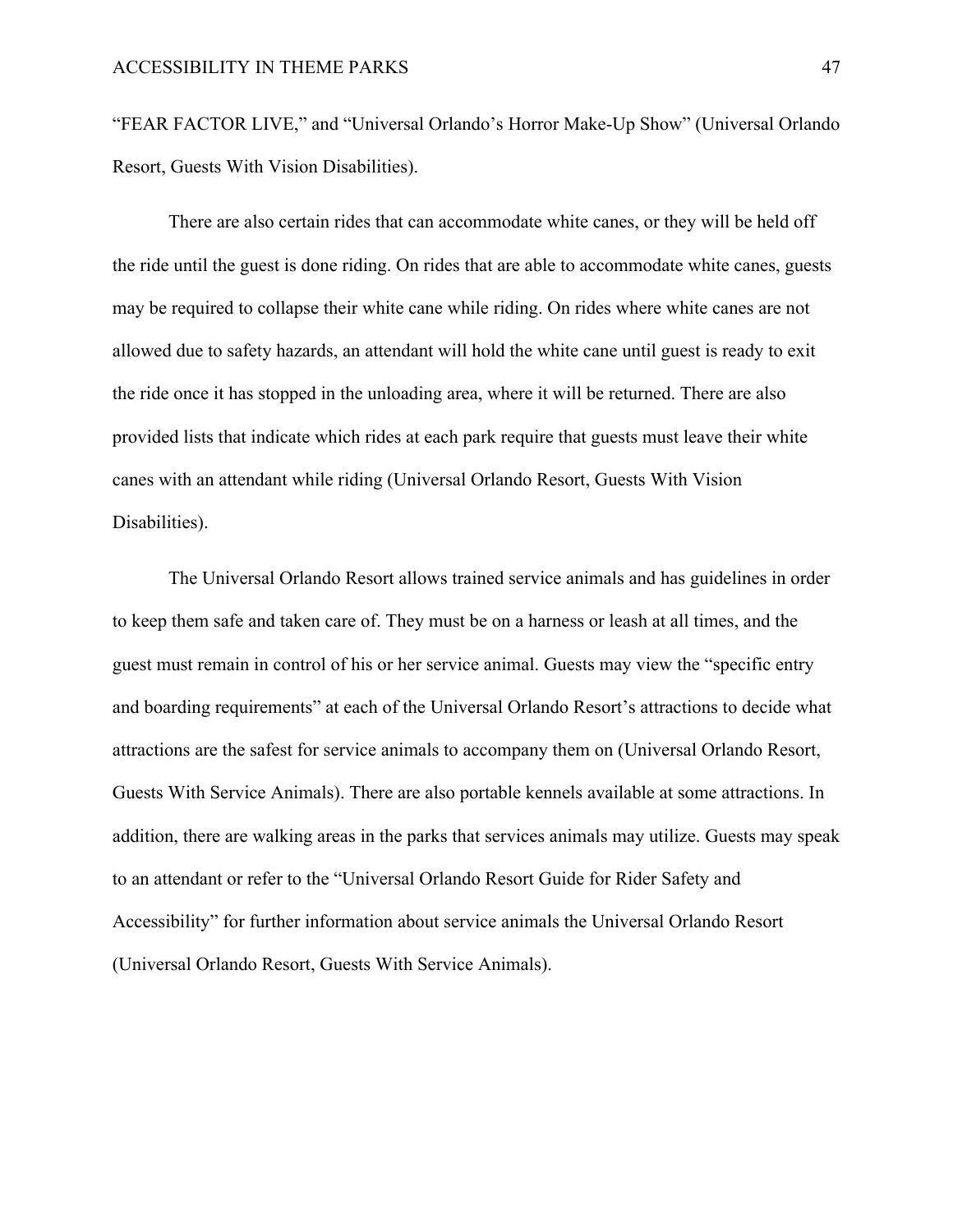"FEAR FACTOR LIVE," and "Universal Orlando's Horror Make-Up Show" (Universal Orlando Resort, Guests With Vision Disabilities).

There are also certain rides that can accommodate white canes, or they will be held off the ride until the guest is done riding. On rides that are able to accommodate white canes, guests may be required to collapse their white cane while riding. On rides where white canes are not allowed due to safety hazards, an attendant will hold the white cane until guest is ready to exit the ride once it has stopped in the unloading area, where it will be returned. There are also provided lists that indicate which rides at each park require that guests must leave their white canes with an attendant while riding (Universal Orlando Resort, Guests With Vision Disabilities).

The Universal Orlando Resort allows trained service animals and has guidelines in order to keep them safe and taken care of. They must be on a harness or leash at all times, and the guest must remain in control of his or her service animal. Guests may view the "specific entry and boarding requirements" at each of the Universal Orlando Resort's attractions to decide what attractions are the safest for service animals to accompany them on (Universal Orlando Resort, Guests With Service Animals). There are also portable kennels available at some attractions. In addition, there are walking areas in the parks that services animals may utilize. Guests may speak to an attendant or refer to the "Universal Orlando Resort Guide for Rider Safety and Accessibility" for further information about service animals the Universal Orlando Resort (Universal Orlando Resort, Guests With Service Animals).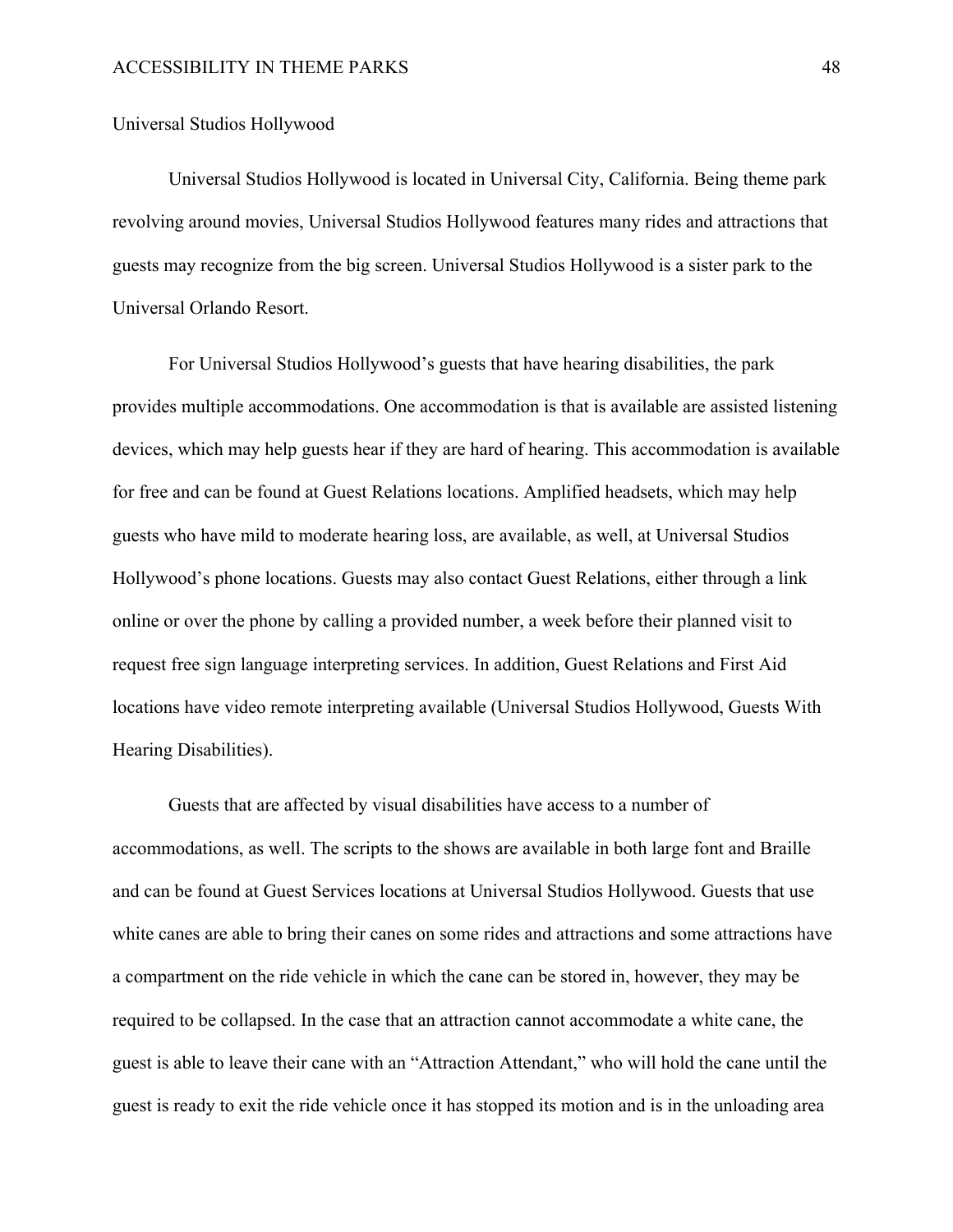# Universal Studios Hollywood

Universal Studios Hollywood is located in Universal City, California. Being theme park revolving around movies, Universal Studios Hollywood features many rides and attractions that guests may recognize from the big screen. Universal Studios Hollywood is a sister park to the Universal Orlando Resort.

For Universal Studios Hollywood's guests that have hearing disabilities, the park provides multiple accommodations. One accommodation is that is available are assisted listening devices, which may help guests hear if they are hard of hearing. This accommodation is available for free and can be found at Guest Relations locations. Amplified headsets, which may help guests who have mild to moderate hearing loss, are available, as well, at Universal Studios Hollywood's phone locations. Guests may also contact Guest Relations, either through a link online or over the phone by calling a provided number, a week before their planned visit to request free sign language interpreting services. In addition, Guest Relations and First Aid locations have video remote interpreting available (Universal Studios Hollywood, Guests With Hearing Disabilities).

Guests that are affected by visual disabilities have access to a number of accommodations, as well. The scripts to the shows are available in both large font and Braille and can be found at Guest Services locations at Universal Studios Hollywood. Guests that use white canes are able to bring their canes on some rides and attractions and some attractions have a compartment on the ride vehicle in which the cane can be stored in, however, they may be required to be collapsed. In the case that an attraction cannot accommodate a white cane, the guest is able to leave their cane with an "Attraction Attendant," who will hold the cane until the guest is ready to exit the ride vehicle once it has stopped its motion and is in the unloading area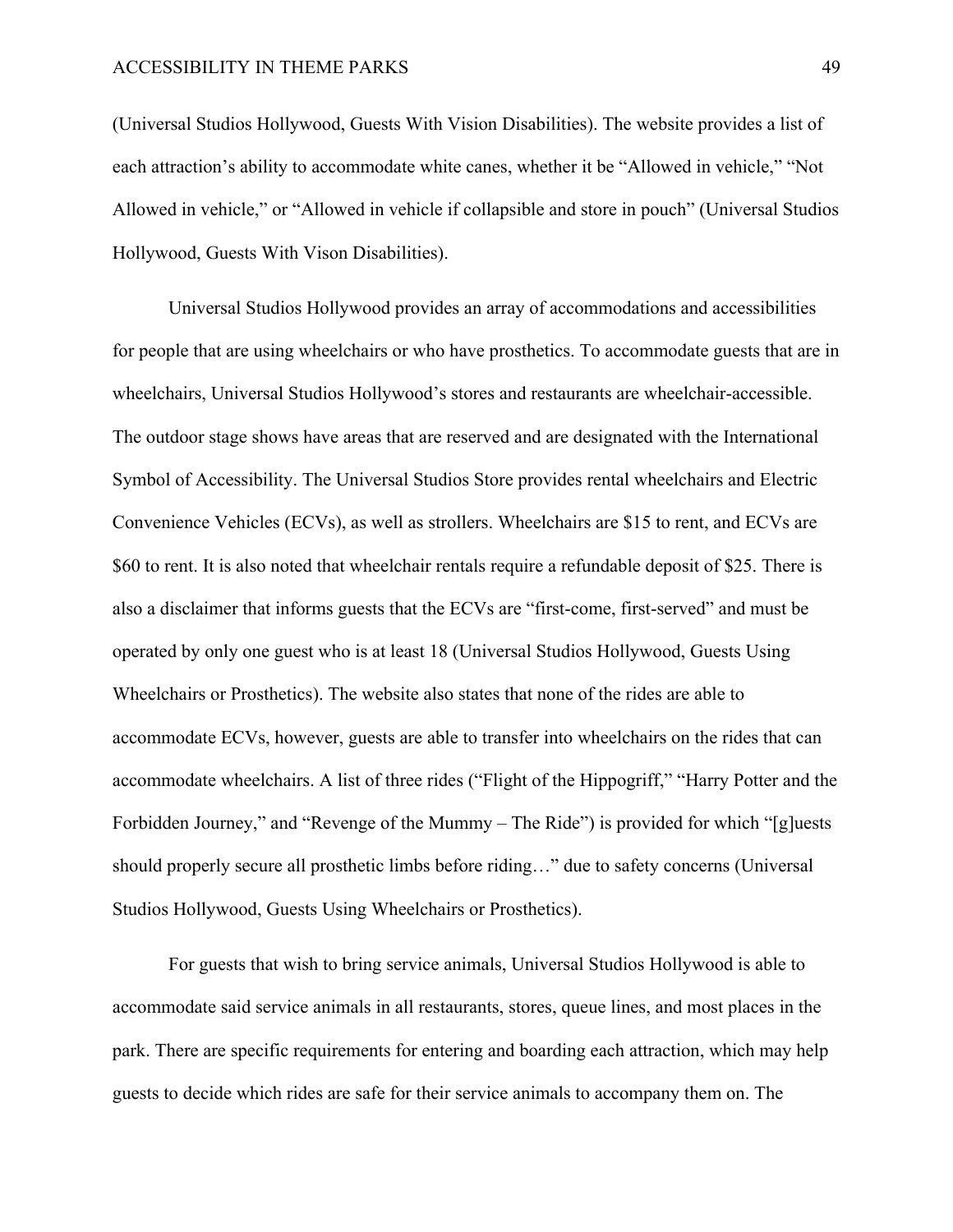(Universal Studios Hollywood, Guests With Vision Disabilities). The website provides a list of each attraction's ability to accommodate white canes, whether it be "Allowed in vehicle," "Not Allowed in vehicle," or "Allowed in vehicle if collapsible and store in pouch" (Universal Studios Hollywood, Guests With Vison Disabilities).

Universal Studios Hollywood provides an array of accommodations and accessibilities for people that are using wheelchairs or who have prosthetics. To accommodate guests that are in wheelchairs, Universal Studios Hollywood's stores and restaurants are wheelchair-accessible. The outdoor stage shows have areas that are reserved and are designated with the International Symbol of Accessibility. The Universal Studios Store provides rental wheelchairs and Electric Convenience Vehicles (ECVs), as well as strollers. Wheelchairs are \$15 to rent, and ECVs are \$60 to rent. It is also noted that wheelchair rentals require a refundable deposit of \$25. There is also a disclaimer that informs guests that the ECVs are "first-come, first-served" and must be operated by only one guest who is at least 18 (Universal Studios Hollywood, Guests Using Wheelchairs or Prosthetics). The website also states that none of the rides are able to accommodate ECVs, however, guests are able to transfer into wheelchairs on the rides that can accommodate wheelchairs. A list of three rides ("Flight of the Hippogriff," "Harry Potter and the Forbidden Journey," and "Revenge of the Mummy – The Ride") is provided for which "[g]uests should properly secure all prosthetic limbs before riding…" due to safety concerns (Universal Studios Hollywood, Guests Using Wheelchairs or Prosthetics).

For guests that wish to bring service animals, Universal Studios Hollywood is able to accommodate said service animals in all restaurants, stores, queue lines, and most places in the park. There are specific requirements for entering and boarding each attraction, which may help guests to decide which rides are safe for their service animals to accompany them on. The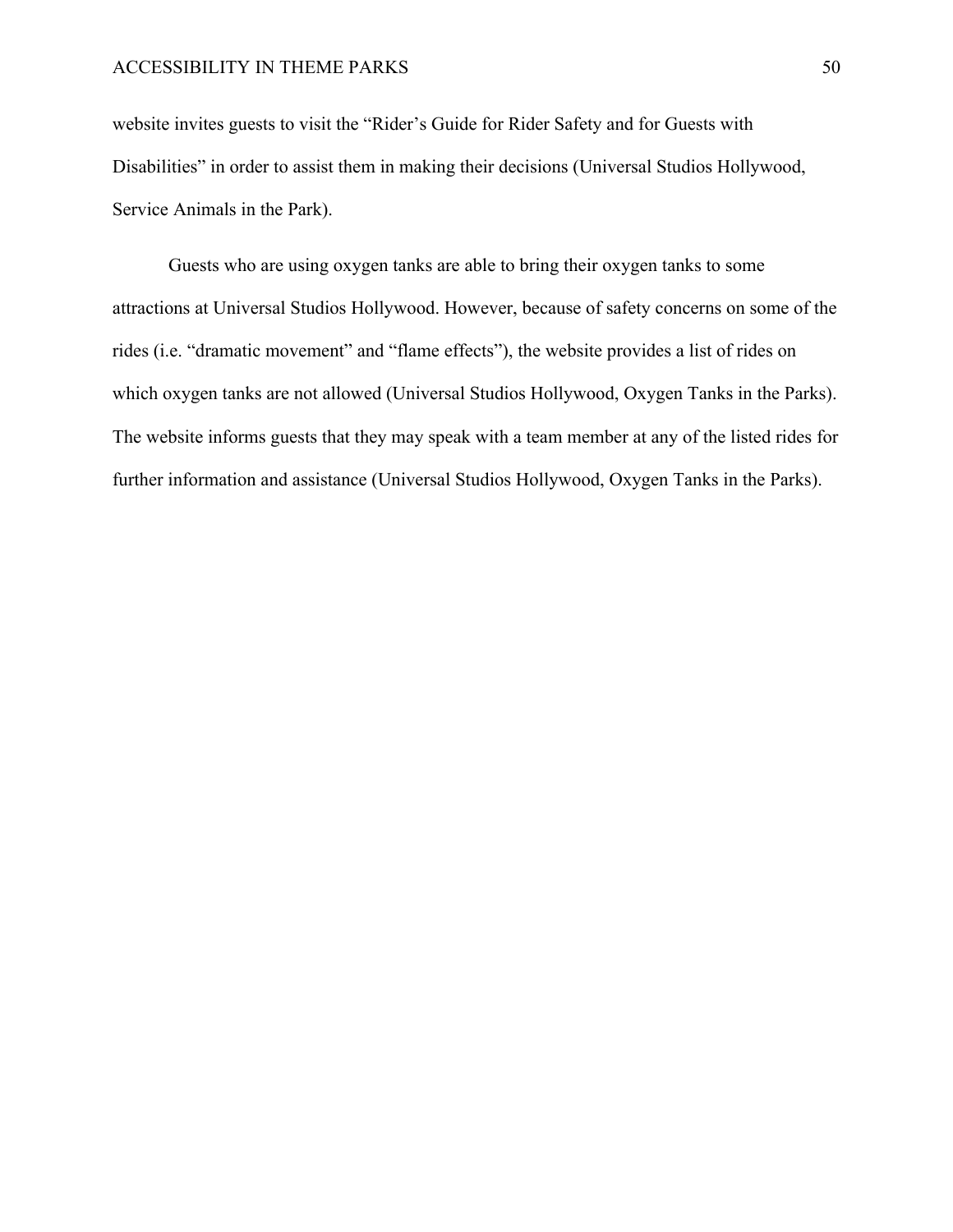website invites guests to visit the "Rider's Guide for Rider Safety and for Guests with Disabilities" in order to assist them in making their decisions (Universal Studios Hollywood, Service Animals in the Park).

Guests who are using oxygen tanks are able to bring their oxygen tanks to some attractions at Universal Studios Hollywood. However, because of safety concerns on some of the rides (i.e. "dramatic movement" and "flame effects"), the website provides a list of rides on which oxygen tanks are not allowed (Universal Studios Hollywood, Oxygen Tanks in the Parks). The website informs guests that they may speak with a team member at any of the listed rides for further information and assistance (Universal Studios Hollywood, Oxygen Tanks in the Parks).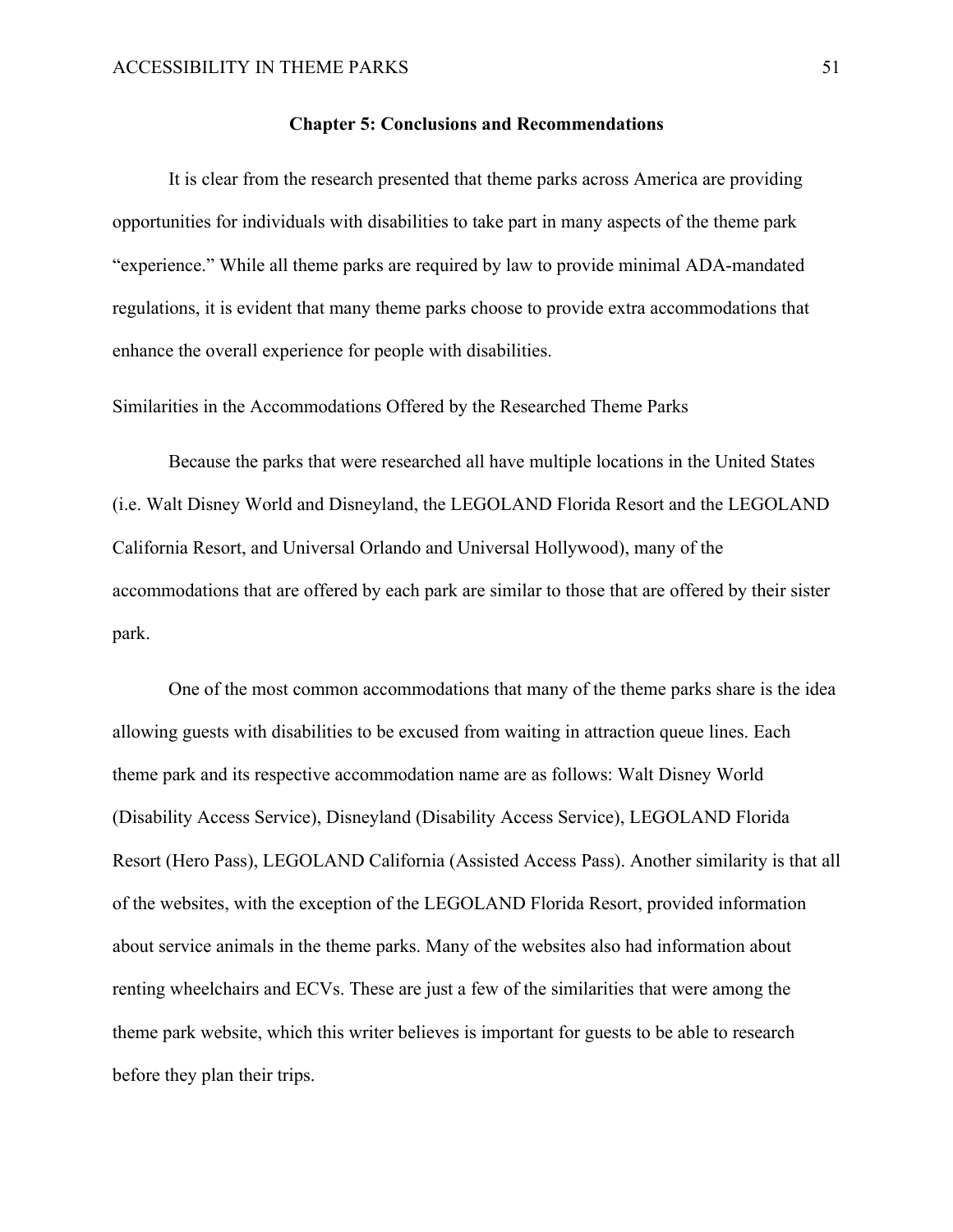#### **Chapter 5: Conclusions and Recommendations**

It is clear from the research presented that theme parks across America are providing opportunities for individuals with disabilities to take part in many aspects of the theme park "experience." While all theme parks are required by law to provide minimal ADA-mandated regulations, it is evident that many theme parks choose to provide extra accommodations that enhance the overall experience for people with disabilities.

Similarities in the Accommodations Offered by the Researched Theme Parks

Because the parks that were researched all have multiple locations in the United States (i.e. Walt Disney World and Disneyland, the LEGOLAND Florida Resort and the LEGOLAND California Resort, and Universal Orlando and Universal Hollywood), many of the accommodations that are offered by each park are similar to those that are offered by their sister park.

One of the most common accommodations that many of the theme parks share is the idea allowing guests with disabilities to be excused from waiting in attraction queue lines. Each theme park and its respective accommodation name are as follows: Walt Disney World (Disability Access Service), Disneyland (Disability Access Service), LEGOLAND Florida Resort (Hero Pass), LEGOLAND California (Assisted Access Pass). Another similarity is that all of the websites, with the exception of the LEGOLAND Florida Resort, provided information about service animals in the theme parks. Many of the websites also had information about renting wheelchairs and ECVs. These are just a few of the similarities that were among the theme park website, which this writer believes is important for guests to be able to research before they plan their trips.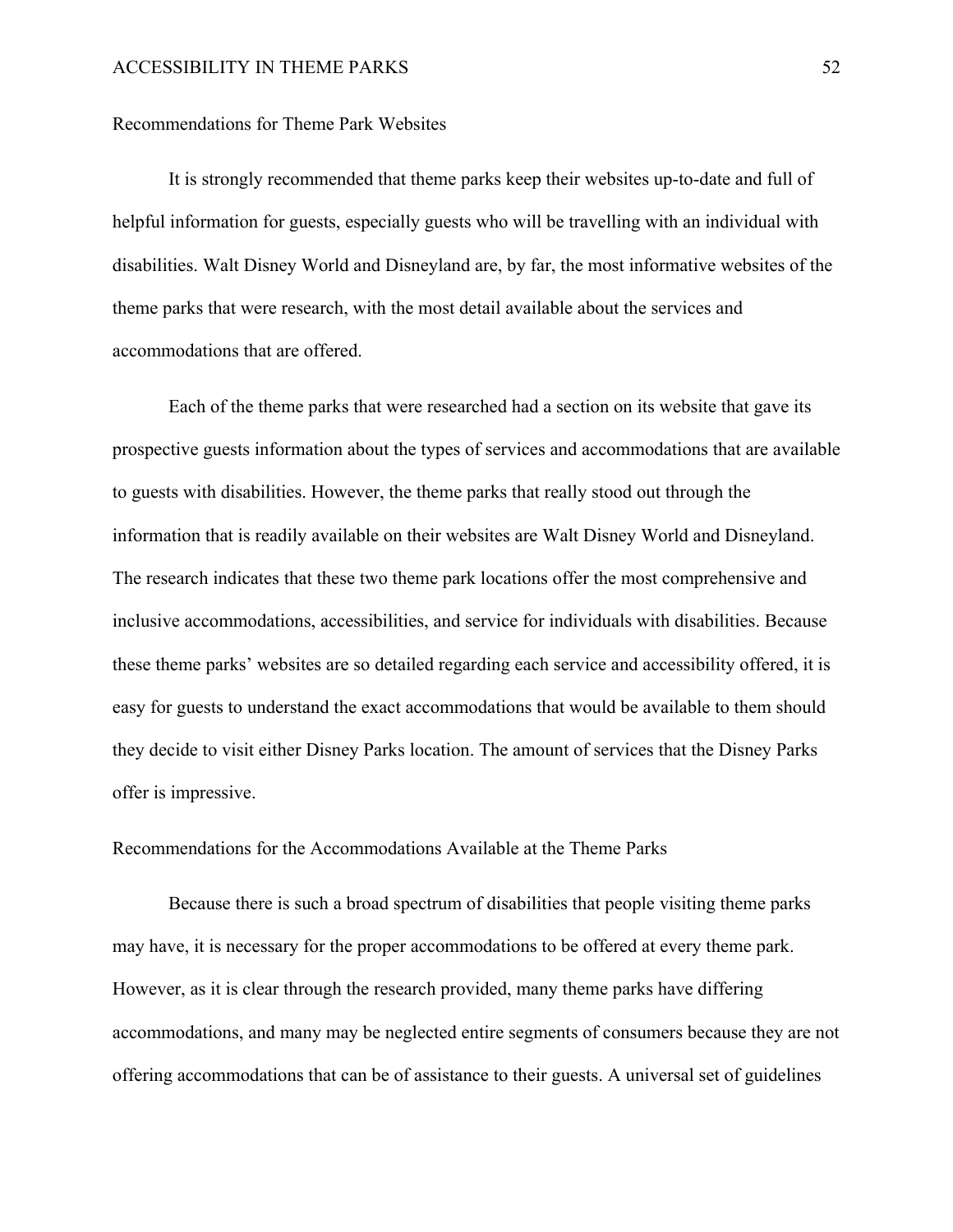#### Recommendations for Theme Park Websites

It is strongly recommended that theme parks keep their websites up-to-date and full of helpful information for guests, especially guests who will be travelling with an individual with disabilities. Walt Disney World and Disneyland are, by far, the most informative websites of the theme parks that were research, with the most detail available about the services and accommodations that are offered.

Each of the theme parks that were researched had a section on its website that gave its prospective guests information about the types of services and accommodations that are available to guests with disabilities. However, the theme parks that really stood out through the information that is readily available on their websites are Walt Disney World and Disneyland. The research indicates that these two theme park locations offer the most comprehensive and inclusive accommodations, accessibilities, and service for individuals with disabilities. Because these theme parks' websites are so detailed regarding each service and accessibility offered, it is easy for guests to understand the exact accommodations that would be available to them should they decide to visit either Disney Parks location. The amount of services that the Disney Parks offer is impressive.

Recommendations for the Accommodations Available at the Theme Parks

Because there is such a broad spectrum of disabilities that people visiting theme parks may have, it is necessary for the proper accommodations to be offered at every theme park. However, as it is clear through the research provided, many theme parks have differing accommodations, and many may be neglected entire segments of consumers because they are not offering accommodations that can be of assistance to their guests. A universal set of guidelines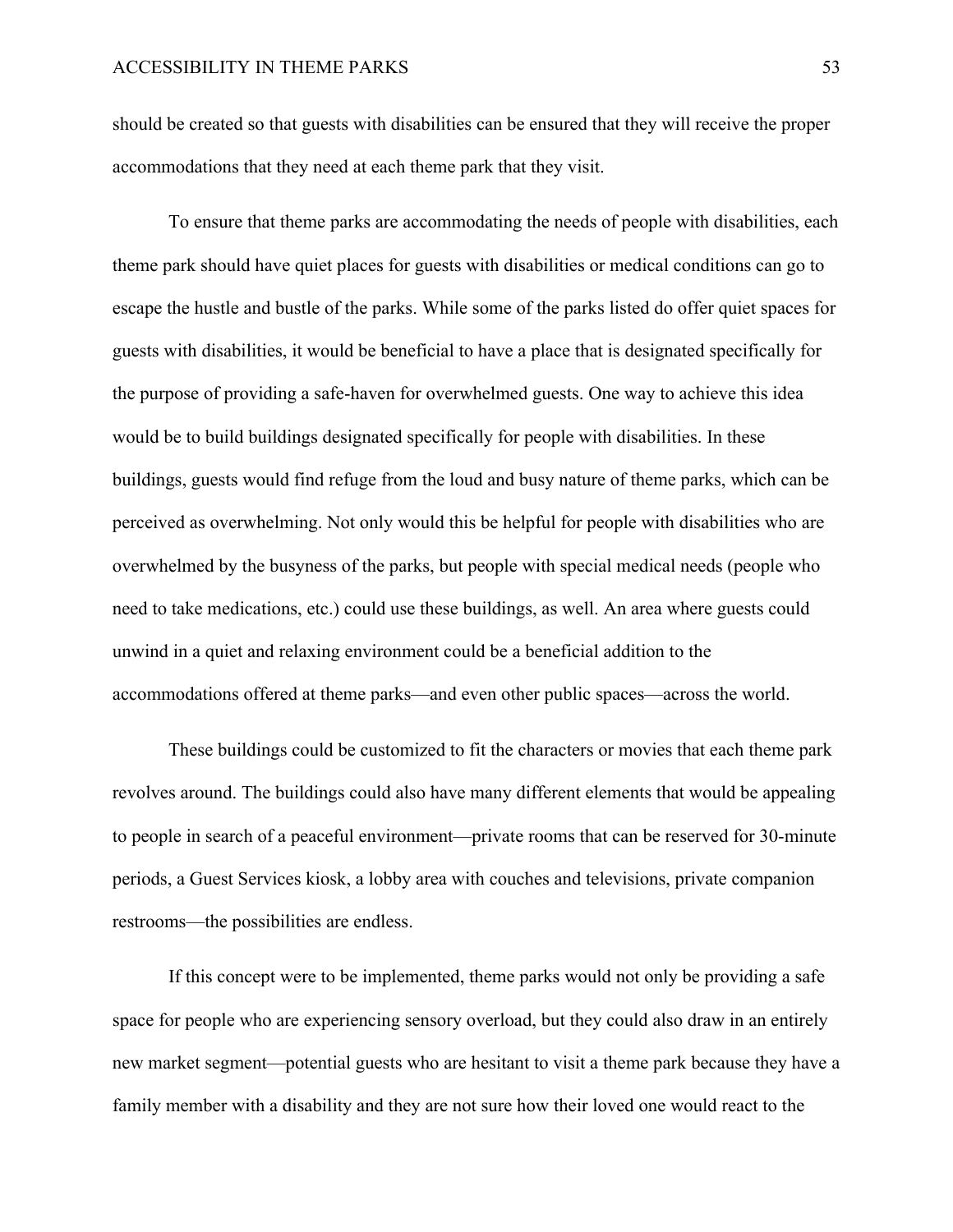should be created so that guests with disabilities can be ensured that they will receive the proper accommodations that they need at each theme park that they visit.

To ensure that theme parks are accommodating the needs of people with disabilities, each theme park should have quiet places for guests with disabilities or medical conditions can go to escape the hustle and bustle of the parks. While some of the parks listed do offer quiet spaces for guests with disabilities, it would be beneficial to have a place that is designated specifically for the purpose of providing a safe-haven for overwhelmed guests. One way to achieve this idea would be to build buildings designated specifically for people with disabilities. In these buildings, guests would find refuge from the loud and busy nature of theme parks, which can be perceived as overwhelming. Not only would this be helpful for people with disabilities who are overwhelmed by the busyness of the parks, but people with special medical needs (people who need to take medications, etc.) could use these buildings, as well. An area where guests could unwind in a quiet and relaxing environment could be a beneficial addition to the accommodations offered at theme parks—and even other public spaces—across the world.

These buildings could be customized to fit the characters or movies that each theme park revolves around. The buildings could also have many different elements that would be appealing to people in search of a peaceful environment—private rooms that can be reserved for 30-minute periods, a Guest Services kiosk, a lobby area with couches and televisions, private companion restrooms—the possibilities are endless.

If this concept were to be implemented, theme parks would not only be providing a safe space for people who are experiencing sensory overload, but they could also draw in an entirely new market segment—potential guests who are hesitant to visit a theme park because they have a family member with a disability and they are not sure how their loved one would react to the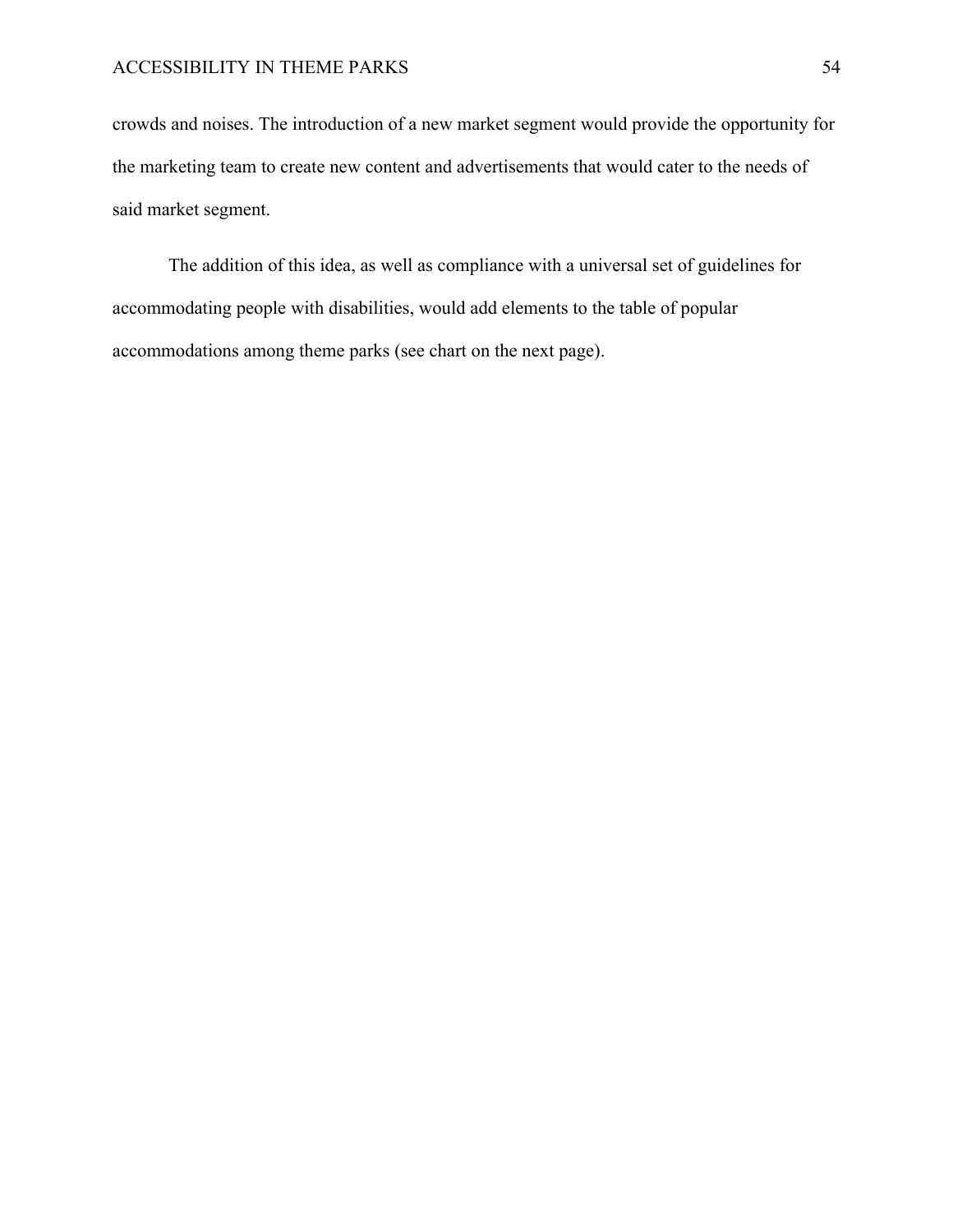crowds and noises. The introduction of a new market segment would provide the opportunity for the marketing team to create new content and advertisements that would cater to the needs of said market segment.

The addition of this idea, as well as compliance with a universal set of guidelines for accommodating people with disabilities, would add elements to the table of popular accommodations among theme parks (see chart on the next page).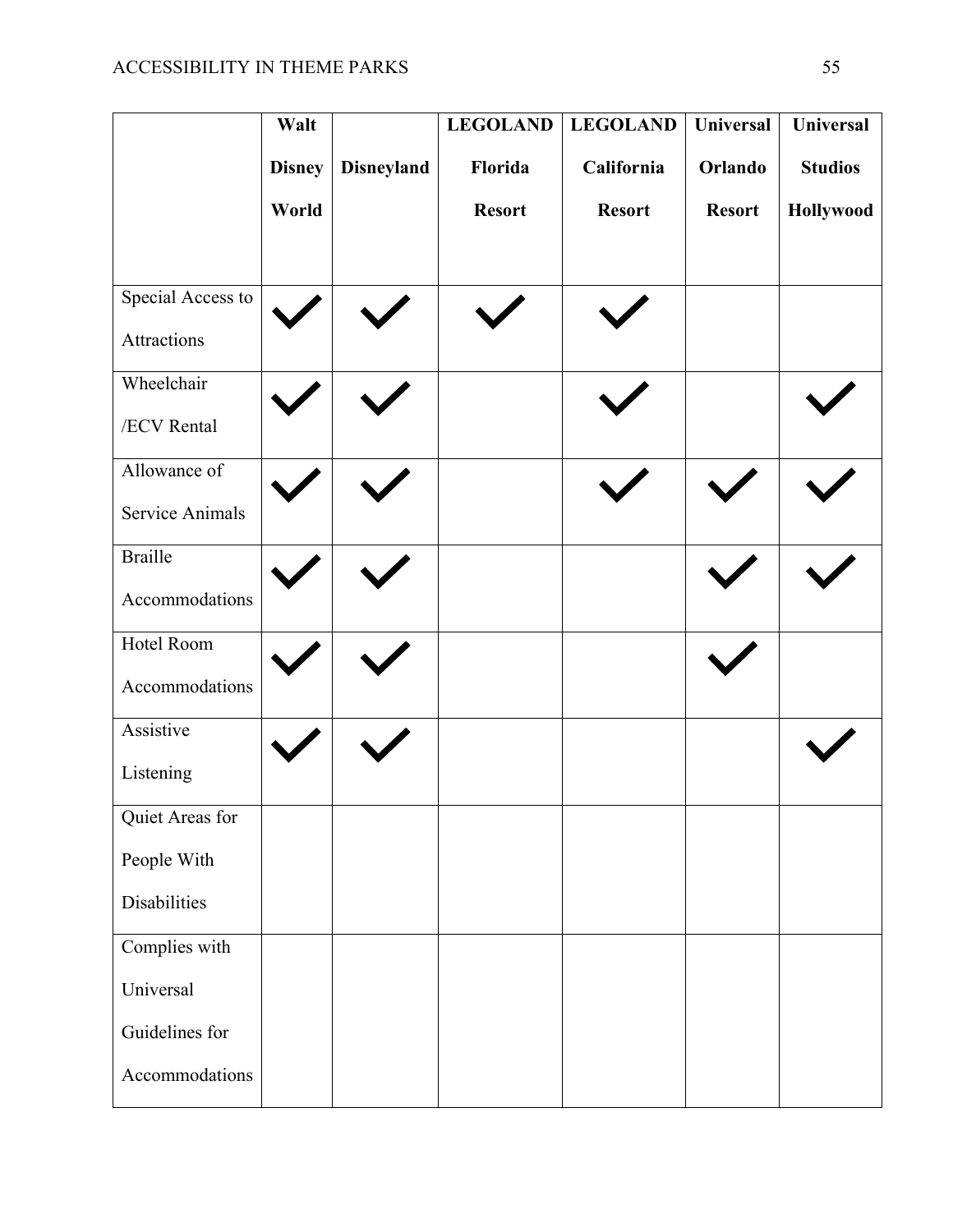|                        | Walt          |                   | <b>LEGOLAND</b> | <b>LEGOLAND</b> | Universal     | <b>Universal</b> |
|------------------------|---------------|-------------------|-----------------|-----------------|---------------|------------------|
|                        | <b>Disney</b> | <b>Disneyland</b> | Florida         | California      | Orlando       | <b>Studios</b>   |
|                        | World         |                   | <b>Resort</b>   | <b>Resort</b>   | <b>Resort</b> | Hollywood        |
|                        |               |                   |                 |                 |               |                  |
| Special Access to      |               |                   |                 |                 |               |                  |
| Attractions            |               |                   |                 |                 |               |                  |
| Wheelchair             |               |                   |                 |                 |               |                  |
| /ECV Rental            |               |                   |                 |                 |               |                  |
| Allowance of           |               |                   |                 |                 |               |                  |
| <b>Service Animals</b> |               |                   |                 |                 |               |                  |
| <b>Braille</b>         |               |                   |                 |                 |               |                  |
| Accommodations         |               |                   |                 |                 |               |                  |
| Hotel Room             |               |                   |                 |                 |               |                  |
| Accommodations         |               |                   |                 |                 |               |                  |
| Assistive              |               |                   |                 |                 |               |                  |
| Listening              |               |                   |                 |                 |               |                  |
| Quiet Areas for        |               |                   |                 |                 |               |                  |
| People With            |               |                   |                 |                 |               |                  |
| Disabilities           |               |                   |                 |                 |               |                  |
| Complies with          |               |                   |                 |                 |               |                  |
| Universal              |               |                   |                 |                 |               |                  |
| Guidelines for         |               |                   |                 |                 |               |                  |
| Accommodations         |               |                   |                 |                 |               |                  |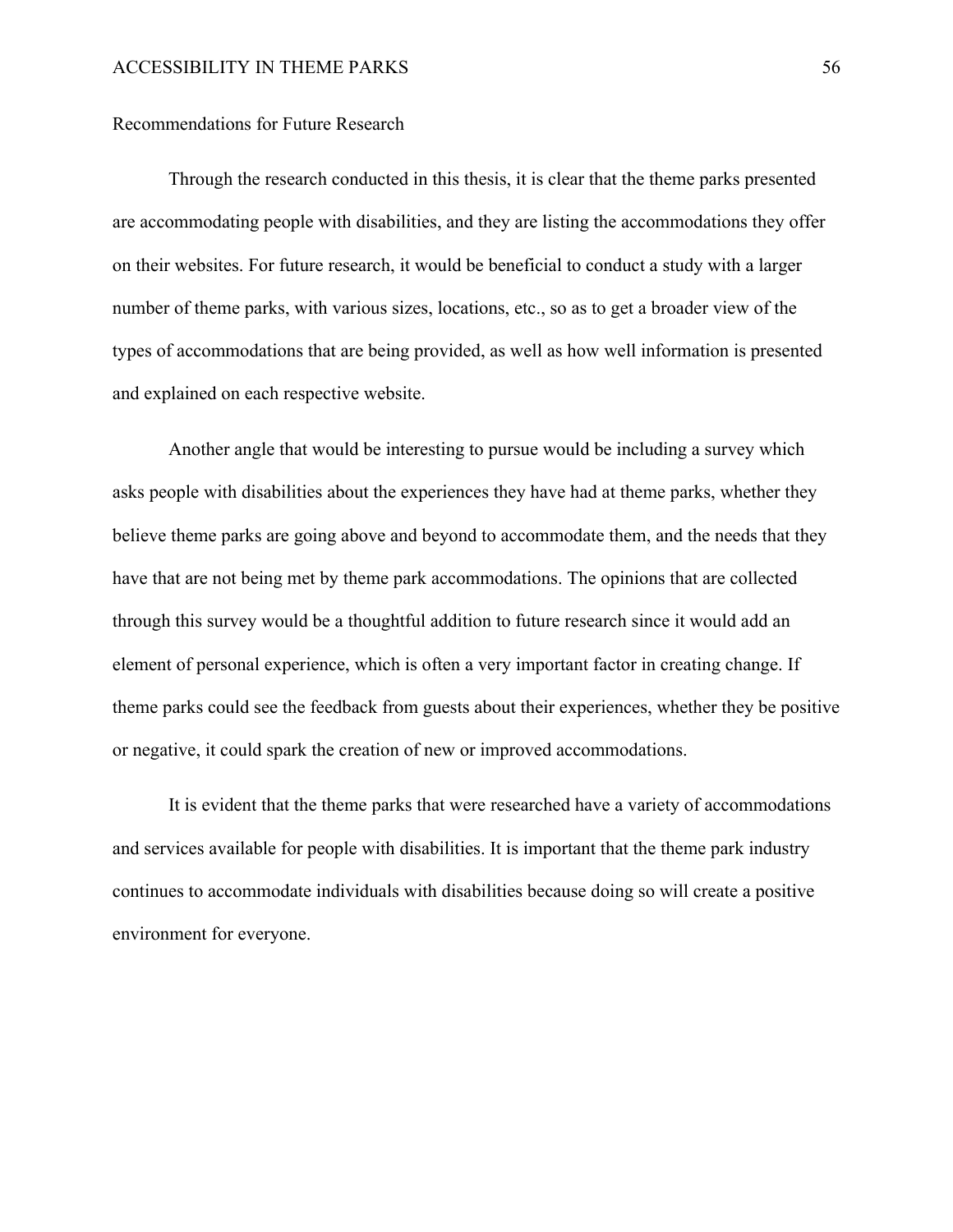#### Recommendations for Future Research

Through the research conducted in this thesis, it is clear that the theme parks presented are accommodating people with disabilities, and they are listing the accommodations they offer on their websites. For future research, it would be beneficial to conduct a study with a larger number of theme parks, with various sizes, locations, etc., so as to get a broader view of the types of accommodations that are being provided, as well as how well information is presented and explained on each respective website.

Another angle that would be interesting to pursue would be including a survey which asks people with disabilities about the experiences they have had at theme parks, whether they believe theme parks are going above and beyond to accommodate them, and the needs that they have that are not being met by theme park accommodations. The opinions that are collected through this survey would be a thoughtful addition to future research since it would add an element of personal experience, which is often a very important factor in creating change. If theme parks could see the feedback from guests about their experiences, whether they be positive or negative, it could spark the creation of new or improved accommodations.

It is evident that the theme parks that were researched have a variety of accommodations and services available for people with disabilities. It is important that the theme park industry continues to accommodate individuals with disabilities because doing so will create a positive environment for everyone.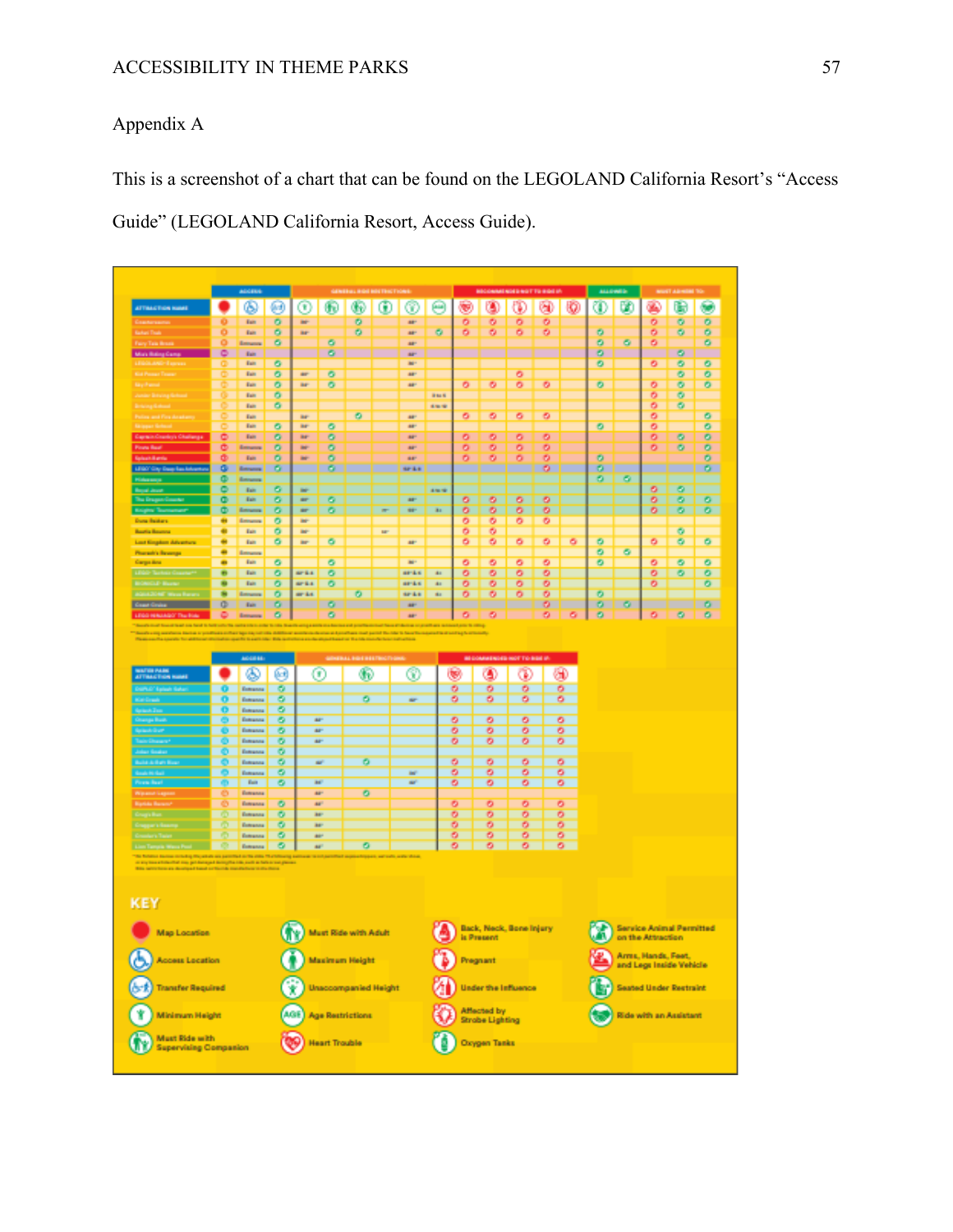# Appendix A

This is a screenshot of a chart that can be found on the LEGOLAND California Resort's "Access Guide" (LEGOLAND California Resort, Access Guide).

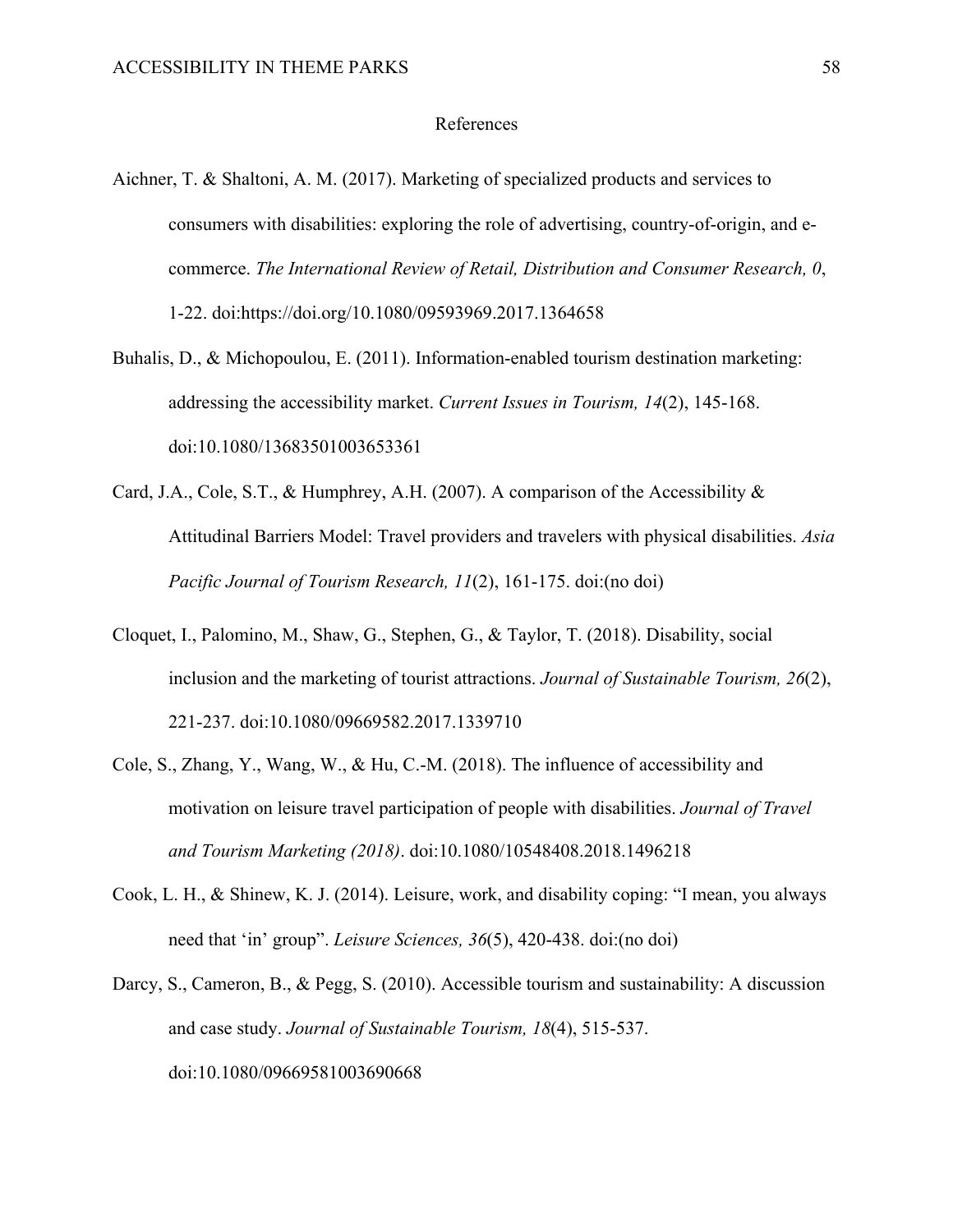#### References

- Aichner, T. & Shaltoni, A. M. (2017). Marketing of specialized products and services to consumers with disabilities: exploring the role of advertising, country-of-origin, and ecommerce. *The International Review of Retail, Distribution and Consumer Research, 0*, 1-22. doi:https://doi.org/10.1080/09593969.2017.1364658
- Buhalis, D., & Michopoulou, E. (2011). Information-enabled tourism destination marketing: addressing the accessibility market. *Current Issues in Tourism, 14*(2), 145-168. doi:10.1080/13683501003653361
- Card, J.A., Cole, S.T., & Humphrey, A.H. (2007). A comparison of the Accessibility & Attitudinal Barriers Model: Travel providers and travelers with physical disabilities. *Asia Pacific Journal of Tourism Research, 11*(2), 161-175. doi:(no doi)
- Cloquet, I., Palomino, M., Shaw, G., Stephen, G., & Taylor, T. (2018). Disability, social inclusion and the marketing of tourist attractions. *Journal of Sustainable Tourism, 26*(2), 221-237. doi:10.1080/09669582.2017.1339710
- Cole, S., Zhang, Y., Wang, W., & Hu, C.-M. (2018). The influence of accessibility and motivation on leisure travel participation of people with disabilities. *Journal of Travel and Tourism Marketing (2018)*. doi:10.1080/10548408.2018.1496218
- Cook, L. H., & Shinew, K. J. (2014). Leisure, work, and disability coping: "I mean, you always need that 'in' group". *Leisure Sciences, 36*(5), 420-438. doi:(no doi)
- Darcy, S., Cameron, B., & Pegg, S. (2010). Accessible tourism and sustainability: A discussion and case study. *Journal of Sustainable Tourism, 18*(4), 515-537. doi:10.1080/09669581003690668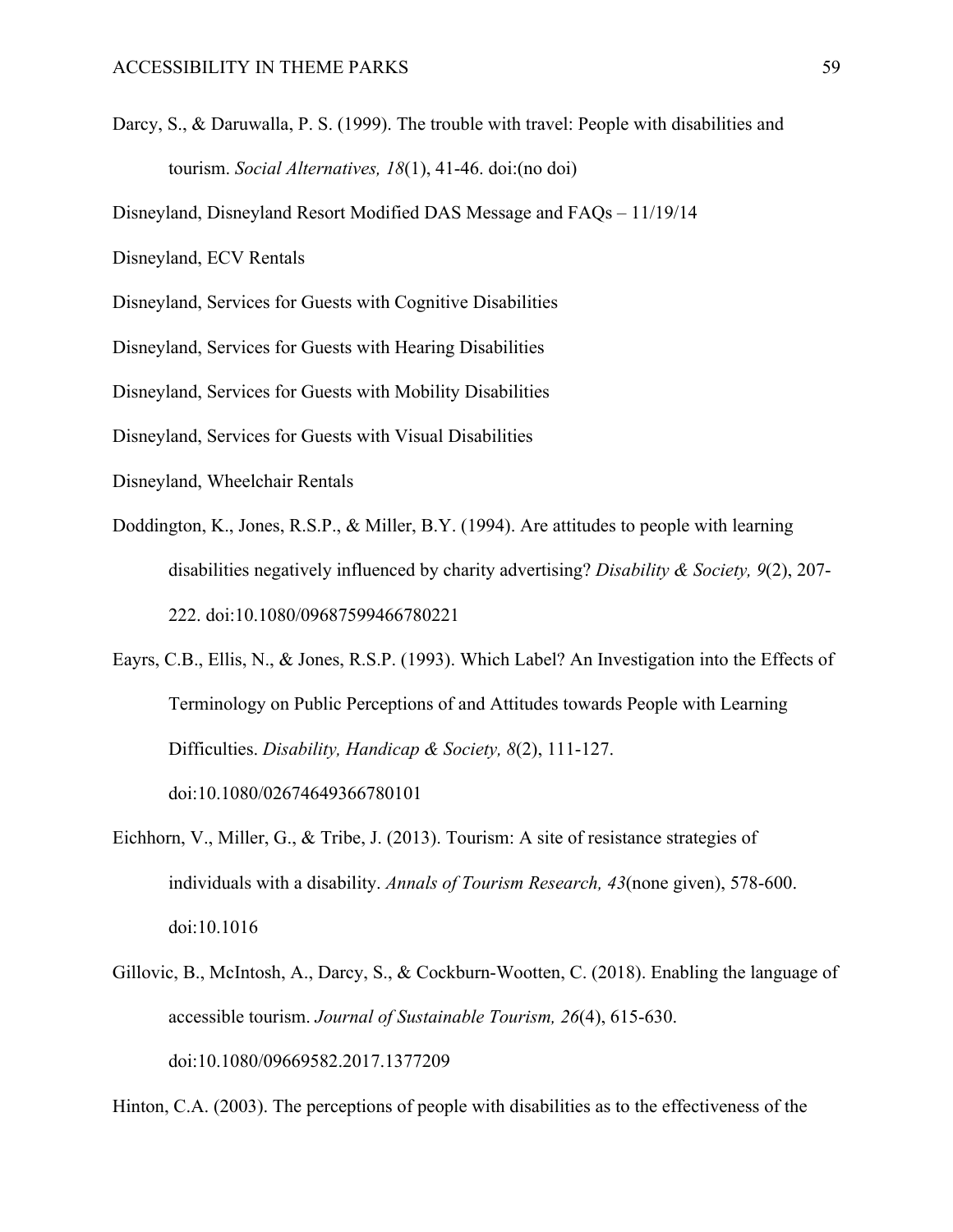Darcy, S., & Daruwalla, P. S. (1999). The trouble with travel: People with disabilities and tourism. *Social Alternatives, 18*(1), 41-46. doi:(no doi)

Disneyland, Disneyland Resort Modified DAS Message and FAQs – 11/19/14

Disneyland, ECV Rentals

Disneyland, Services for Guests with Cognitive Disabilities

Disneyland, Services for Guests with Hearing Disabilities

Disneyland, Services for Guests with Mobility Disabilities

Disneyland, Services for Guests with Visual Disabilities

- Disneyland, Wheelchair Rentals
- Doddington, K., Jones, R.S.P., & Miller, B.Y. (1994). Are attitudes to people with learning disabilities negatively influenced by charity advertising? *Disability & Society, 9*(2), 207- 222. doi:10.1080/09687599466780221

Eayrs, C.B., Ellis, N., & Jones, R.S.P. (1993). Which Label? An Investigation into the Effects of Terminology on Public Perceptions of and Attitudes towards People with Learning Difficulties. *Disability, Handicap & Society, 8*(2), 111-127.

doi:10.1080/02674649366780101

- Eichhorn, V., Miller, G., & Tribe, J. (2013). Tourism: A site of resistance strategies of individuals with a disability. *Annals of Tourism Research, 43*(none given), 578-600. doi:10.1016
- Gillovic, B., McIntosh, A., Darcy, S., & Cockburn-Wootten, C. (2018). Enabling the language of accessible tourism. *Journal of Sustainable Tourism, 26*(4), 615-630. doi:10.1080/09669582.2017.1377209

Hinton, C.A. (2003). The perceptions of people with disabilities as to the effectiveness of the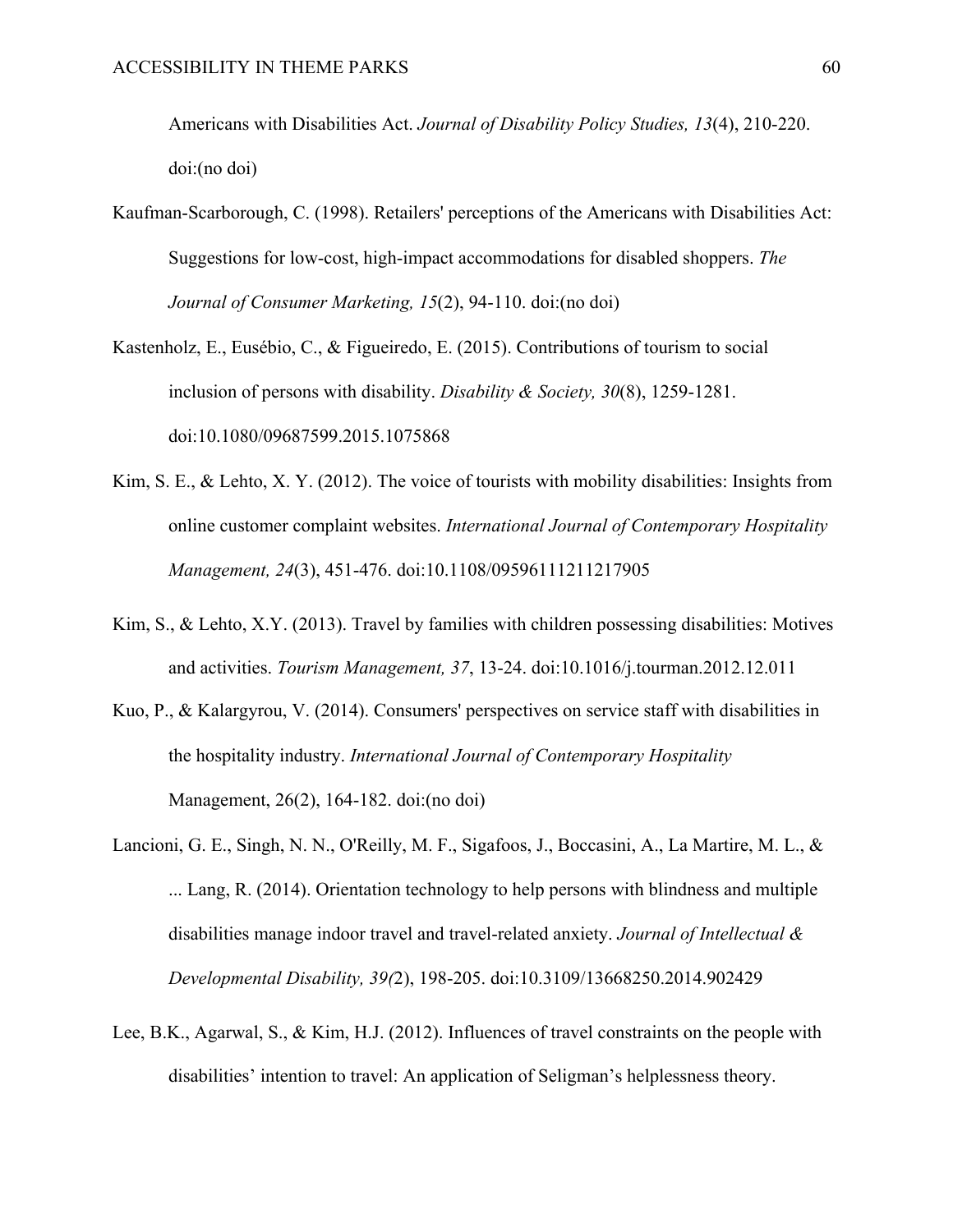Americans with Disabilities Act. *Journal of Disability Policy Studies, 13*(4), 210-220. doi:(no doi)

- Kaufman-Scarborough, C. (1998). Retailers' perceptions of the Americans with Disabilities Act: Suggestions for low-cost, high-impact accommodations for disabled shoppers. *The Journal of Consumer Marketing, 15*(2), 94-110. doi:(no doi)
- Kastenholz, E., Eusébio, C., & Figueiredo, E. (2015). Contributions of tourism to social inclusion of persons with disability. *Disability & Society, 30*(8), 1259-1281. doi:10.1080/09687599.2015.1075868
- Kim, S. E., & Lehto, X. Y. (2012). The voice of tourists with mobility disabilities: Insights from online customer complaint websites. *International Journal of Contemporary Hospitality Management, 24*(3), 451-476. doi:10.1108/09596111211217905
- Kim, S., & Lehto, X.Y. (2013). Travel by families with children possessing disabilities: Motives and activities. *Tourism Management, 37*, 13-24. doi:10.1016/j.tourman.2012.12.011
- Kuo, P., & Kalargyrou, V. (2014). Consumers' perspectives on service staff with disabilities in the hospitality industry. *International Journal of Contemporary Hospitality*  Management, 26(2), 164-182. doi:(no doi)
- Lancioni, G. E., Singh, N. N., O'Reilly, M. F., Sigafoos, J., Boccasini, A., La Martire, M. L., & ... Lang, R. (2014). Orientation technology to help persons with blindness and multiple disabilities manage indoor travel and travel-related anxiety. *Journal of Intellectual & Developmental Disability, 39(*2), 198-205. doi:10.3109/13668250.2014.902429
- Lee, B.K., Agarwal, S., & Kim, H.J. (2012). Influences of travel constraints on the people with disabilities' intention to travel: An application of Seligman's helplessness theory.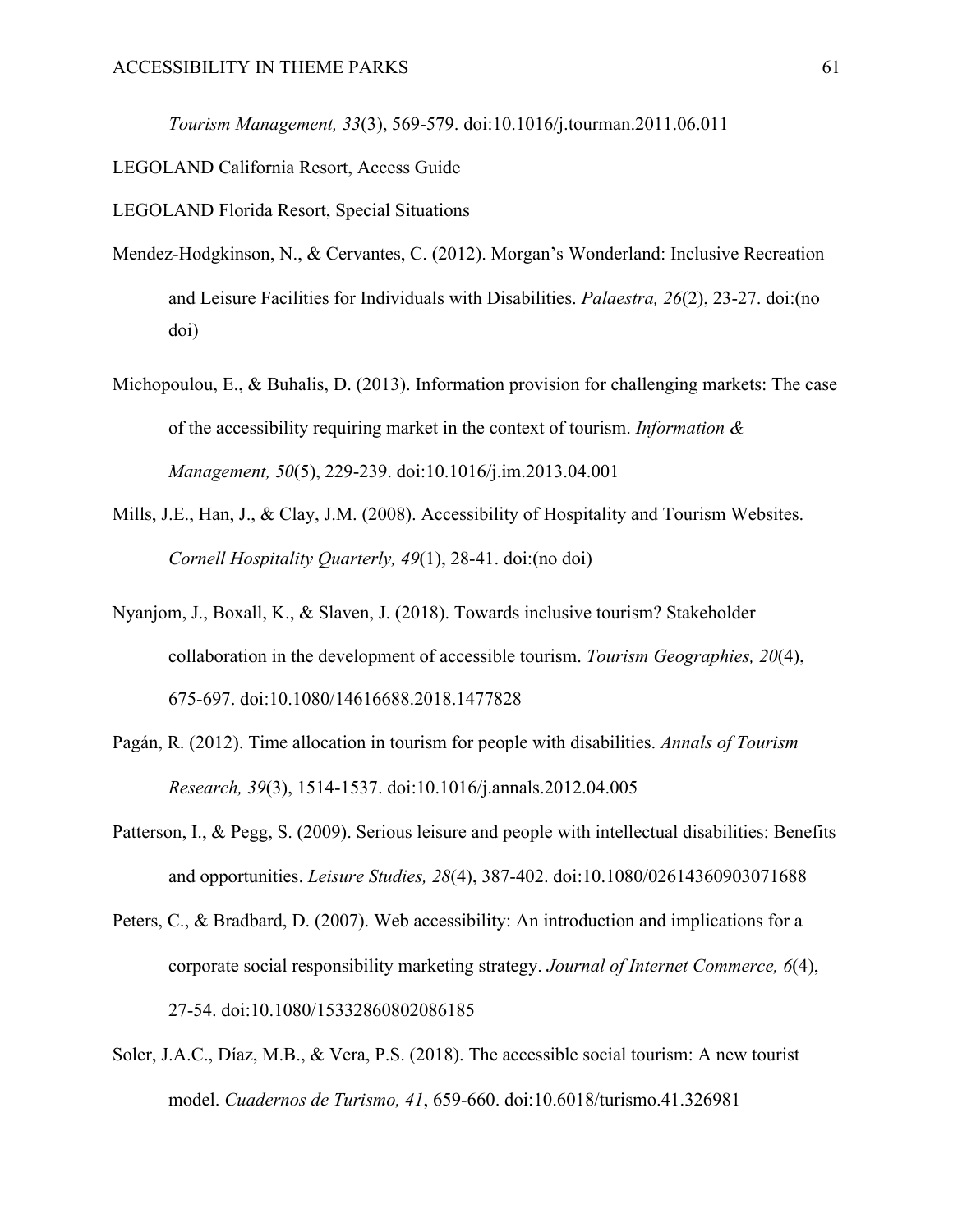*Tourism Management, 33*(3), 569-579. doi:10.1016/j.tourman.2011.06.011

LEGOLAND California Resort, Access Guide

LEGOLAND Florida Resort, Special Situations

- Mendez-Hodgkinson, N., & Cervantes, C. (2012). Morgan's Wonderland: Inclusive Recreation and Leisure Facilities for Individuals with Disabilities. *Palaestra, 26*(2), 23-27. doi:(no doi)
- Michopoulou, E., & Buhalis, D. (2013). Information provision for challenging markets: The case of the accessibility requiring market in the context of tourism. *Information & Management, 50*(5), 229-239. doi:10.1016/j.im.2013.04.001
- Mills, J.E., Han, J., & Clay, J.M. (2008). Accessibility of Hospitality and Tourism Websites. *Cornell Hospitality Quarterly, 49*(1), 28-41. doi:(no doi)
- Nyanjom, J., Boxall, K., & Slaven, J. (2018). Towards inclusive tourism? Stakeholder collaboration in the development of accessible tourism. *Tourism Geographies, 20*(4), 675-697. doi:10.1080/14616688.2018.1477828
- Pagán, R. (2012). Time allocation in tourism for people with disabilities. *Annals of Tourism Research, 39*(3), 1514-1537. doi:10.1016/j.annals.2012.04.005
- Patterson, I., & Pegg, S. (2009). Serious leisure and people with intellectual disabilities: Benefits and opportunities. *Leisure Studies, 28*(4), 387-402. doi:10.1080/02614360903071688
- Peters, C., & Bradbard, D. (2007). Web accessibility: An introduction and implications for a corporate social responsibility marketing strategy. *Journal of Internet Commerce, 6*(4), 27-54. doi:10.1080/15332860802086185
- Soler, J.A.C., Díaz, M.B., & Vera, P.S. (2018). The accessible social tourism: A new tourist model. *Cuadernos de Turismo, 41*, 659-660. doi:10.6018/turismo.41.326981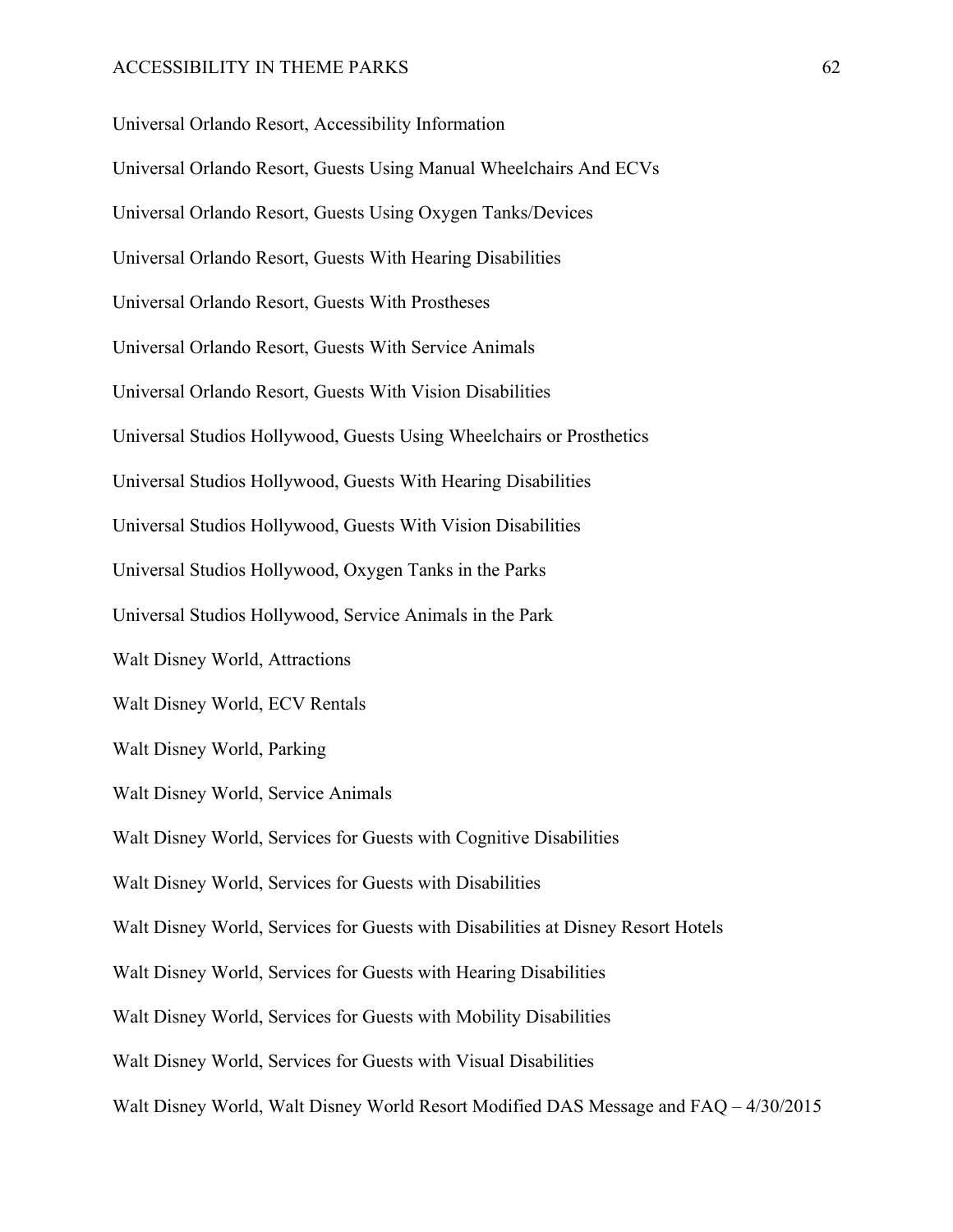Universal Orlando Resort, Accessibility Information Universal Orlando Resort, Guests Using Manual Wheelchairs And ECVs Universal Orlando Resort, Guests Using Oxygen Tanks/Devices Universal Orlando Resort, Guests With Hearing Disabilities Universal Orlando Resort, Guests With Prostheses Universal Orlando Resort, Guests With Service Animals Universal Orlando Resort, Guests With Vision Disabilities Universal Studios Hollywood, Guests Using Wheelchairs or Prosthetics Universal Studios Hollywood, Guests With Hearing Disabilities Universal Studios Hollywood, Guests With Vision Disabilities Universal Studios Hollywood, Oxygen Tanks in the Parks Universal Studios Hollywood, Service Animals in the Park Walt Disney World, Attractions Walt Disney World, ECV Rentals Walt Disney World, Parking Walt Disney World, Service Animals Walt Disney World, Services for Guests with Cognitive Disabilities Walt Disney World, Services for Guests with Disabilities Walt Disney World, Services for Guests with Disabilities at Disney Resort Hotels Walt Disney World, Services for Guests with Hearing Disabilities Walt Disney World, Services for Guests with Mobility Disabilities Walt Disney World, Services for Guests with Visual Disabilities Walt Disney World, Walt Disney World Resort Modified DAS Message and FAQ – 4/30/2015